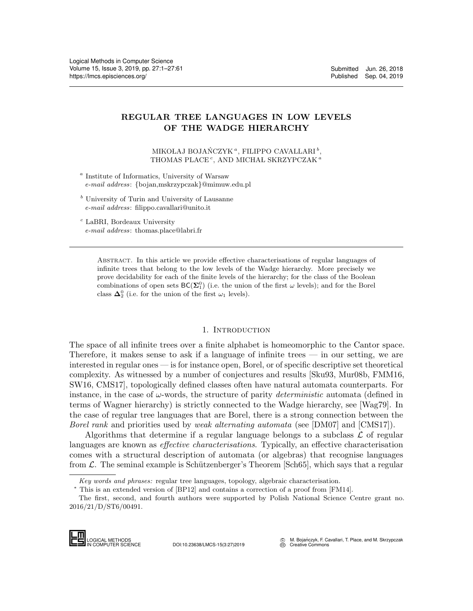# REGULAR TREE LANGUAGES IN LOW LEVELS OF THE WADGE HIERARCHY

MIKOŁAJ BOJAŃCZYK<sup> $a$ </sup>, FILIPPO CAVALLARI<sup>b</sup>, THOMAS PLACE<sup>c</sup>, AND MICHAL SKRZYPCZAK<sup>a</sup>

<sup>a</sup> Institute of Informatics, University of Warsaw e-mail address: {bojan,mskrzypczak}@mimuw.edu.pl

 $<sup>b</sup>$  University of Turin and University of Lausanne</sup> e-mail address: filippo.cavallari@unito.it

<sup>c</sup> LaBRI, Bordeaux University e-mail address: thomas.place@labri.fr

> Abstract. In this article we provide effective characterisations of regular languages of infinite trees that belong to the low levels of the Wadge hierarchy. More precisely we prove decidability for each of the finite levels of the hierarchy; for the class of the Boolean combinations of open sets  $BC(\Sigma_1^0)$  (i.e. the union of the first  $\omega$  levels); and for the Borel class  $\Delta_2^0$  (i.e. for the union of the first  $\omega_1$  levels).

## 1. INTRODUCTION

The space of all infinite trees over a finite alphabet is homeomorphic to the Cantor space. Therefore, it makes sense to ask if a language of infinite trees — in our setting, we are interested in regular ones — is for instance open, Borel, or of specific descriptive set theoretical complexity. As witnessed by a number of conjectures and results [\[Sku93,](#page-59-0) [Mur08b,](#page-59-1) [FMM16,](#page-59-2) [SW16,](#page-60-1) [CMS17\]](#page-59-3), topologically defined classes often have natural automata counterparts. For instance, in the case of  $\omega$ -words, the structure of parity *deterministic* automata (defined in terms of Wagner hierarchy) is strictly connected to the Wadge hierarchy, see [\[Wag79\]](#page-60-2). In the case of regular tree languages that are Borel, there is a strong connection between the Borel rank and priorities used by weak alternating automata (see [\[DM07\]](#page-59-4) and [\[CMS17\]](#page-59-3)).

Algorithms that determine if a regular language belongs to a subclass  $\mathcal L$  of regular languages are known as *effective characterisations*. Typically, an effective characterisation comes with a structural description of automata (or algebras) that recognise languages from  $\mathcal{L}$ . The seminal example is Schützenberger's Theorem [\[Sch65\]](#page-59-5), which says that a regular comes with a str<br>from  $\mathcal{L}$ . The seminal means and p<br> $\frac{Key words and p}{\text{This is an extent}}$ <br>The first, second<br>2016/21/D/ST6/00-<br>**LED** LOGICAL METHODS

The first, second, and fourth authors were supported by Polish National Science Centre grant no. 2016/21/D/ST6/00491.



DOI:10.23638/LMCS-15(3:27)2019

M. Bojańczyk, F. Cavallari, T. Place, and M. Skrzypczak CC M. **bujanders**, ...

Key words and phrases: regular tree languages, topology, algebraic characterisation.

<sup>∗</sup> This is an extended version of [\[BP12\]](#page-58-0) and contains a correction of a proof from [\[FM14\]](#page-59-6).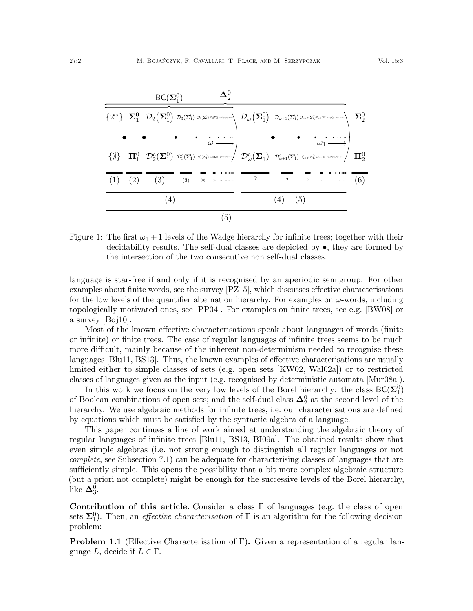

<span id="page-1-0"></span>Figure 1: The first  $\omega_1 + 1$  levels of the Wadge hierarchy for infinite trees; together with their decidability results. The self-dual classes are depicted by  $\bullet$ , they are formed by the intersection of the two consecutive non self-dual classes.

language is star-free if and only if it is recognised by an aperiodic semigroup. For other examples about finite words, see the survey [\[PZ15\]](#page-59-7), which discusses effective characterisations for the low levels of the quantifier alternation hierarchy. For examples on  $\omega$ -words, including topologically motivated ones, see [\[PP04\]](#page-59-8). For examples on finite trees, see e.g. [\[BW08\]](#page-58-1) or a survey [\[Boj10\]](#page-58-2).

Most of the known effective characterisations speak about languages of words (finite or infinite) or finite trees. The case of regular languages of infinite trees seems to be much more difficult, mainly because of the inherent non-determinism needed to recognise these languages [\[Blu11,](#page-58-3) [BS13\]](#page-58-4). Thus, the known examples of effective characterisations are usually limited either to simple classes of sets (e.g. open sets [\[KW02,](#page-59-9) [Wal02a\]](#page-60-3)) or to restricted classes of languages given as the input (e.g. recognised by deterministic automata [\[Mur08a\]](#page-59-10)).

In this work we focus on the very low levels of the Borel hierarchy: the class  $BC(\Sigma_1^0)$ of Boolean combinations of open sets; and the self-dual class  $\Delta_2^0$  at the second level of the hierarchy. We use algebraic methods for infinite trees, i.e. our characterisations are defined by equations which must be satisfied by the syntactic algebra of a language.

This paper continues a line of work aimed at understanding the algebraic theory of regular languages of infinite trees [\[Blu11,](#page-58-3) [BS13,](#page-58-4) [BI09a\]](#page-58-5). The obtained results show that even simple algebras (i.e. not strong enough to distinguish all regular languages or not complete, see Subsection [7.1\)](#page-57-0) can be adequate for characterising classes of languages that are sufficiently simple. This opens the possibility that a bit more complex algebraic structure (but a priori not complete) might be enough for the successive levels of the Borel hierarchy, like  $\mathbf{\Delta}^0_3$ .

Contribution of this article. Consider a class  $\Gamma$  of languages (e.g. the class of open sets  $\Sigma_1^0$ ). Then, an *effective characterisation* of  $\Gamma$  is an algorithm for the following decision problem:

**Problem 1.1** (Effective Characterisation of Γ). Given a representation of a regular language L, decide if  $L \in \Gamma$ .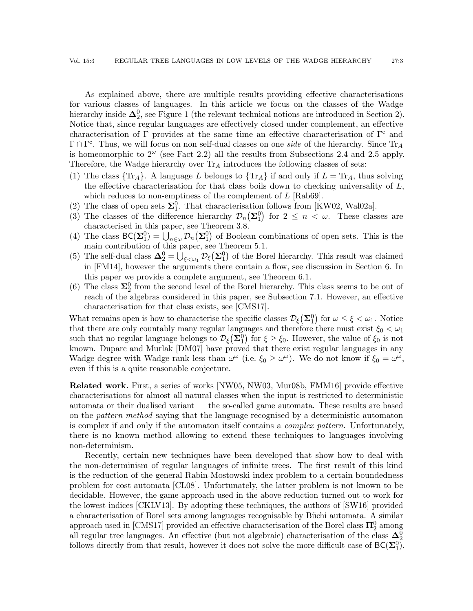As explained above, there are multiple results providing effective characterisations for various classes of languages. In this article we focus on the classes of the Wadge hierarchy inside  $\mathbf{\Delta}^0_2$ , see Figure [1](#page-1-0) (the relevant technical notions are introduced in Section [2\)](#page-3-0). Notice that, since regular languages are effectively closed under complement, an effective characterisation of Γ provides at the same time an effective characterisation of  $\Gamma^c$  and  $\Gamma \cap \Gamma^c$ . Thus, we will focus on non self-dual classes on one *side* of the hierarchy. Since Tr<sub>A</sub> is homeomorphic to  $2^{\omega}$  (see Fact [2.2\)](#page-5-0) all the results from Subsections [2.4](#page-6-0) and [2.5](#page-8-0) apply. Therefore, the Wadge hierarchy over  $Tr_A$  introduces the following classes of sets:

- (1) The class  $\{Tr_A\}$ . A language L belongs to  $\{Tr_A\}$  if and only if  $L = Tr_A$ , thus solving the effective characterisation for that class boils down to checking universality of  $L$ , which reduces to non-emptiness of the complement of  $L$  [\[Rab69\]](#page-59-11).
- (2) The class of open sets  $\Sigma_1^0$ . That characterisation follows from [\[KW02,](#page-59-9) [Wal02a\]](#page-60-3).
- (3) The classes of the difference hierarchy  $\mathcal{D}_n(\Sigma_1^0)$  for  $2 \leq n \lt \omega$ . These classes are characterised in this paper, see Theorem [3.8.](#page-13-0)
- (4) The class  $BC(\Sigma_1^0) = \bigcup_{n \in \omega} \mathcal{D}_n(\Sigma_1^0)$  of Boolean combinations of open sets. This is the main contribution of this paper, see Theorem [5.1.](#page-30-0)
- (5) The self-dual class  $\Delta_2^0 = \bigcup_{\xi \leq \omega_1} \mathcal{D}_\xi(\Sigma_1^0)$  of the Borel hierarchy. This result was claimed in [\[FM14\]](#page-59-6), however the arguments there contain a flow, see discussion in Section [6.](#page-52-0) In this paper we provide a complete argument, see Theorem [6.1.](#page-52-1)
- (6) The class  $\Sigma_2^0$  from the second level of the Borel hierarchy. This class seems to be out of reach of the algebras considered in this paper, see Subsection [7.1.](#page-57-0) However, an effective characterisation for that class exists, see [\[CMS17\]](#page-59-3).

What remains open is how to characterise the specific classes  $\mathcal{D}_{\xi}(\Sigma_1^0)$  for  $\omega \leq \xi < \omega_1$ . Notice that there are only countably many regular languages and therefore there must exist  $\xi_0 < \omega_1$ such that no regular language belongs to  $\mathcal{D}_{\xi}(\Sigma_1^0)$  for  $\xi \geq \xi_0$ . However, the value of  $\xi_0$  is not known. Duparc and Murlak [\[DM07\]](#page-59-4) have proved that there exist regular languages in any Wadge degree with Wadge rank less than  $\omega^{\omega}$  (i.e.  $\xi_0 \geq \omega^{\omega}$ ). We do not know if  $\xi_0 = \omega^{\omega}$ , even if this is a quite reasonable conjecture.

Related work. First, a series of works [\[NW05,](#page-59-12) [NW03,](#page-59-13) [Mur08b,](#page-59-1) [FMM16\]](#page-59-2) provide effective characterisations for almost all natural classes when the input is restricted to deterministic automata or their dualised variant — the so-called game automata. These results are based on the pattern method saying that the language recognised by a deterministic automaton is complex if and only if the automaton itself contains a complex pattern. Unfortunately, there is no known method allowing to extend these techniques to languages involving non-determinism.

Recently, certain new techniques have been developed that show how to deal with the non-determinism of regular languages of infinite trees. The first result of this kind is the reduction of the general Rabin-Mostowski index problem to a certain boundedness problem for cost automata [\[CL08\]](#page-59-14). Unfortunately, the latter problem is not known to be decidable. However, the game approach used in the above reduction turned out to work for the lowest indices [\[CKLV13\]](#page-58-6). By adopting these techniques, the authors of [\[SW16\]](#page-60-1) provided a characterisation of Borel sets among languages recognisable by Büchi automata. A similar approach used in [\[CMS17\]](#page-59-3) provided an effective characterisation of the Borel class  $\Pi^0_2$  among all regular tree languages. An effective (but not algebraic) characterisation of the class  $\Delta_2^0$ follows directly from that result, however it does not solve the more difficult case of  $BC(\Sigma_1^0)$ .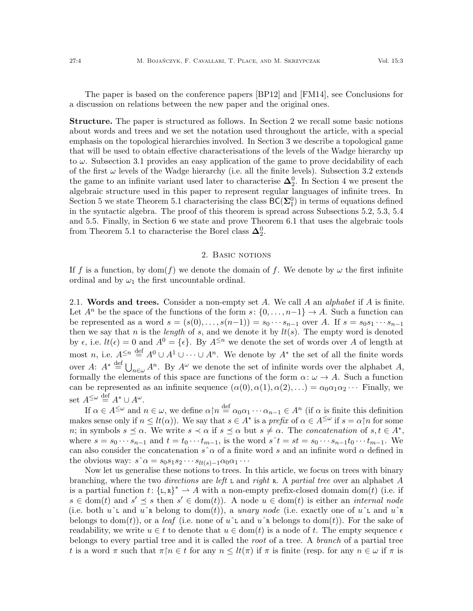The paper is based on the conference papers [\[BP12\]](#page-58-0) and [\[FM14\]](#page-59-6), see Conclusions for a discussion on relations between the new paper and the original ones.

Structure. The paper is structured as follows. In Section [2](#page-3-0) we recall some basic notions about words and trees and we set the notation used throughout the article, with a special emphasis on the topological hierarchies involved. In Section [3](#page-10-0) we describe a topological game that will be used to obtain effective characterisations of the levels of the Wadge hierarchy up to  $\omega$ . Subsection [3.1](#page-15-0) provides an easy application of the game to prove decidability of each of the first  $\omega$  levels of the Wadge hierarchy (i.e. all the finite levels). Subsection [3.2](#page-15-1) extends the game to an infinite variant used later to characterise  $\Delta_2^0$ . In Section [4](#page-19-0) we present the algebraic structure used in this paper to represent regular languages of infinite trees. In Section [5](#page-30-1) we state Theorem [5.1](#page-30-0) characterising the class  $BC(\Sigma_1^0)$  in terms of equations defined in the syntactic algebra. The proof of this theorem is spread across Subsections [5.2,](#page-31-0) [5.3,](#page-33-0) [5.4](#page-39-0) and [5.5.](#page-48-0) Finally, in Section [6](#page-52-0) we state and prove Theorem [6.1](#page-52-1) that uses the algebraic tools from Theorem [5.1](#page-30-0) to characterise the Borel class  $\Delta_2^0$ .

### 2. BASIC NOTIONS

<span id="page-3-0"></span>If f is a function, by dom(f) we denote the domain of f. We denote by  $\omega$  the first infinite ordinal and by  $\omega_1$  the first uncountable ordinal.

2.1. Words and trees. Consider a non-empty set A. We call A an *alphabet* if A is finite. Let  $A^n$  be the space of the functions of the form  $s: \{0, \ldots, n-1\} \to A$ . Such a function can be represented as a word  $s = (s(0), \ldots, s(n-1)) = s_0 \cdots s_{n-1}$  over A. If  $s = s_0 s_1 \cdots s_{n-1}$ then we say that n is the *length* of s, and we denote it by  $lt(s)$ . The empty word is denoted by  $\epsilon$ , i.e.  $lt(\epsilon) = 0$  and  $A^0 = {\epsilon}$ . By  $A^{\leq n}$  we denote the set of words over A of length at most n, i.e.  $A^{\leq n} \stackrel{\text{def}}{=} A^0 \cup A^1 \cup \cdots \cup A^n$ . We denote by  $A^*$  the set of all the finite words over A:  $A^* \stackrel{\text{def}}{=} \bigcup_{n \in \omega} A^n$ . By  $A^{\omega}$  we denote the set of infinite words over the alphabet A, formally the elements of this space are functions of the form  $\alpha$ :  $\omega \to A$ . Such a function can be represented as an infinite sequence  $(\alpha(0), \alpha(1), \alpha(2), ...) = \alpha_0 \alpha_1 \alpha_2 \cdots$  Finally, we set  $A^{\leq \omega} \stackrel{\text{def}}{=} A^* \cup A^\omega$ .

If  $\alpha \in A^{\leq \omega}$  and  $n \in \omega$ , we define  $\alpha \upharpoonright n \stackrel{\text{def}}{=} \alpha_0 \alpha_1 \cdots \alpha_{n-1} \in A^n$  (if  $\alpha$  is finite this definition makes sense only if  $n \leq lt(\alpha)$ ). We say that  $s \in A^*$  is a prefix of  $\alpha \in A^{\leq \omega}$  if  $s = \alpha \upharpoonright n$  for some *n*; in symbols  $s \preceq \alpha$ . We write  $s \prec \alpha$  if  $s \preceq \alpha$  but  $s \neq \alpha$ . The *concatenation* of  $s, t \in A^*$ , where  $s = s_0 \cdots s_{n-1}$  and  $t = t_0 \cdots t_{m-1}$ , is the word  $s^t = st = s_0 \cdots s_{n-1} t_0 \cdots t_{m-1}$ . We can also consider the concatenation  $s \hat{\;} \alpha$  of a finite word s and an infinite word  $\alpha$  defined in the obvious way:  $s \hat{\;} \alpha = s_0 s_1 s_2 \cdots s_{lt(s)-1} \alpha_0 \alpha_1 \cdots$ 

Now let us generalise these notions to trees. In this article, we focus on trees with binary branching, where the two directions are left  $\mathsf{L}$  and right  $\mathsf{R}$ . A partial tree over an alphabet A is a partial function  $t: \{\mathsf{L},\mathsf{R}\}^* \to A$  with a non-empty prefix-closed domain dom(t) (i.e. if  $s \in \text{dom}(t)$  and  $s' \preceq s$  then  $s' \in \text{dom}(t)$ . A node  $u \in \text{dom}(t)$  is either an *internal node* (i.e. both  $u\hat{ }$  and  $u\hat{ }$  a belong to dom(t)), a unary node (i.e. exactly one of  $u\hat{ }$  and  $u\hat{ }$  a belongs to dom(t)), or a *leaf* (i.e. none of  $u^{\dagger}$  and  $u^{\dagger}$  belongs to dom(t)). For the sake of readability, we write  $u \in t$  to denote that  $u \in \text{dom}(t)$  is a node of t. The empty sequence  $\epsilon$ belongs to every partial tree and it is called the *root* of a tree. A *branch* of a partial tree t is a word  $\pi$  such that  $\pi \upharpoonright n \in t$  for any  $n \leq lt(\pi)$  if  $\pi$  is finite (resp. for any  $n \in \omega$  if  $\pi$  is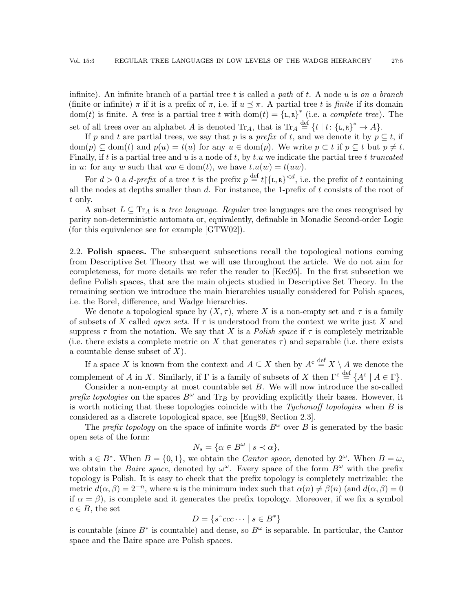infinite). An infinite branch of a partial tree t is called a path of t. A node u is on a branch (finite or infinite)  $\pi$  if it is a prefix of  $\pi$ , i.e. if  $u \leq \pi$ . A partial tree t is finite if its domain dom(t) is finite. A tree is a partial tree t with dom(t) = { $L, R$ }<sup>\*</sup> (i.e. a *complete tree*). The set of all trees over an alphabet A is denoted  $\text{Tr}_A$ , that is  $\text{Tr}_A \stackrel{\text{def}}{=} \{t \mid t: \{\text{L}, \text{R}\}^* \to A\}.$ 

If p and t are partial trees, we say that p is a prefix of t, and we denote it by  $p \subseteq t$ , if  $dom(p) \subseteq dom(t)$  and  $p(u) = t(u)$  for any  $u \in dom(p)$ . We write  $p \subset t$  if  $p \subseteq t$  but  $p \neq t$ . Finally, if t is a partial tree and u is a node of t, by t.u we indicate the partial tree t truncated in u: for any w such that  $uw \in \text{dom}(t)$ , we have  $t.u(w) = t(uw)$ .

For  $d > 0$  a *d-prefix* of a tree t is the prefix  $p \stackrel{\text{def}}{=} t \upharpoonright \{L, R\}^{< d}$ , i.e. the prefix of t containing all the nodes at depths smaller than  $d$ . For instance, the 1-prefix of  $t$  consists of the root of t only.

A subset  $L \subseteq \text{Tr}_A$  is a *tree language. Regular* tree languages are the ones recognised by parity non-deterministic automata or, equivalently, definable in Monadic Second-order Logic (for this equivalence see for example [\[GTW02\]](#page-59-15)).

2.2. Polish spaces. The subsequent subsections recall the topological notions coming from Descriptive Set Theory that we will use throughout the article. We do not aim for completeness, for more details we refer the reader to [\[Kec95\]](#page-59-16). In the first subsection we define Polish spaces, that are the main objects studied in Descriptive Set Theory. In the remaining section we introduce the main hierarchies usually considered for Polish spaces, i.e. the Borel, difference, and Wadge hierarchies.

We denote a topological space by  $(X, \tau)$ , where X is a non-empty set and  $\tau$  is a family of subsets of X called *open sets*. If  $\tau$  is understood from the context we write just X and suppress  $\tau$  from the notation. We say that X is a *Polish space* if  $\tau$  is completely metrizable (i.e. there exists a complete metric on X that generates  $\tau$ ) and separable (i.e. there exists a countable dense subset of  $X$ ).

If a space X is known from the context and  $A \subseteq X$  then by  $A^c \stackrel{\text{def}}{=} X \setminus A$  we denote the complement of A in X. Similarly, if  $\Gamma$  is a family of subsets of X then  $\Gamma^c \stackrel{\text{def}}{=} \{A^c \mid A \in \Gamma\}.$ 

Consider a non-empty at most countable set B. We will now introduce the so-called prefix topologies on the spaces  $B^{\omega}$  and Tr<sub>B</sub> by providing explicitly their bases. However, it is worth noticing that these topologies coincide with the Tychonoff topologies when  $B$  is considered as a discrete topological space, see [\[Eng89,](#page-59-17) Section 2.3].

The prefix topology on the space of infinite words  $B^{\omega}$  over B is generated by the basic open sets of the form:

$$
N_s = \{ \alpha \in B^{\omega} \mid s \prec \alpha \},\
$$

with  $s \in B^*$ . When  $B = \{0, 1\}$ , we obtain the *Cantor space*, denoted by  $2^{\omega}$ . When  $B = \omega$ , we obtain the *Baire space*, denoted by  $\omega^{\omega}$ . Every space of the form  $B^{\omega}$  with the prefix topology is Polish. It is easy to check that the prefix topology is completely metrizable: the metric  $d(\alpha, \beta) = 2^{-n}$ , where *n* is the minimum index such that  $\alpha(n) \neq \beta(n)$  (and  $d(\alpha, \beta) = 0$ ) if  $\alpha = \beta$ ), is complete and it generates the prefix topology. Moreover, if we fix a symbol  $c \in B$ , the set

$$
D = \{ s \hat{c}cc \cdots | s \in B^* \}
$$

is countable (since  $B^*$  is countable) and dense, so  $B^{\omega}$  is separable. In particular, the Cantor space and the Baire space are Polish spaces.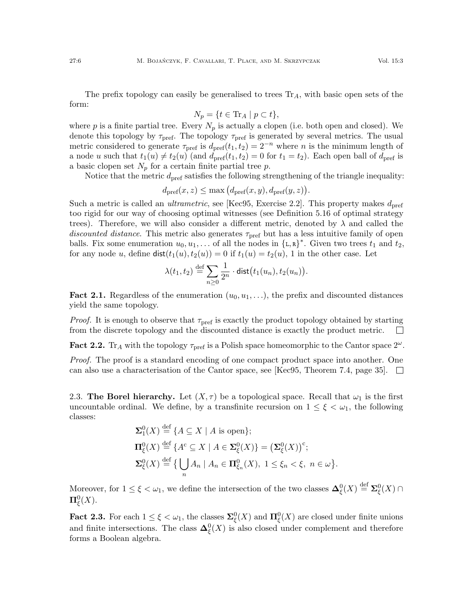The prefix topology can easily be generalised to trees  $Tr_A$ , with basic open sets of the form:

$$
N_p = \{ t \in \text{Tr}_A \mid p \subset t \},\
$$

where p is a finite partial tree. Every  $N_p$  is actually a clopen (i.e. both open and closed). We denote this topology by  $\tau_{\text{pref}}$ . The topology  $\tau_{\text{pref}}$  is generated by several metrics. The usual metric considered to generate  $\tau_{\text{pref}}$  is  $d_{\text{pref}}(t_1, t_2) = 2^{-n}$  where n is the minimum length of a node u such that  $t_1(u) \neq t_2(u)$  (and  $d_{\text{pref}}(t_1, t_2) = 0$  for  $t_1 = t_2$ ). Each open ball of  $d_{\text{pref}}$  is a basic clopen set  $N_p$  for a certain finite partial tree p.

Notice that the metric  $d_{\text{pref}}$  satisfies the following strengthening of the triangle inequality:

$$
d_{\text{pref}}(x,z) \le \max\left(d_{\text{pref}}(x,y), d_{\text{pref}}(y,z)\right).
$$

Such a metric is called an *ultrametric*, see [\[Kec95,](#page-59-16) Exercise 2.2]. This property makes  $d_{\text{pref}}$ too rigid for our way of choosing optimal witnesses (see Definition [5.16](#page-37-0) of optimal strategy trees). Therefore, we will also consider a different metric, denoted by  $\lambda$  and called the discounted distance. This metric also generates  $\tau_{\text{pref}}$  but has a less intuitive family of open balls. Fix some enumeration  $u_0, u_1, \ldots$  of all the nodes in  $\{\mathsf{L},\mathsf{R}\}^*$ . Given two trees  $t_1$  and  $t_2$ , for any node u, define  $\text{dist}(t_1(u), t_2(u)) = 0$  if  $t_1(u) = t_2(u)$ , 1 in the other case. Let

$$
\lambda(t_1,t_2) \stackrel{\text{def}}{=} \sum_{n\geq 0} \frac{1}{2^n} \cdot \text{dist}\big(t_1(u_n), t_2(u_n)\big).
$$

**Fact 2.1.** Regardless of the enumeration  $(u_0, u_1, \ldots)$ , the prefix and discounted distances yield the same topology.

*Proof.* It is enough to observe that  $\tau_{\text{pref}}$  is exactly the product topology obtained by starting from the discrete topology and the discounted distance is exactly the product metric.  $\Box$ 

<span id="page-5-0"></span>Fact 2.2. Tr<sub>A</sub> with the topology  $\tau_{\text{pref}}$  is a Polish space homeomorphic to the Cantor space  $2^{\omega}$ .

Proof. The proof is a standard encoding of one compact product space into another. One can also use a characterisation of the Cantor space, see [\[Kec95,](#page-59-16) Theorem 7.4, page 35].  $\Box$ 

2.3. The Borel hierarchy. Let  $(X, \tau)$  be a topological space. Recall that  $\omega_1$  is the first uncountable ordinal. We define, by a transfinite recursion on  $1 \leq \xi < \omega_1$ , the following classes:

$$
\Sigma_1^0(X) \stackrel{\text{def}}{=} \{ A \subseteq X \mid A \text{ is open} \};
$$
  
\n
$$
\Pi_{\xi}^0(X) \stackrel{\text{def}}{=} \{ A^c \subseteq X \mid A \in \Sigma_{\xi}^0(X) \} = (\Sigma_{\xi}^0(X))^c;
$$
  
\n
$$
\Sigma_{\xi}^0(X) \stackrel{\text{def}}{=} \{ \bigcup_n A_n \mid A_n \in \Pi_{\xi_n}^0(X), 1 \le \xi_n < \xi, n \in \omega \}.
$$

Moreover, for  $1 \leq \xi < \omega_1$ , we define the intersection of the two classes  $\mathbf{\Delta}_{\xi}^0(X) \stackrel{\text{def}}{=} \mathbf{\Sigma}_{\xi}^0(X) \cap$  $\Pi^0_{\xi}(X).$ 

Fact 2.3. For each  $1 \le \xi < \omega_1$ , the classes  $\sum_{\xi}^{0}(X)$  and  $\Pi_{\xi}^{0}(X)$  are closed under finite unions and finite intersections. The class  $\Delta_{\xi}^{0}(X)$  is also closed under complement and therefore forms a Boolean algebra.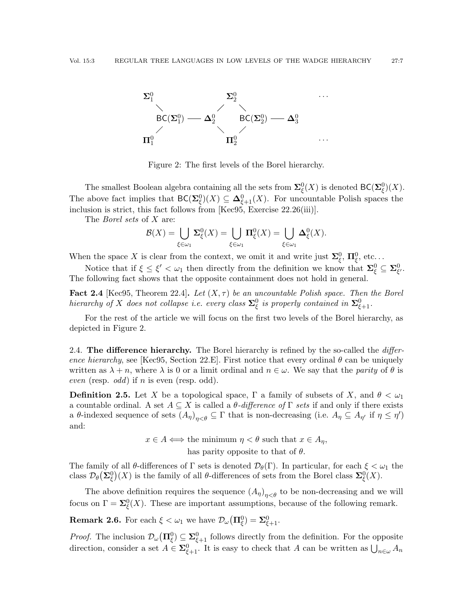

<span id="page-6-1"></span>Figure 2: The first levels of the Borel hierarchy.

The smallest Boolean algebra containing all the sets from  $\mathbf{\Sigma}_{\xi}^{0}(X)$  is denoted  $\mathsf{BC}(\mathbf{\Sigma}_{\xi}^{0})(X)$ . The above fact implies that  $BC(\Sigma_{\xi}^{0})(X) \subseteq \Delta_{\xi+1}^{0}(X)$ . For uncountable Polish spaces the inclusion is strict, this fact follows from [\[Kec95,](#page-59-16) Exercise 22.26(iii)].

The *Borel sets* of X are:

$$
\mathcal{B}(X) = \bigcup_{\xi \in \omega_1} \Sigma^0_{\xi}(X) = \bigcup_{\xi \in \omega_1} \Pi^0_{\xi}(X) = \bigcup_{\xi \in \omega_1} \Delta^0_{\xi}(X).
$$

When the space X is clear from the context, we omit it and write just  $\Sigma_{\xi}^{0}$ ,  $\Pi_{\xi}^{0}$ , etc...

Notice that if  $\xi \leq \xi' < \omega_1$  then directly from the definition we know that  $\mathbf{\Sigma}_{\xi}^0 \subseteq \mathbf{\Sigma}_{\xi'}^0$ . The following fact shows that the opposite containment does not hold in general.

**Fact 2.4** [\[Kec95,](#page-59-16) Theorem 22.4]. Let  $(X, \tau)$  be an uncountable Polish space. Then the Borel hierarchy of X does not collapse i.e. every class  $\Sigma^0_\xi$  is properly contained in  $\Sigma^0_{\xi+1}$ .

For the rest of the article we will focus on the first two levels of the Borel hierarchy, as depicted in Figure [2.](#page-6-1)

<span id="page-6-0"></span>2.4. The difference hierarchy. The Borel hierarchy is refined by the so-called the *differ*-ence hierarchy, see [\[Kec95,](#page-59-16) Section 22.E]. First notice that every ordinal  $\theta$  can be uniquely written as  $\lambda + n$ , where  $\lambda$  is 0 or a limit ordinal and  $n \in \omega$ . We say that the *parity* of  $\theta$  is even (resp. odd) if n is even (resp. odd).

**Definition 2.5.** Let X be a topological space,  $\Gamma$  a family of subsets of X, and  $\theta < \omega_1$ a countable ordinal. A set  $A \subseteq X$  is called a  $\theta$ -difference of  $\Gamma$  sets if and only if there exists a θ-indexed sequence of sets  $(A_{\eta})_{\eta<\theta}\subseteq \Gamma$  that is non-decreasing (i.e.  $A_{\eta}\subseteq A_{\eta'}$  if  $\eta\leq \eta'$ ) and:

> $x \in A \Longleftrightarrow$  the minimum  $\eta < \theta$  such that  $x \in A_n$ , has parity opposite to that of  $\theta$ .

The family of all  $\theta$ -differences of  $\Gamma$  sets is denoted  $\mathcal{D}_{\theta}(\Gamma)$ . In particular, for each  $\xi < \omega_1$  the class  $\mathcal{D}_{\theta}(\Sigma_{\xi}^{0})(X)$  is the family of all  $\theta$ -differences of sets from the Borel class  $\Sigma_{\xi}^{0}(X)$ .

The above definition requires the sequence  $(A_{\eta})_{\eta<\theta}$  to be non-decreasing and we will focus on  $\Gamma = \Sigma_{\xi}^{0}(X)$ . These are important assumptions, because of the following remark.

**Remark 2.6.** For each  $\xi < \omega_1$  we have  $\mathcal{D}_{\omega}(\Pi_{\xi}^0) = \Sigma_{\xi+1}^0$ .

*Proof.* The inclusion  $\mathcal{D}_{\omega}(\Pi_{\xi}^0) \subseteq \Sigma_{\xi+1}^0$  follows directly from the definition. For the opposite direction, consider a set  $A \in \Sigma_{\xi+1}^0$ . It is easy to check that A can be written as  $\bigcup_{n \in \omega} A_n$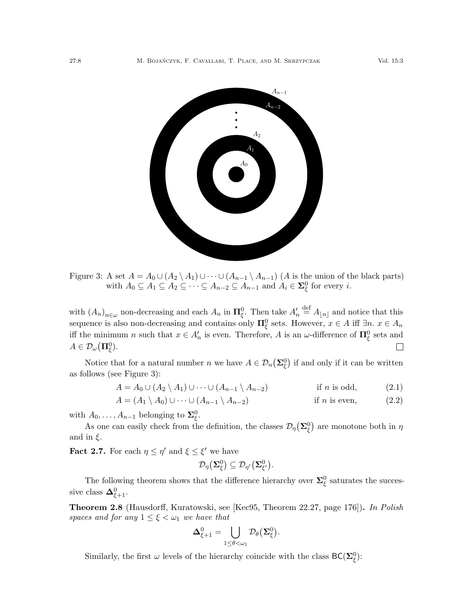

<span id="page-7-0"></span>Figure 3: A set  $A = A_0 \cup (A_2 \setminus A_1) \cup \cdots \cup (A_{n-1} \setminus A_{n-1})$  (A is the union of the black parts) with  $A_0 \subseteq A_1 \subseteq A_2 \subseteq \cdots \subseteq A_{n-2} \subseteq A_{n-1}$  and  $A_i \in \Sigma_{\xi}^0$  for every *i*.

with  $(A_n)_{n\in\omega}$  non-decreasing and each  $A_n$  in  $\mathbf{\Pi}_{\xi}^0$ . Then take  $A'_n \stackrel{\text{def}}{=} A_{\lfloor n \rfloor}$  and notice that this sequence is also non-decreasing and contains only  $\Pi_{\xi}^{0}$  sets. However,  $x \in A$  iff  $\exists n.$   $x \in A_n$ iff the minimum n such that  $x \in A_n'$  is even. Therefore, A is an  $\omega$ -difference of  $\Pi_{\xi}^0$  sets and  $A\in\mathcal{D}_\omega(\mathbf{\Pi}^0_{\xi}).$  $\Box$ 

Notice that for a natural number n we have  $A \in \mathcal{D}_n(\Sigma_\xi^0)$  if and only if it can be written as follows (see Figure [3\)](#page-7-0):

$$
A = A_0 \cup (A_2 \setminus A_1) \cup \cdots \cup (A_{n-1} \setminus A_{n-2}) \qquad \text{if } n \text{ is odd}, \tag{2.1}
$$

$$
A = (A_1 \setminus A_0) \cup \cdots \cup (A_{n-1} \setminus A_{n-2})
$$
 if *n* is even, (2.2)

with  $A_0, \ldots, A_{n-1}$  belonging to  $\Sigma_{\xi}^0$ .

As one can easily check from the definition, the classes  $\mathcal{D}_{\eta}(\Sigma_{\xi}^{0})$  are monotone both in  $\eta$ and in  $\xi$ .

<span id="page-7-1"></span>**Fact 2.7.** For each  $\eta \leq \eta'$  and  $\xi \leq \xi'$  we have

$$
\mathcal{D}_{\eta}(\mathbf{\Sigma}_{\xi}^{0})\subseteq \mathcal{D}_{\eta'}(\mathbf{\Sigma}_{\xi'}^{0}).
$$

The following theorem shows that the difference hierarchy over  $\Sigma_{\xi}^{0}$  saturates the successive class  $\mathbf{\Delta}^0_{\xi+1}$ .

**Theorem 2.8** (Hausdorff, Kuratowski, see [\[Kec95,](#page-59-16) Theorem 22.27, page 176]). In Polish spaces and for any  $1 \leq \xi < \omega_1$  we have that

$$
\mathbf{\Delta}^0_{\xi+1} = \bigcup_{1 \leq \theta < \omega_1} \mathcal{D}_{\theta}(\mathbf{\Sigma}^0_{\xi}).
$$

Similarly, the first  $\omega$  levels of the hierarchy coincide with the class  $BC(\Sigma_{\xi}^0)$ :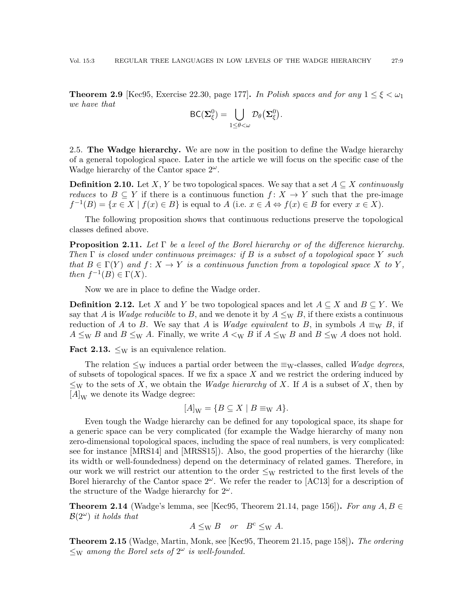**Theorem 2.9** [\[Kec95,](#page-59-16) Exercise 22.30, page 177]. In Polish spaces and for any  $1 \leq \xi < \omega_1$ we have that

$$
\mathsf{BC}(\mathbf{\Sigma}_{\xi}^0)=\bigcup_{1\leq\theta<\omega}\mathcal{D}_{\theta}(\mathbf{\Sigma}_{\xi}^0).
$$

<span id="page-8-0"></span>2.5. The Wadge hierarchy. We are now in the position to define the Wadge hierarchy of a general topological space. Later in the article we will focus on the specific case of the Wadge hierarchy of the Cantor space  $2^{\omega}$ .

**Definition 2.10.** Let X, Y be two topological spaces. We say that a set  $A \subseteq X$  continuously *reduces* to  $B \subseteq Y$  if there is a continuous function  $f: X \to Y$  such that the pre-image  $f^{-1}(B) = \{x \in X \mid f(x) \in B\}$  is equal to  $A$  (i.e.  $x \in A \Leftrightarrow f(x) \in B$  for every  $x \in X$ ).

The following proposition shows that continuous reductions preserve the topological classes defined above.

**Proposition 2.11.** Let  $\Gamma$  be a level of the Borel hierarchy or of the difference hierarchy. Then  $\Gamma$  is closed under continuous preimages: if B is a subset of a topological space Y such that  $B \in \Gamma(Y)$  and  $f: X \to Y$  is a continuous function from a topological space X to Y, then  $f^{-1}(B) \in \Gamma(X)$ .

Now we are in place to define the Wadge order.

**Definition 2.12.** Let X and Y be two topological spaces and let  $A \subseteq X$  and  $B \subseteq Y$ . We say that A is Wadge reducible to B, and we denote it by  $A \le_W B$ , if there exists a continuous reduction of A to B. We say that A is Wadge equivalent to B, in symbols  $A \equiv_W B$ , if  $A \leq_{\text{W}} B$  and  $B \leq_{\text{W}} A$ . Finally, we write  $A \leq_{\text{W}} B$  if  $A \leq_{\text{W}} B$  and  $B \leq_{\text{W}} A$  does not hold.

**Fact 2.13.**  $\leq_W$  is an equivalence relation.

The relation  $\leq_W$  induces a partial order between the  $\equiv_W$ -classes, called *Wadge degrees*, of subsets of topological spaces. If we fix a space  $X$  and we restrict the ordering induced by  $\leq_W$  to the sets of X, we obtain the *Wadge hierarchy* of X. If A is a subset of X, then by  $[A]_W$  we denote its Wadge degree:

$$
[A]_{\mathcal{W}} = \{ B \subseteq X \mid B \equiv_{\mathcal{W}} A \}.
$$

Even tough the Wadge hierarchy can be defined for any topological space, its shape for a generic space can be very complicated (for example the Wadge hierarchy of many non zero-dimensional topological spaces, including the space of real numbers, is very complicated: see for instance [\[MRS14\]](#page-59-18) and [\[MRSS15\]](#page-59-19)). Also, the good properties of the hierarchy (like its width or well-foundedness) depend on the determinacy of related games. Therefore, in our work we will restrict our attention to the order  $\leq_W$  restricted to the first levels of the Borel hierarchy of the Cantor space  $2^{\omega}$ . We refer the reader to [\[AC13\]](#page-58-7) for a description of the structure of the Wadge hierarchy for  $2^{\omega}$ .

**Theorem 2.14** (Wadge's lemma, see [\[Kec95,](#page-59-16) Theorem 21.14, page 156]). For any  $A, B \in$  $\mathcal{B}(2^{\omega})$  it holds that

$$
A \leq_{\mathrm{W}} B \quad or \quad B^{\mathrm{c}} \leq_{\mathrm{W}} A.
$$

**Theorem 2.15** (Wadge, Martin, Monk, see [\[Kec95,](#page-59-16) Theorem 21.15, page 158]). The ordering  $\leq_W$  among the Borel sets of  $2^{\omega}$  is well-founded.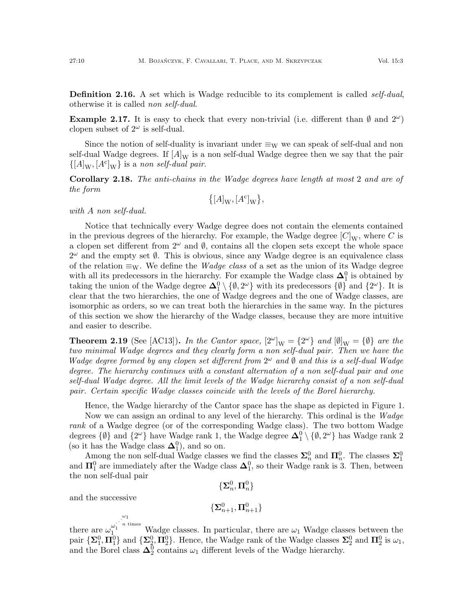**Definition 2.16.** A set which is Wadge reducible to its complement is called *self-dual*, otherwise it is called non self-dual.

**Example 2.17.** It is easy to check that every non-trivial (i.e. different than  $\emptyset$  and  $2^{\omega}$ ) clopen subset of  $2^{\omega}$  is self-dual.

Since the notion of self-duality is invariant under  $\equiv_W$  we can speak of self-dual and non self-dual Wadge degrees. If  $[A]_W$  is a non self-dual Wadge degree then we say that the pair  $\{[A]_{\text{W}}, [A^{\text{c}}]_{\text{W}}\}$  is a non self-dual pair.

Corollary 2.18. The anti-chains in the Wadge degrees have length at most 2 and are of the form  $\epsilon_{\rm max}$ 

$$
\{[A]_{\mathcal{W}}, [A^{\mathcal{C}}]_{\mathcal{W}}\},\
$$

with A non self-dual.

Notice that technically every Wadge degree does not contain the elements contained in the previous degrees of the hierarchy. For example, the Wadge degree  $[C]_W$ , where C is a clopen set different from  $2^{\omega}$  and  $\emptyset$ , contains all the clopen sets except the whole space  $2^{\omega}$  and the empty set  $\emptyset$ . This is obvious, since any Wadge degree is an equivalence class of the relation  $\equiv_W$ . We define the *Wadge class* of a set as the union of its Wadge degree with all its predecessors in the hierarchy. For example the Wadge class  $\Delta_1^0$  is obtained by taking the union of the Wadge degree  $\Delta_1^0 \setminus \{\emptyset, 2^{\omega}\}\$  with its predecessors  $\{\emptyset\}$  and  $\{2^{\omega}\}\$ . It is clear that the two hierarchies, the one of Wadge degrees and the one of Wadge classes, are isomorphic as orders, so we can treat both the hierarchies in the same way. In the pictures of this section we show the hierarchy of the Wadge classes, because they are more intuitive and easier to describe.

**Theorem 2.19** (See [\[AC13\]](#page-58-7)). In the Cantor space,  $[2^{\omega}]_W = {2^{\omega}}$  and  $[\emptyset]_W = {\emptyset}$  are the two minimal Wadge degrees and they clearly form a non self-dual pair. Then we have the Wadge degree formed by any clopen set different from  $2^{\omega}$  and  $\emptyset$  and this is a self-dual Wadge degree. The hierarchy continues with a constant alternation of a non self-dual pair and one self-dual Wadge degree. All the limit levels of the Wadge hierarchy consist of a non self-dual pair. Certain specific Wadge classes coincide with the levels of the Borel hierarchy.

Hence, the Wadge hierarchy of the Cantor space has the shape as depicted in Figure [1.](#page-1-0)

Now we can assign an ordinal to any level of the hierarchy. This ordinal is the Wadge rank of a Wadge degree (or of the corresponding Wadge class). The two bottom Wadge degrees  $\{\emptyset\}$  and  $\{2^{\omega}\}$  have Wadge rank 1, the Wadge degree  $\mathbf{\Delta}_1^0 \setminus \{\emptyset, 2^{\omega}\}$  has Wadge rank 2 (so it has the Wadge class  $\Delta_1^0$ ), and so on.

Among the non self-dual Wadge classes we find the classes  $\Sigma_n^0$  and  $\Pi_n^0$ . The classes  $\Sigma_1^0$ and  $\Pi_1^0$  are immediately after the Wadge class  $\Delta_1^0$ , so their Wadge rank is 3. Then, between the non self-dual pair

$$
\{\boldsymbol{\Sigma}^0_n,\boldsymbol{\Pi}^0_n\}
$$

and the successive

$$
\{\boldsymbol{\Sigma}^0_{n+1}, \boldsymbol{\Pi}^0_{n+1}\}
$$

there are  $\omega_1^{\omega_1^{\dots^{\omega_1}}}$  $\frac{\omega_1}{1}$ <sup>n times</sup> Wadge classes. In particular, there are  $\omega_1$  Wadge classes between the pair  $\{\mathbf{\Sigma}_1^0, \mathbf{\Pi}_1^0\}$  and  $\{\mathbf{\Sigma}_2^0, \mathbf{\Pi}_2^0\}$ . Hence, the Wadge rank of the Wadge classes  $\mathbf{\Sigma}_2^0$  and  $\mathbf{\Pi}_2^0$  is  $\omega_1$ , and the Borel class  $\Delta_2^0$  contains  $\omega_1$  different levels of the Wadge hierarchy.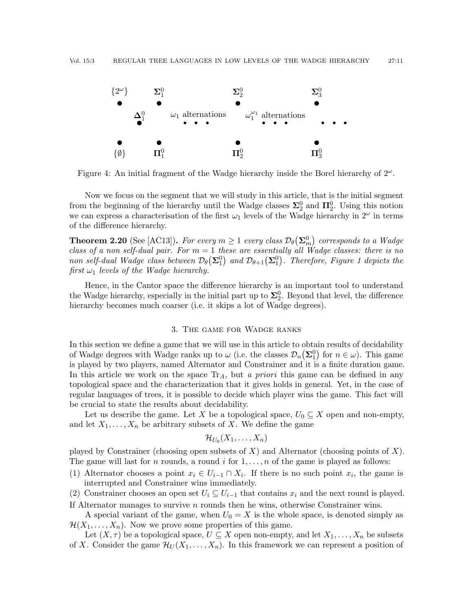

Figure 4: An initial fragment of the Wadge hierarchy inside the Borel hierarchy of  $2^{\omega}$ .

Now we focus on the segment that we will study in this article, that is the initial segment from the beginning of the hierarchy until the Wadge classes  $\Sigma_2^0$  and  $\Pi_2^0$ . Using this notion we can express a characterisation of the first  $\omega_1$  levels of the Wadge hierarchy in  $2^{\omega}$  in terms of the difference hierarchy.

**Theorem 2.20** (See [\[AC13\]](#page-58-7)). For every  $m \geq 1$  every class  $\mathcal{D}_{\theta}(\mathbf{\Sigma}_{m}^{0})$  corresponds to a Wadge class of a non self-dual pair. For  $m = 1$  these are essentially all Wadge classes: there is no non self-dual Wadge class between  $\mathcal{D}_{\theta}(\mathbf{\Sigma}_1^0)$  and  $\mathcal{D}_{\theta+1}(\mathbf{\Sigma}_1^0)$ . Therefore, Figure [1](#page-1-0) depicts the first  $\omega_1$  levels of the Wadge hierarchy.

Hence, in the Cantor space the difference hierarchy is an important tool to understand the Wadge hierarchy, especially in the initial part up to  $\Sigma_2^0$ . Beyond that level, the difference hierarchy becomes much coarser (i.e. it skips a lot of Wadge degrees).

### 3. The game for Wadge ranks

<span id="page-10-0"></span>In this section we define a game that we will use in this article to obtain results of decidability of Wadge degrees with Wadge ranks up to  $\omega$  (i.e. the classes  $\mathcal{D}_n(\Sigma_1^0)$  for  $n \in \omega$ ). This game is played by two players, named Alternator and Constrainer and it is a finite duration game. In this article we work on the space  $Tr_A$ , but a priori this game can be defined in any topological space and the characterization that it gives holds in general. Yet, in the case of regular languages of trees, it is possible to decide which player wins the game. This fact will be crucial to state the results about decidability.

Let us describe the game. Let X be a topological space,  $U_0 \subseteq X$  open and non-empty, and let  $X_1, \ldots, X_n$  be arbitrary subsets of X. We define the game

$$
\mathcal{H}_{U_0}(X_1,\ldots,X_n)
$$

played by Constrainer (choosing open subsets of X) and Alternator (choosing points of X). The game will last for n rounds, a round i for  $1, \ldots, n$  of the game is played as follows:

- (1) Alternator chooses a point  $x_i \in U_{i-1} \cap X_i$ . If there is no such point  $x_i$ , the game is interrupted and Constrainer wins immediately.
- (2) Constrainer chooses an open set  $U_i \subseteq U_{i-1}$  that contains  $x_i$  and the next round is played. If Alternator manages to survive n rounds then he wins, otherwise Constrainer wins.

A special variant of the game, when  $U_0 = X$  is the whole space, is denoted simply as  $\mathcal{H}(X_1,\ldots,X_n)$ . Now we prove some properties of this game.

Let  $(X, \tau)$  be a topological space,  $U \subseteq X$  open non-empty, and let  $X_1, \ldots, X_n$  be subsets of X. Consider the game  $\mathcal{H}_U(X_1,\ldots,X_n)$ . In this framework we can represent a position of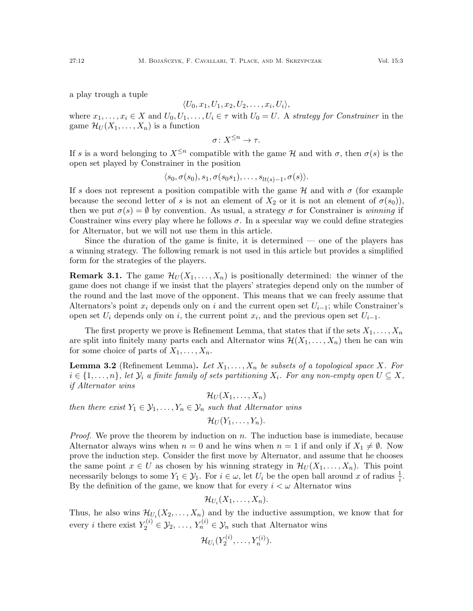a play trough a tuple

$$
\langle U_0, x_1, U_1, x_2, U_2, \ldots, x_i, U_i \rangle,
$$

where  $x_1, \ldots, x_i \in X$  and  $U_0, U_1, \ldots, U_i \in \tau$  with  $U_0 = U$ . A strategy for Constrainer in the game  $\mathcal{H}_U(X_1,\ldots,X_n)$  is a function

$$
\sigma\colon X^{\leq n}\to\tau.
$$

If s is a word belonging to  $X^{\leq n}$  compatible with the game H and with  $\sigma$ , then  $\sigma(s)$  is the open set played by Constrainer in the position

$$
\langle s_0, \sigma(s_0), s_1, \sigma(s_0s_1), \ldots, s_{lt(s)-1}, \sigma(s) \rangle.
$$

If s does not represent a position compatible with the game  $H$  and with  $\sigma$  (for example because the second letter of s is not an element of  $X_2$  or it is not an element of  $\sigma(s_0)$ , then we put  $\sigma(s) = \emptyset$  by convention. As usual, a strategy  $\sigma$  for Constrainer is winning if Constrainer wins every play where he follows  $\sigma$ . In a specular way we could define strategies for Alternator, but we will not use them in this article.

Since the duration of the game is finite, it is determined — one of the players has a winning strategy. The following remark is not used in this article but provides a simplified form for the strategies of the players.

**Remark 3.1.** The game  $\mathcal{H}_U(X_1, \ldots, X_n)$  is positionally determined: the winner of the game does not change if we insist that the players' strategies depend only on the number of the round and the last move of the opponent. This means that we can freely assume that Alternators's point  $x_i$  depends only on i and the current open set  $U_{i-1}$ ; while Constrainer's open set  $U_i$  depends only on i, the current point  $x_i$ , and the previous open set  $U_{i-1}$ .

The first property we prove is Refinement Lemma, that states that if the sets  $X_1, \ldots, X_n$ are split into finitely many parts each and Alternator wins  $\mathcal{H}(X_1, \ldots, X_n)$  then he can win for some choice of parts of  $X_1, \ldots, X_n$ .

<span id="page-11-0"></span>**Lemma 3.2** (Refinement Lemma). Let  $X_1, \ldots, X_n$  be subsets of a topological space X. For  $i \in \{1, \ldots, n\}$ , let  $\mathcal{Y}_i$  a finite family of sets partitioning  $X_i$ . For any non-empty open  $U \subseteq X$ , if Alternator wins

$$
\mathcal{H}_U(X_1,\ldots,X_n)
$$

then there exist  $Y_1 \in \mathcal{Y}_1, \ldots, Y_n \in \mathcal{Y}_n$  such that Alternator wins

$$
\mathcal{H}_U(Y_1,\ldots,Y_n).
$$

*Proof.* We prove the theorem by induction on  $n$ . The induction base is immediate, because Alternator always wins when  $n = 0$  and he wins when  $n = 1$  if and only if  $X_1 \neq \emptyset$ . Now prove the induction step. Consider the first move by Alternator, and assume that he chooses the same point  $x \in U$  as chosen by his winning strategy in  $\mathcal{H}_U(X_1, \ldots, X_n)$ . This point necessarily belongs to some  $Y_1 \in \mathcal{Y}_1$ . For  $i \in \omega$ , let  $U_i$  be the open ball around x of radius  $\frac{1}{i}$ . By the definition of the game, we know that for every  $i < \omega$  Alternator wins

$$
\mathcal{H}_{U_i}(X_1,\ldots,X_n).
$$

Thus, he also wins  $\mathcal{H}_{U_i}(X_2,\ldots,X_n)$  and by the inductive assumption, we know that for every *i* there exist  $Y_2^{(i)} \in \mathcal{Y}_2, \ldots, Y_n^{(i)} \in \mathcal{Y}_n$  such that Alternator wins

$$
\mathcal{H}_{U_i}(Y_2^{(i)},\ldots,Y_n^{(i)}).
$$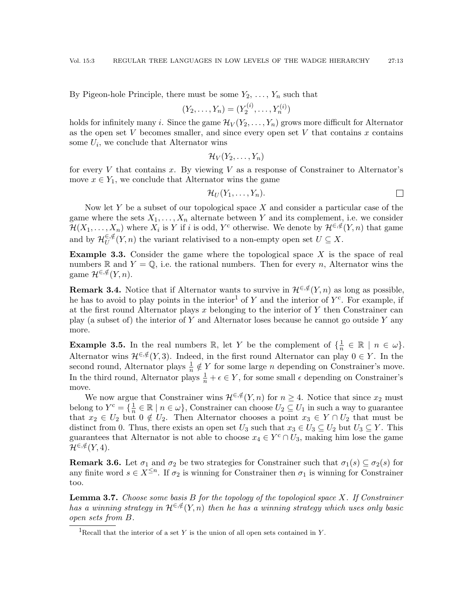By Pigeon-hole Principle, there must be some  $Y_2, \ldots, Y_n$  such that

$$
(Y_2, \ldots, Y_n) = (Y_2^{(i)}, \ldots, Y_n^{(i)})
$$

holds for infinitely many i. Since the game  $\mathcal{H}_V(Y_2, \ldots, Y_n)$  grows more difficult for Alternator as the open set  $V$  becomes smaller, and since every open set  $V$  that contains  $x$  contains some  $U_i$ , we conclude that Alternator wins

$$
\mathcal{H}_V(Y_2,\ldots,Y_n)
$$

for every  $V$  that contains  $x$ . By viewing  $V$  as a response of Constrainer to Alternator's move  $x \in Y_1$ , we conclude that Alternator wins the game

$$
\mathcal{H}_U(Y_1,\ldots,Y_n).
$$

Now let  $Y$  be a subset of our topological space  $X$  and consider a particular case of the game where the sets  $X_1, \ldots, X_n$  alternate between Y and its complement, i.e. we consider  $\mathcal{H}(X_1,\ldots,X_n)$  where  $X_i$  is Y if i is odd, Y<sup>c</sup> otherwise. We denote by  $\mathcal{H}^{\in,\notin}(Y,n)$  that game and by  $\mathcal{H}_{II}^{\in,\notin}$  $U^{\epsilon, \psi}(Y, n)$  the variant relativised to a non-empty open set  $U \subseteq X$ .

**Example 3.3.** Consider the game where the topological space  $X$  is the space of real numbers R and  $Y = \mathbb{Q}$ , i.e. the rational numbers. Then for every n, Alternator wins the game  $\mathcal{H}^{\in,\notin}(Y,n)$ .

**Remark 3.4.** Notice that if Alternator wants to survive in  $\mathcal{H}^{\in,\notin}(Y,n)$  as long as possible, he has to avoid to play points in the interior<sup>[1](#page-12-0)</sup> of Y and the interior of  $Y<sup>c</sup>$ . For example, if at the first round Alternator plays x belonging to the interior of Y then Constrainer can play (a subset of) the interior of Y and Alternator loses because he cannot go outside Y any more.

**Example 3.5.** In the real numbers  $\mathbb{R}$ , let Y be the complement of  $\{\frac{1}{n}\}$  $\frac{1}{n} \in \mathbb{R} \mid n \in \omega$ . Alternator wins  $\mathcal{H}^{\in,\notin}(Y,3)$ . Indeed, in the first round Alternator can play  $0 \in Y$ . In the second round, Alternator plays  $\frac{1}{n} \notin Y$  for some large *n* depending on Constrainer's move. In the third round, Alternator plays  $\frac{1}{n} + \epsilon \in Y$ , for some small  $\epsilon$  depending on Constrainer's move.

We now argue that Constrainer wins  $\mathcal{H}^{\in,\notin}(Y,n)$  for  $n \geq 4$ . Notice that since  $x_2$  must belong to  $Y^c = \{\frac{1}{n} \in \mathbb{R} \mid n \in \omega\}$ , Constrainer can choose  $U_2 \subseteq U_1$  in such a way to guarantee that  $x_2 \in U_2$  but  $0 \notin U_2$ . Then Alternator chooses a point  $x_3 \in Y \cap U_2$  that must be distinct from 0. Thus, there exists an open set  $U_3$  such that  $x_3 \in U_3 \subseteq U_2$  but  $U_3 \subseteq Y$ . This guarantees that Alternator is not able to choose  $x_4 \in Y^c \cap U_3$ , making him lose the game  $\mathcal{H}^{\in,\notin}(Y,4).$ 

<span id="page-12-1"></span>**Remark 3.6.** Let  $\sigma_1$  and  $\sigma_2$  be two strategies for Constrainer such that  $\sigma_1(s) \subseteq \sigma_2(s)$  for any finite word  $s \in X^{\leq n}$ . If  $\sigma_2$  is winning for Constrainer then  $\sigma_1$  is winning for Constrainer too.

**Lemma 3.7.** Choose some basis  $B$  for the topology of the topological space  $X$ . If Constrainer has a winning strategy in  $\mathcal{H}^{\in,\notin}(Y,n)$  then he has a winning strategy which uses only basic open sets from B.

<span id="page-12-0"></span><sup>&</sup>lt;sup>1</sup>Recall that the interior of a set Y is the union of all open sets contained in Y.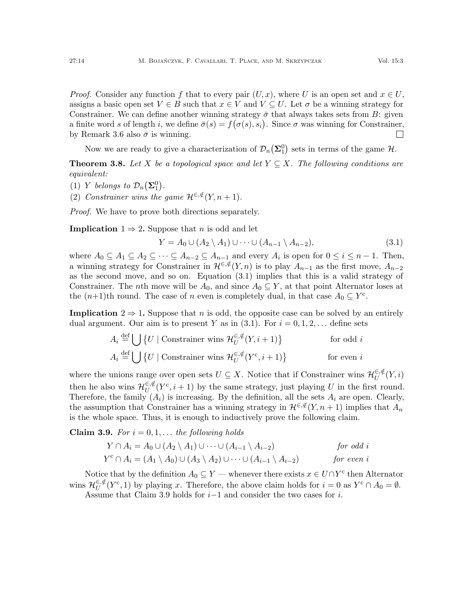*Proof.* Consider any function f that to every pair  $(U, x)$ , where U is an open set and  $x \in U$ , assigns a basic open set  $V \in B$  such that  $x \in V$  and  $V \subseteq U$ . Let  $\sigma$  be a winning strategy for Constrainer. We can define another winning strategy  $\bar{\sigma}$  that always takes sets from B: given a finite word s of length i, we define  $\bar{\sigma}(s) = f(\sigma(s), s_i)$ . Since  $\sigma$  was winning for Constrainer, by Remark [3.6](#page-12-1) also  $\bar{\sigma}$  is winning.  $\Box$ 

Now we are ready to give a characterization of  $\mathcal{D}_n(\mathbf{\Sigma}_1^0)$  sets in terms of the game  $\mathcal{H}$ .

<span id="page-13-0"></span>**Theorem 3.8.** Let X be a topological space and let  $Y \subseteq X$ . The following conditions are equivalent:

- (1) Y belongs to  $\mathcal{D}_n(\mathbf{\Sigma}_1^0)$ .
- (2) Constrainer wins the game  $\mathcal{H}^{\in,\notin}(Y, n+1)$ .

Proof. We have to prove both directions separately.

**Implication**  $1 \Rightarrow 2$ . Suppose that *n* is odd and let

<span id="page-13-1"></span>
$$
Y = A_0 \cup (A_2 \setminus A_1) \cup \dots \cup (A_{n-1} \setminus A_{n-2}),\tag{3.1}
$$

where  $A_0 \subseteq A_1 \subseteq A_2 \subseteq \cdots \subseteq A_{n-2} \subseteq A_{n-1}$  and every  $A_i$  is open for  $0 \leq i \leq n-1$ . Then, a winning strategy for Constrainer in  $\mathcal{H}^{\in,\notin}(Y,n)$  is to play  $A_{n-1}$  as the first move,  $A_{n-2}$ as the second move, and so on. Equation [\(3.1\)](#page-13-1) implies that this is a valid strategy of Constrainer. The nth move will be  $A_0$ , and since  $A_0 \subseteq Y$ , at that point Alternator loses at the  $(n+1)$ th round. The case of n even is completely dual, in that case  $A_0 \subseteq Y^c$ .

**Implication**  $2 \Rightarrow 1$ . Suppose that n is odd, the opposite case can be solved by an entirely dual argument. Our aim is to present Y as in  $(3.1)$ . For  $i = 0, 1, 2, \ldots$  define sets

$$
A_i \stackrel{\text{def}}{=} \bigcup \{ U \mid \text{Construct } w \text{ in } H_U^{\in, \notin}(Y, i+1) \} \qquad \text{for odd } i
$$
  

$$
A_i \stackrel{\text{def}}{=} \bigcup \{ U \mid \text{Construct } w \text{ in } H_U^{\in, \notin}(Y^c, i+1) \} \qquad \text{for even } i
$$

where the unions range over open sets  $U \subseteq X$ . Notice that if Constrainer wins  $\mathcal{H}_{U}^{\in, \notin}$  $\mathop{\mathrm{U}}\limits^{\in,\#}(Y,i)$ then he also wins  $\mathcal{H}_{U}^{\in\mathcal{J}}(Y^c, i+1)$  by the same strategy, just playing U in the first round. Therefore, the family  $(A_i)$  is increasing. By the definition, all the sets  $A_i$  are open. Clearly, the assumption that Constrainer has a winning strategy in  $\mathcal{H}^{\in,\notin}(Y,n+1)$  implies that  $A_n$ is the whole space. Thus, it is enough to inductively prove the following claim.

# <span id="page-13-2"></span>Claim 3.9. For  $i = 0, 1, \ldots$  the following holds

$$
Y \cap A_i = A_0 \cup (A_2 \setminus A_1) \cup \cdots \cup (A_{i-1} \setminus A_{i-2})
$$
 for odd i  

$$
Y^c \cap A_i = (A_1 \setminus A_0) \cup (A_3 \setminus A_2) \cup \cdots \cup (A_{i-1} \setminus A_{i-2})
$$
 for even i

Notice that by the definition  $A_0 \subseteq Y$  — whenever there exists  $x \in U \cap Y^c$  then Alternator wins  $\mathcal{H}_{II}^{\in,\notin}$  $U$ <sup>∈,∉</sup>( $Y$ <sup>c</sup>, 1) by playing x. Therefore, the above claim holds for  $i = 0$  as  $Y$ <sup>c</sup> ∩  $A_0 = \emptyset$ . Assume that Claim [3.9](#page-13-2) holds for  $i-1$  and consider the two cases for i.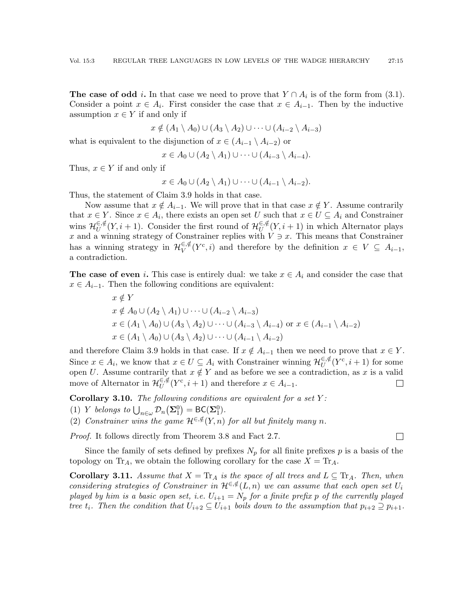The case of odd *i*. In that case we need to prove that  $Y \cap A_i$  is of the form from [\(3.1\)](#page-13-1). Consider a point  $x \in A_i$ . First consider the case that  $x \in A_{i-1}$ . Then by the inductive assumption  $x \in Y$  if and only if

$$
x \notin (A_1 \setminus A_0) \cup (A_3 \setminus A_2) \cup \cdots \cup (A_{i-2} \setminus A_{i-3})
$$

what is equivalent to the disjunction of  $x \in (A_{i-1} \setminus A_{i-2})$  or

$$
x \in A_0 \cup (A_2 \setminus A_1) \cup \cdots \cup (A_{i-3} \setminus A_{i-4}).
$$

Thus,  $x \in Y$  if and only if

$$
x \in A_0 \cup (A_2 \setminus A_1) \cup \cdots \cup (A_{i-1} \setminus A_{i-2}).
$$

Thus, the statement of Claim [3.9](#page-13-2) holds in that case.

Now assume that  $x \notin A_{i-1}$ . We will prove that in that case  $x \notin Y$ . Assume contrarily that  $x \in Y$ . Since  $x \in A_i$ , there exists an open set U such that  $x \in U \subseteq A_i$  and Constrainer wins  $\mathcal{H}_{II}^{\in,\notin}$  $U^{\in, \notin}(Y, i + 1)$ . Consider the first round of  $\mathcal{H}_U^{\in, \notin}$  $U^{\epsilon,\mu}(Y, i+1)$  in which Alternator plays x and a winning strategy of Constrainer replies with  $V \ni x$ . This means that Constrainer has a winning strategy in  $\mathcal{H}_V^{\in,\notin}$  $V^{\in, \notin}(Y^{\mathsf{c}}, i)$  and therefore by the definition  $x \in V \subseteq A_{i-1}$ , a contradiction.

**The case of even** i. This case is entirely dual: we take  $x \in A_i$  and consider the case that  $x \in A_{i-1}$ . Then the following conditions are equivalent:

$$
x \notin Y
$$
  
\n
$$
x \notin A_0 \cup (A_2 \setminus A_1) \cup \cdots \cup (A_{i-2} \setminus A_{i-3})
$$
  
\n
$$
x \in (A_1 \setminus A_0) \cup (A_3 \setminus A_2) \cup \cdots \cup (A_{i-3} \setminus A_{i-4}) \text{ or } x \in (A_{i-1} \setminus A_{i-2})
$$
  
\n
$$
x \in (A_1 \setminus A_0) \cup (A_3 \setminus A_2) \cup \cdots \cup (A_{i-1} \setminus A_{i-2})
$$

and therefore Claim [3.9](#page-13-2) holds in that case. If  $x \notin A_{i-1}$  then we need to prove that  $x \in Y$ . Since  $x \in A_i$ , we know that  $x \in U \subseteq A_i$  with Constrainer winning  $\mathcal{H}_U^{\in, \notin}$  $\mathcal{U}^{\epsilon,\notin}(Y^{\epsilon},i+1)$  for some open U. Assume contrarily that  $x \notin Y$  and as before we see a contradiction, as x is a valid move of Alternator in  $\mathcal{H}_{U}^{\in,\notin}$  $U^{\epsilon,\notin}(Y^{\epsilon}, i+1)$  and therefore  $x \in A_{i-1}$ .  $\overline{\phantom{a}}$ 

<span id="page-14-1"></span>Corollary 3.10. The following conditions are equivalent for a set  $Y$ :

(1) Y belongs to  $\bigcup_{n\in\omega} \mathcal{D}_n(\mathbf{\Sigma}^0_1) = \mathsf{BC}(\mathbf{\Sigma}^0_1).$ 

(2) Constrainer wins the game  $\mathcal{H}^{\in,\notin}(Y,n)$  for all but finitely many n.

Proof. It follows directly from Theorem [3.8](#page-13-0) and Fact [2.7.](#page-7-1)

Since the family of sets defined by prefixes  $N_p$  for all finite prefixes p is a basis of the topology on  $\text{Tr}_A$ , we obtain the following corollary for the case  $X = \text{Tr}_A$ .

 $\Box$ 

<span id="page-14-0"></span>**Corollary 3.11.** Assume that  $X = \text{Tr}_A$  is the space of all trees and  $L \subseteq \text{Tr}_A$ . Then, when considering strategies of Constrainer in  $\mathcal{H}^{\in,\notin}(L,n)$  we can assume that each open set  $U_i$ played by him is a basic open set, i.e.  $U_{i+1} = N_p$  for a finite prefix p of the currently played tree  $t_i$ . Then the condition that  $U_{i+2} \subseteq U_{i+1}$  boils down to the assumption that  $p_{i+2} \supseteq p_{i+1}$ .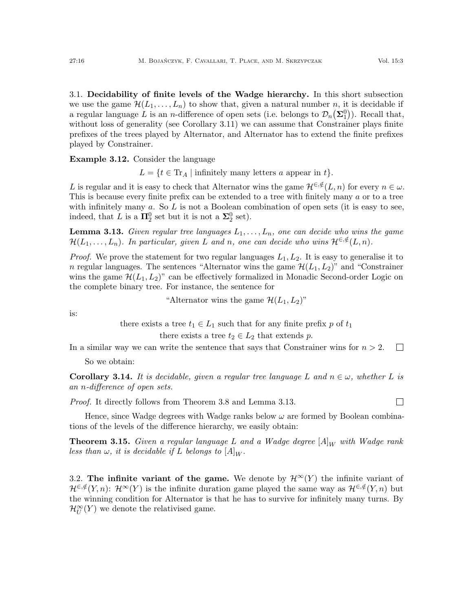$\Box$ 

<span id="page-15-0"></span>3.1. Decidability of finite levels of the Wadge hierarchy. In this short subsection we use the game  $\mathcal{H}(L_1, \ldots, L_n)$  to show that, given a natural number n, it is decidable if a regular language L is an *n*-difference of open sets (i.e. belongs to  $\mathcal{D}_n(\Sigma_1^0)$ ). Recall that, without loss of generality (see Corollary [3.11\)](#page-14-0) we can assume that Constrainer plays finite prefixes of the trees played by Alternator, and Alternator has to extend the finite prefixes played by Constrainer.

Example 3.12. Consider the language

 $L = \{t \in \text{Tr}_A \mid \text{infinitely many letters } a \text{ appear in } t\}.$ 

L is regular and it is easy to check that Alternator wins the game  $\mathcal{H}^{\in,\notin}(L,n)$  for every  $n \in \omega$ . This is because every finite prefix can be extended to a tree with finitely many a or to a tree with infinitely many  $a$ . So  $L$  is not a Boolean combination of open sets (it is easy to see, indeed, that L is a  $\mathbf{\Pi}_2^0$  set but it is not a  $\mathbf{\Sigma}_2^0$  set).

<span id="page-15-2"></span>**Lemma 3.13.** Given regular tree languages  $L_1, \ldots, L_n$ , one can decide who wins the game  $\mathcal{H}(L_1,\ldots,L_n)$ . In particular, given L and n, one can decide who wins  $\mathcal{H}^{\in,\notin}(L,n)$ .

*Proof.* We prove the statement for two regular languages  $L_1, L_2$ . It is easy to generalise it to n regular languages. The sentences "Alternator wins the game  $\mathcal{H}(L_1, L_2)$ " and "Constrainer wins the game  $\mathcal{H}(L_1, L_2)$ " can be effectively formalized in Monadic Second-order Logic on the complete binary tree. For instance, the sentence for

"Alternator wins the game  $\mathcal{H}(L_1, L_2)$ "

is:

there exists a tree  $t_1 \in L_1$  such that for any finite prefix p of  $t_1$ there exists a tree  $t_2 \in L_2$  that extends p.

In a similar way we can write the sentence that says that Constrainer wins for  $n > 2$ .  $\Box$ 

So we obtain:

<span id="page-15-3"></span>**Corollary 3.14.** It is decidable, given a regular tree language L and  $n \in \omega$ , whether L is an n-difference of open sets.

Proof. It directly follows from Theorem [3.8](#page-13-0) and Lemma [3.13.](#page-15-2)

Hence, since Wadge degrees with Wadge ranks below  $\omega$  are formed by Boolean combinations of the levels of the difference hierarchy, we easily obtain:

**Theorem 3.15.** Given a regular language L and a Wadge degree  $[A]_W$  with Wadge rank less than  $\omega$ , it is decidable if L belongs to  $[A]_W$ .

<span id="page-15-1"></span>3.2. The infinite variant of the game. We denote by  $\mathcal{H}^{\infty}(Y)$  the infinite variant of  $\mathcal{H}^{\in,\notin}(Y,n)$ :  $\mathcal{H}^{\infty}(Y)$  is the infinite duration game played the same way as  $\mathcal{H}^{\in,\notin}(Y,n)$  but the winning condition for Alternator is that he has to survive for infinitely many turns. By  $\mathcal{H}_U^{\infty}(Y)$  we denote the relativised game.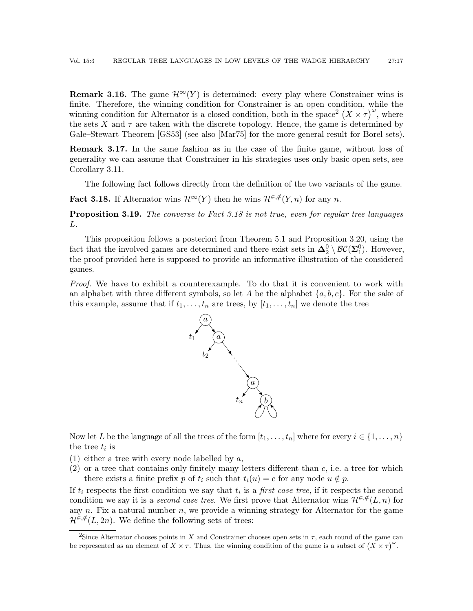**Remark 3.16.** The game  $\mathcal{H}^{\infty}(Y)$  is determined: every play where Constrainer wins is finite. Therefore, the winning condition for Constrainer is an open condition, while the winning condition for Alternator is a closed condition, both in the space<sup>[2](#page-16-0)</sup>  $(X \times \tau)^\omega$ , where the sets X and  $\tau$  are taken with the discrete topology. Hence, the game is determined by Gale–Stewart Theorem [\[GS53\]](#page-59-20) (see also [\[Mar75\]](#page-59-21) for the more general result for Borel sets).

<span id="page-16-2"></span>Remark 3.17. In the same fashion as in the case of the finite game, without loss of generality we can assume that Constrainer in his strategies uses only basic open sets, see Corollary [3.11.](#page-14-0)

The following fact follows directly from the definition of the two variants of the game.

<span id="page-16-1"></span>**Fact 3.18.** If Alternator wins  $\mathcal{H}^{\infty}(Y)$  then he wins  $\mathcal{H}^{\infty}(Y,n)$  for any n.

**Proposition 3.19.** The converse to Fact [3.18](#page-16-1) is not true, even for regular tree languages L.

This proposition follows a posteriori from Theorem [5.1](#page-30-0) and Proposition [3.20,](#page-17-0) using the fact that the involved games are determined and there exist sets in  $\Delta_2^0 \setminus \mathcal{BC}(\Sigma_1^0)$ . However, the proof provided here is supposed to provide an informative illustration of the considered games.

Proof. We have to exhibit a counterexample. To do that it is convenient to work with an alphabet with three different symbols, so let A be the alphabet  $\{a, b, c\}$ . For the sake of this example, assume that if  $t_1, \ldots, t_n$  are trees, by  $[t_1, \ldots, t_n]$  we denote the tree



Now let L be the language of all the trees of the form  $[t_1, \ldots, t_n]$  where for every  $i \in \{1, \ldots, n\}$ the tree  $t_i$  is

- (1) either a tree with every node labelled by  $a$ ,
- $(2)$  or a tree that contains only finitely many letters different than c, i.e. a tree for which there exists a finite prefix p of  $t_i$  such that  $t_i(u) = c$  for any node  $u \notin p$ .

If  $t_i$  respects the first condition we say that  $t_i$  is a *first case tree*, if it respects the second condition we say it is a second case tree. We first prove that Alternator wins  $\mathcal{H}^{\in,\notin}(L,n)$  for any  $n$ . Fix a natural number  $n$ , we provide a winning strategy for Alternator for the game  $\mathcal{H}^{\in,\notin}(L,2n)$ . We define the following sets of trees:

<span id="page-16-0"></span><sup>&</sup>lt;sup>2</sup>Since Alternator chooses points in X and Constrainer chooses open sets in  $\tau$ , each round of the game can be represented as an element of  $X \times \tau$ . Thus, the winning condition of the game is a subset of  $(X \times \tau)$ <sup>"</sup>.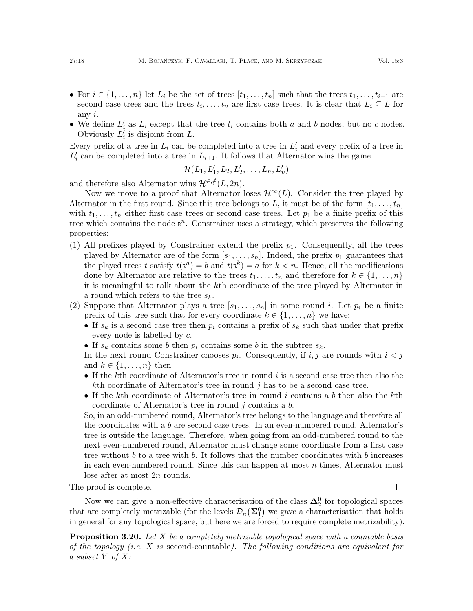- For  $i \in \{1, \ldots, n\}$  let  $L_i$  be the set of trees  $[t_1, \ldots, t_n]$  such that the trees  $t_1, \ldots, t_{i-1}$  are second case trees and the trees  $t_i, \ldots, t_n$  are first case trees. It is clear that  $L_i \subseteq L$  for any  $i$ .
- We define  $L_i'$  as  $L_i$  except that the tree  $t_i$  contains both a and b nodes, but no c nodes. Obviously  $L_i^j$  is disjoint from L.

Every prefix of a tree in  $L_i$  can be completed into a tree in  $L'_i$  and every prefix of a tree in  $L'_{i}$  can be completed into a tree in  $L_{i+1}$ . It follows that Alternator wins the game

$$
\mathcal{H}(L_1,L'_1,L_2,L'_2,\ldots,L_n,L'_n)
$$

and therefore also Alternator wins  $\mathcal{H}^{\in,\notin}(L, 2n)$ .

Now we move to a proof that Alternator loses  $\mathcal{H}^{\infty}(L)$ . Consider the tree played by Alternator in the first round. Since this tree belongs to L, it must be of the form  $[t_1, \ldots, t_n]$ with  $t_1, \ldots, t_n$  either first case trees or second case trees. Let  $p_1$  be a finite prefix of this tree which contains the node  $\mathbb{R}^n$ . Constrainer uses a strategy, which preserves the following properties:

- (1) All prefixes played by Constrainer extend the prefix  $p_1$ . Consequently, all the trees played by Alternator are of the form  $[s_1, \ldots, s_n]$ . Indeed, the prefix  $p_1$  guarantees that the played trees t satisfy  $t(\mathbf{R}^n) = b$  and  $t(\mathbf{R}^k) = a$  for  $k < n$ . Hence, all the modifications done by Alternator are relative to the trees  $t_1, \ldots, t_n$  and therefore for  $k \in \{1, \ldots, n\}$ it is meaningful to talk about the kth coordinate of the tree played by Alternator in a round which refers to the tree  $s_k$ .
- (2) Suppose that Alternator plays a tree  $[s_1, \ldots, s_n]$  in some round i. Let  $p_i$  be a finite prefix of this tree such that for every coordinate  $k \in \{1, \ldots, n\}$  we have:
	- If  $s_k$  is a second case tree then  $p_i$  contains a prefix of  $s_k$  such that under that prefix every node is labelled by c.
	- If  $s_k$  contains some b then  $p_i$  contains some b in the subtree  $s_k$ .

In the next round Constrainer chooses  $p_i$ . Consequently, if  $i, j$  are rounds with  $i < j$ and  $k \in \{1, \ldots, n\}$  then

- If the kth coordinate of Alternator's tree in round  $i$  is a second case tree then also the kth coordinate of Alternator's tree in round  $j$  has to be a second case tree.
- If the kth coordinate of Alternator's tree in round  $i$  contains a b then also the kth coordinate of Alternator's tree in round  $j$  contains a  $b$ .

So, in an odd-numbered round, Alternator's tree belongs to the language and therefore all the coordinates with a b are second case trees. In an even-numbered round, Alternator's tree is outside the language. Therefore, when going from an odd-numbered round to the next even-numbered round, Alternator must change some coordinate from a first case tree without b to a tree with b. It follows that the number coordinates with b increases in each even-numbered round. Since this can happen at most  $n$  times, Alternator must lose after at most 2n rounds.

The proof is complete.

Now we can give a non-effective characterisation of the class  $\mathbf{\Delta}^0_2$  for topological spaces that are completely metrizable (for the levels  $\mathcal{D}_n(\Sigma_1^0)$ ) we gave a characterisation that holds in general for any topological space, but here we are forced to require complete metrizability).

<span id="page-17-0"></span>**Proposition 3.20.** Let X be a completely metrizable topological space with a countable basis of the topology (i.e.  $X$  is second-countable). The following conditions are equivalent for a subset  $Y$  of  $X$ :

 $\Box$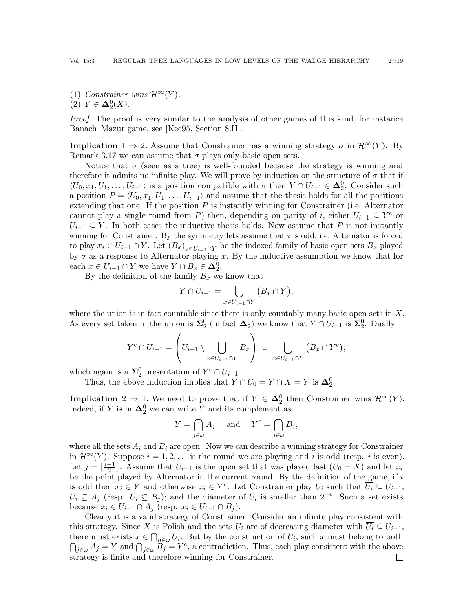(1) Constrainer wins  $\mathcal{H}^{\infty}(Y)$ . (2)  $Y \in \Delta_2^0(X)$ .

Proof. The proof is very similar to the analysis of other games of this kind, for instance Banach–Mazur game, see [\[Kec95,](#page-59-16) Section 8.H].

**Implication**  $1 \Rightarrow 2$ . Assume that Constrainer has a winning strategy  $\sigma$  in  $\mathcal{H}^{\infty}(Y)$ . By Remark [3.17](#page-16-2) we can assume that  $\sigma$  plays only basic open sets.

Notice that  $\sigma$  (seen as a tree) is well-founded because the strategy is winning and therefore it admits no infinite play. We will prove by induction on the structure of  $\sigma$  that if  $\langle U_0, x_1, U_1, \ldots, U_{i-1} \rangle$  is a position compatible with  $\sigma$  then  $Y \cap U_{i-1} \in \Delta_2^0$ . Consider such a position  $P = \langle U_0, x_1, U_1, \ldots, U_{i-1} \rangle$  and assume that the thesis holds for all the positions extending that one. If the position  $P$  is instantly winning for Constrainer (i.e. Alternator cannot play a single round from P) then, depending on parity of i, either  $U_{i-1} \subseteq Y^c$  or  $U_{i-1} \subseteq Y$ . In both cases the inductive thesis holds. Now assume that P is not instantly winning for Constrainer. By the symmetry lets assume that  $i$  is odd, i.e. Alternator is forced to play  $x_i \in U_{i-1} \cap Y$ . Let  $(B_x)_{x \in U_{i-1} \cap Y}$  be the indexed family of basic open sets  $B_x$  played by  $\sigma$  as a response to Alternator playing x. By the inductive assumption we know that for each  $x \in U_{i-1} \cap Y$  we have  $Y \cap B_x \in \mathbf{\Delta}_2^0$ .

By the definition of the family  $B_x$  we know that

$$
Y \cap U_{i-1} = \bigcup_{x \in U_{i-1} \cap Y} (B_x \cap Y),
$$

where the union is in fact countable since there is only countably many basic open sets in  $X$ . As every set taken in the union is  $\Sigma^0_2$  (in fact  $\Delta^0_2$ ) we know that  $Y \cap U_{i-1}$  is  $\Sigma^0_2$ . Dually

$$
Y^{c} \cap U_{i-1} = \left(U_{i-1} \setminus \bigcup_{x \in U_{i-1} \cap Y} B_{x}\right) \cup \bigcup_{x \in U_{i-1} \cap Y} \left(B_{x} \cap Y^{c}\right),
$$

which again is a  $\Sigma_2^0$  presentation of  $Y^c \cap U_{i-1}$ .

Thus, the above induction implies that  $Y \cap U_0 = Y \cap X = Y$  is  $\Delta_2^0$ .

**Implication**  $2 \Rightarrow 1$ . We need to prove that if  $Y \in \Delta_2^0$  then Constrainer wins  $\mathcal{H}^{\infty}(Y)$ . Indeed, if Y is in  $\Delta_2^0$  we can write Y and its complement as

$$
Y = \bigcap_{j \in \omega} A_j \quad \text{and} \quad Y^c = \bigcap_{j \in \omega} B_j,
$$

where all the sets  $A_i$  and  $B_i$  are open. Now we can describe a winning strategy for Constrainer in  $\mathcal{H}^{\infty}(Y)$ . Suppose  $i = 1, 2, \ldots$  is the round we are playing and i is odd (resp. i is even). Let  $j=\lfloor \frac{i-1}{2} \rfloor$  $\frac{-1}{2}$ . Assume that  $U_{i-1}$  is the open set that was played last  $(U_0 = X)$  and let  $x_i$ be the point played by Alternator in the current round. By the definition of the game, if  $i$ is odd then  $x_i \in Y$  and otherwise  $x_i \in Y^c$ . Let Constrainer play  $U_i$  such that  $\overline{U_i} \subseteq U_{i-1}$ ;  $U_i \subseteq A_j$  (resp.  $U_i \subseteq B_j$ ); and the diameter of  $U_i$  is smaller than  $2^{-i}$ . Such a set exists because  $x_i \in U_{i-1} \cap A_j$  (resp.  $x_i \in U_{i-1} \cap B_j$ ).

Clearly it is a valid strategy of Constrainer. Consider an infinite play consistent with this strategy. Since X is Polish and the sets  $U_i$  are of decreasing diameter with  $\overline{U_i} \subseteq U_{i-1}$ , there must exists  $x \in \bigcap_{n \in \omega} U_i$ . But by the construction of  $U_i$ , such x must belong to both  $\bigcap_{j\in\omega}A_j=Y$  and  $\bigcap_{j\in\omega}\widetilde{B_j}=Y^c$ , a contradiction. Thus, each play consistent with the above strategy is finite and therefore winning for Constrainer. $\boxed{\phantom{1}}$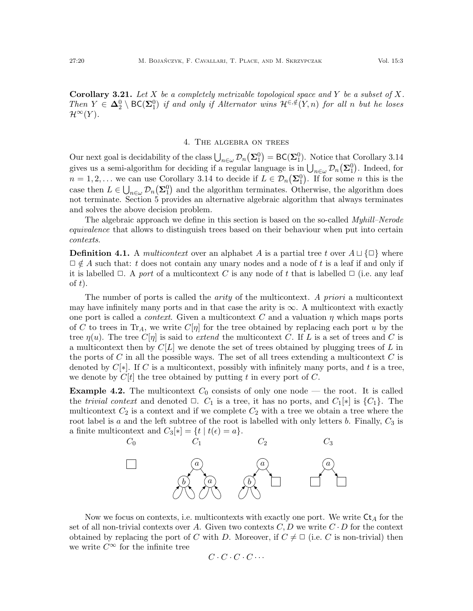**Corollary 3.21.** Let X be a completely metrizable topological space and Y be a subset of X. Then  $Y \in \Delta_2^0 \setminus BC(\Sigma_1^0)$  if and only if Alternator wins  $\mathcal{H}^{\in,\notin}(Y,n)$  for all n but he loses  $\mathcal{H}^{\infty}(Y)$ .

#### 4. The algebra on trees

<span id="page-19-0"></span>Our next goal is decidability of the class  $\bigcup_{n\in\omega} \mathcal{D}_n(\Sigma_1^0) = \mathsf{BC}(\Sigma_1^0)$ . Notice that Corollary [3.14](#page-15-3) gives us a semi-algorithm for deciding if a regular language is in  $\bigcup_{n\in\omega}\mathcal{D}_n(\Sigma_1^0)$ . Indeed, for  $n = 1, 2, ...$  we can use Corollary [3.14](#page-15-3) to decide if  $L \in \mathcal{D}_n(\Sigma_1^0)$ . If for some n this is the case then  $L \in \bigcup_{n \in \omega} \mathcal{D}_n(\Sigma_1^0)$  and the algorithm terminates. Otherwise, the algorithm does not terminate. Section [5](#page-30-1) provides an alternative algebraic algorithm that always terminates and solves the above decision problem.

The algebraic approach we define in this section is based on the so-called *Myhill–Nerode* equivalence that allows to distinguish trees based on their behaviour when put into certain contexts.

**Definition 4.1.** A *multicontext* over an alphabet A is a partial tree t over  $A \sqcup {\square}$  where  $\Box \notin A$  such that: t does not contain any unary nodes and a node of t is a leaf if and only if it is labelled  $\Box$ . A port of a multicontext C is any node of t that is labelled  $\Box$  (i.e. any leaf of  $t$ ).

The number of ports is called the *arity* of the multicontext. A priori a multicontext may have infinitely many ports and in that case the arity is  $\infty$ . A multicontext with exactly one port is called a *context*. Given a multicontext C and a valuation  $\eta$  which maps ports of C to trees in Tr<sub>A</sub>, we write  $C[\eta]$  for the tree obtained by replacing each port u by the tree  $\eta(u)$ . The tree  $C[\eta]$  is said to extend the multicontext C. If L is a set of trees and C is a multicontext then by  $C[L]$  we denote the set of trees obtained by plugging trees of L in the ports of C in all the possible ways. The set of all trees extending a multicontext C is denoted by  $C[*]$ . If C is a multicontext, possibly with infinitely many ports, and t is a tree, we denote by  $C[t]$  the tree obtained by putting t in every port of C.

**Example 4.2.** The multicontext  $C_0$  consists of only one node — the root. It is called the *trivial context* and denoted  $\Box$ .  $C_1$  is a tree, it has no ports, and  $C_1[*]$  is  $\{C_1\}$ . The multicontext  $C_2$  is a context and if we complete  $C_2$  with a tree we obtain a tree where the root label is a and the left subtree of the root is labelled with only letters b. Finally,  $C_3$  is a finite multicontext and  $C_3[*] = \{t \mid t(\epsilon) = a\}.$ 



Now we focus on contexts, i.e. multicontexts with exactly one port. We write  $\mathsf{C}t_A$  for the set of all non-trivial contexts over A. Given two contexts  $C, D$  we write  $C \cdot D$  for the context obtained by replacing the port of C with D. Moreover, if  $C \neq \square$  (i.e. C is non-trivial) then we write  $C^{\infty}$  for the infinite tree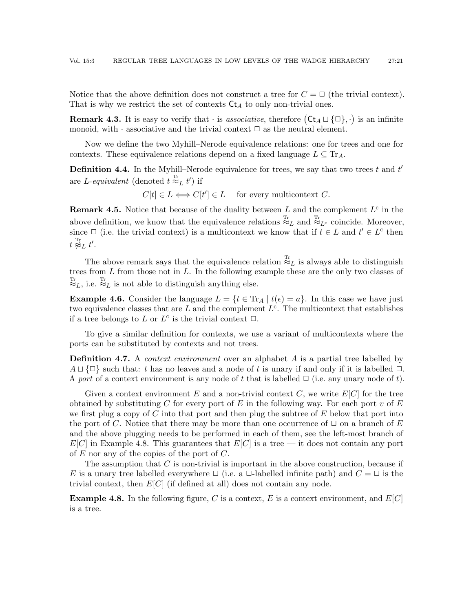Notice that the above definition does not construct a tree for  $C = \Box$  (the trivial context). That is why we restrict the set of contexts  $\mathsf{C}t_A$  to only non-trivial ones.

**Remark 4.3.** It is easy to verify that  $\cdot$  is associative, therefore  $( Ct_A \sqcup \{\Box\}, \cdot)$  is an infinite monoid, with  $\cdot$  associative and the trivial context  $\Box$  as the neutral element.

Now we define the two Myhill–Nerode equivalence relations: one for trees and one for contexts. These equivalence relations depend on a fixed language  $L \subseteq Tr_A$ .

<span id="page-20-2"></span>**Definition 4.4.** In the Myhill–Nerode equivalence for trees, we say that two trees  $t$  and  $t'$ are *L*-equivalent (denoted  $t \stackrel{\text{Tr}}{\approx}_L t'$ ) if

 $C[t] \in L \Longleftrightarrow C[t'] \in L$  for every multicontext C.

<span id="page-20-1"></span>**Remark 4.5.** Notice that because of the duality between L and the complement  $L^c$  in the above definition, we know that the equivalence relations  $\mathbb{E}_{L}^{\text{Tr}}$  and  $\mathbb{E}_{L^{c}}$  coincide. Moreover, since  $\Box$  (i.e. the trivial context) is a multicontext we know that if  $t \in L$  and  $t' \in L^c$  then  $t \stackrel{\text{\tiny T_{L}}}{\not\approx} t'.$ 

The above remark says that the equivalence relation  $\mathbb{R}^{T_r}_L$  is always able to distinguish trees from  $L$  from those not in  $L$ . In the following example these are the only two classes of  $\overset{\text{Tr}}{\approx}_L$ , i.e.  $\overset{\text{Tr}}{\approx}_L$  is not able to distinguish anything else.

**Example 4.6.** Consider the language  $L = \{t \in \text{Tr}_A \mid t(\epsilon) = a\}$ . In this case we have just two equivalence classes that are L and the complement  $L^c$ . The multicontext that establishes if a tree belongs to L or  $L^c$  is the trivial context  $\Box$ .

To give a similar definition for contexts, we use a variant of multicontexts where the ports can be substituted by contexts and not trees.

**Definition 4.7.** A *context environment* over an alphabet A is a partial tree labelled by  $A \sqcup \{\Box\}$  such that: t has no leaves and a node of t is unary if and only if it is labelled  $\Box$ . A port of a context environment is any node of t that is labelled  $\Box$  (i.e. any unary node of t).

Given a context environment E and a non-trivial context  $C$ , we write  $E[C]$  for the tree obtained by substituting C for every port of E in the following way. For each port v of E we first plug a copy of C into that port and then plug the subtree of  $E$  below that port into the port of C. Notice that there may be more than one occurrence of  $\Box$  on a branch of E and the above plugging needs to be performed in each of them, see the left-most branch of  $E[C]$  in Example [4.8.](#page-20-0) This guarantees that  $E[C]$  is a tree — it does not contain any port of  $E$  nor any of the copies of the port of  $C$ .

The assumption that  $C$  is non-trivial is important in the above construction, because if E is a unary tree labelled everywhere  $\Box$  (i.e. a  $\Box$ -labelled infinite path) and  $C = \Box$  is the trivial context, then  $E[C]$  (if defined at all) does not contain any node.

<span id="page-20-0"></span>**Example 4.8.** In the following figure, C is a context, E is a context environment, and  $E[C]$ is a tree.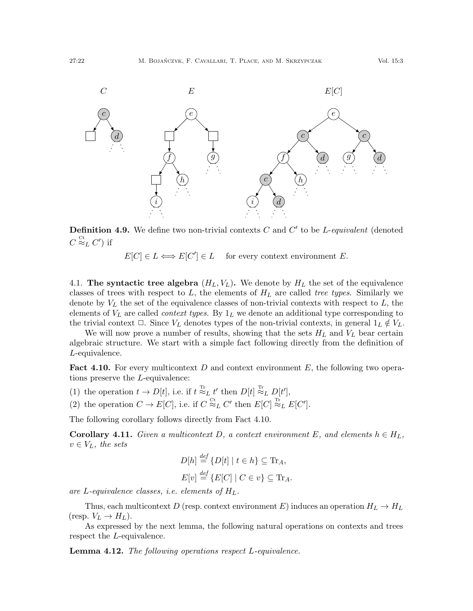

<span id="page-21-3"></span>**Definition 4.9.** We define two non-trivial contexts  $C$  and  $C'$  to be *L*-equivalent (denoted  $C \stackrel{\rm Ct}{\approx}_L C')$  if

 $E[C] \in L \Longleftrightarrow E[C'] \in L$  for every context environment E.

4.1. The syntactic tree algebra  $(H_L, V_L)$ . We denote by  $H_L$  the set of the equivalence classes of trees with respect to  $L$ , the elements of  $H_L$  are called tree types. Similarly we denote by  $V_L$  the set of the equivalence classes of non-trivial contexts with respect to  $L$ , the elements of  $V_L$  are called *context types*. By  $1_L$  we denote an additional type corresponding to the trivial context  $\Box$ . Since  $V_L$  denotes types of the non-trivial contexts, in general  $1_L \notin V_L$ .

We will now prove a number of results, showing that the sets  $H_L$  and  $V_L$  bear certain algebraic structure. We start with a simple fact following directly from the definition of L-equivalence.

<span id="page-21-0"></span>**Fact 4.10.** For every multicontext D and context environment E, the following two operations preserve the L-equivalence:

- (1) the operation  $t \to D[t]$ , i.e. if  $t \stackrel{\text{Tr}}{\approx}_L t'$  then  $D[t] \stackrel{\text{Tr}}{\approx}_L D[t']$ ,
- (2) the operation  $C \to E[C]$ , i.e. if  $C \stackrel{\text{ct}}{\approx}_L C'$  then  $E[C] \stackrel{\text{Tr}}{\approx}_L E[C']$ .

The following corollary follows directly from Fact [4.10.](#page-21-0)

<span id="page-21-1"></span>**Corollary 4.11.** Given a multicontext D, a context environment E, and elements  $h \in H_L$ ,  $v \in V_L$ , the sets

$$
D[h] \stackrel{def}{=} \{D[t] \mid t \in h\} \subseteq \text{Tr}_A,
$$
  

$$
E[v] \stackrel{def}{=} \{E[C] \mid C \in v\} \subseteq \text{Tr}_A.
$$

are L-equivalence classes, i.e. elements of  $H_L$ .

Thus, each multicontext D (resp. context environment E) induces an operation  $H_L \to H_L$ (resp.  $V_L \rightarrow H_L$ ).

As expressed by the next lemma, the following natural operations on contexts and trees respect the L-equivalence.

<span id="page-21-2"></span>**Lemma 4.12.** The following operations respect L-equivalence.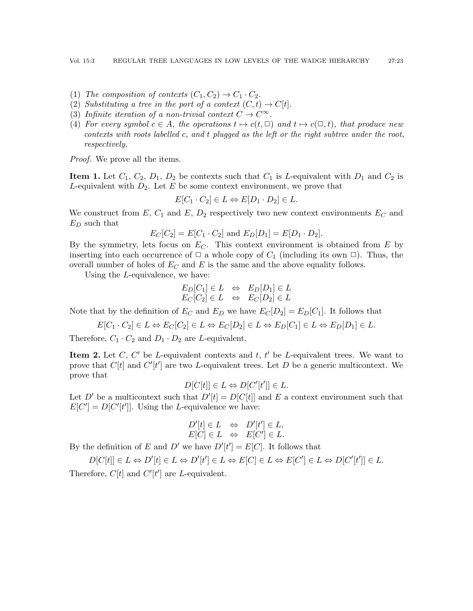- (1) The composition of contexts  $(C_1, C_2) \rightarrow C_1 \cdot C_2$ .
- (2) Substituting a tree in the port of a context  $(C, t) \rightarrow C[t]$ .
- (3) Infinite iteration of a non-trivial context  $C \to C^{\infty}$ .
- (4) For every symbol  $c \in A$ , the operations  $t \mapsto c(t, \Box)$  and  $t \mapsto c(\Box, t)$ , that produce new contexts with roots labelled c, and t plugged as the left or the right subtree under the root, respectively.

Proof. We prove all the items.

**Item 1.** Let  $C_1$ ,  $C_2$ ,  $D_1$ ,  $D_2$  be contexts such that  $C_1$  is L-equivalent with  $D_1$  and  $C_2$  is L-equivalent with  $D_2$ . Let E be some context environment, we prove that

$$
E[C_1 \cdot C_2] \in L \Leftrightarrow E[D_1 \cdot D_2] \in L.
$$

We construct from  $E, C_1$  and  $E, D_2$  respectively two new context environments  $E_C$  and  $E_D$  such that

$$
E_C[C_2] = E[C_1 \cdot C_2]
$$
 and  $E_D[D_1] = E[D_1 \cdot D_2]$ .

By the symmetry, lets focus on  $E<sub>C</sub>$ . This context environment is obtained from E by inserting into each occurrence of  $\Box$  a whole copy of  $C_1$  (including its own  $\Box$ ). Thus, the overall number of holes of  $E_C$  and E is the same and the above equality follows.

Using the L-equivalence, we have:

$$
E_D[C_1] \in L \Leftrightarrow E_D[D_1] \in L
$$
  

$$
E_C[C_2] \in L \Leftrightarrow E_C[D_2] \in L
$$

Note that by the definition of  $E_C$  and  $E_D$  we have  $E_C[D_2] = E_D[C_1]$ . It follows that

 $E[C_1 \cdot C_2] \in L \Leftrightarrow E_C[C_2] \in L \Leftrightarrow E_C[D_2] \in L \Leftrightarrow E_D[C_1] \in L \Leftrightarrow E_D[D_1] \in L.$ 

Therefore,  $C_1 \cdot C_2$  and  $D_1 \cdot D_2$  are *L*-equivalent.

**Item 2.** Let  $C$ ,  $C'$  be *L*-equivalent contexts and  $t$ ,  $t'$  be *L*-equivalent trees. We want to prove that  $C[t]$  and  $C'[t']$  are two L-equivalent trees. Let D be a generic multicontext. We prove that

$$
D[C[t]] \in L \Leftrightarrow D[C'[t']] \in L.
$$

Let D' be a multicontext such that  $D'[t] = D[C[t]]$  and E a context environment such that  $E[C'] = D[C'[t']].$  Using the L-equivalence we have:

$$
D'[t] \in L \Leftrightarrow D'[t'] \in L,
$$
  

$$
E[C] \in L \Leftrightarrow E[C'] \in L.
$$

By the definition of E and D' we have  $D'[t'] = E[C]$ . It follows that

 $D[C[t]] \in L \Leftrightarrow D'[t] \in L \Leftrightarrow D'[t'] \in L \Leftrightarrow E[C] \in L \Leftrightarrow E[C'] \in L \Leftrightarrow D[C'[t']] \in L.$ Therefore,  $C[t]$  and  $C'[t']$  are L-equivalent.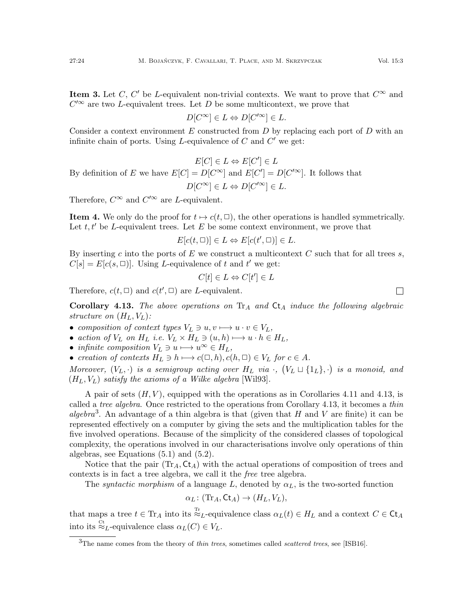**Item 3.** Let C, C' be L-equivalent non-trivial contexts. We want to prove that  $C^{\infty}$  and  $C^{\prime\infty}$  are two L-equivalent trees. Let D be some multicontext, we prove that

$$
D[C^{\infty}] \in L \Leftrightarrow D[C'^{\infty}] \in L.
$$

Consider a context environment  $E$  constructed from  $D$  by replacing each port of  $D$  with an infinite chain of ports. Using L-equivalence of  $C$  and  $C'$  we get:

$$
E[C] \in L \Leftrightarrow E[C'] \in L
$$
  
By definition of  $E$  we have  $E[C] = D[C^{\infty}]$  and  $E[C'] = D[C'^{\infty}]$ . It follows that  

$$
D[C^{\infty}] \in L \Leftrightarrow D[C'^{\infty}] \in L.
$$

Therefore,  $C^{\infty}$  and  $C'^{\infty}$  are *L*-equivalent.

**Item 4.** We only do the proof for  $t \mapsto c(t, \square)$ , the other operations is handled symmetrically. Let  $t, t'$  be L-equivalent trees. Let E be some context environment, we prove that

$$
E[c(t, \Box)] \in L \Leftrightarrow E[c(t', \Box)] \in L.
$$

By inserting c into the ports of E we construct a multicontext C such that for all trees  $s$ ,  $C[s] = E[c(s, \Box)].$  Using L-equivalence of t and t' we get:

$$
C[t] \in L \Leftrightarrow C[t'] \in L
$$

Therefore,  $c(t, \Box)$  and  $c(t', \Box)$  are L-equivalent.

<span id="page-23-0"></span>Corollary 4.13. The above operations on  $\text{Tr}_A$  and  $\text{C}_{A}$  induce the following algebraic structure on  $(H_L, V_L)$ :

- composition of context types  $V_L \ni u, v \longmapsto u \cdot v \in V_L$ ,
- action of  $V_L$  on  $H_L$  i.e.  $V_L \times H_L \ni (u, h) \longmapsto u \cdot h \in H_L$ ,
- infinite composition  $V_L \ni u \longmapsto u^{\infty} \in H_L$ ,
- creation of contexts  $H_L \ni h \longmapsto c(\square, h), c(h, \square) \in V_L$  for  $c \in A$ .

Moreover,  $(V_L, \cdot)$  is a semigroup acting over  $H_L$  via  $\cdot$ ,  $(V_L \sqcup \{1_L\}, \cdot)$  is a monoid, and  $(H_L, V_L)$  satisfy the axioms of a Wilke algebra [\[Wil93\]](#page-60-4).

A pair of sets  $(H, V)$ , equipped with the operations as in Corollaries [4.11](#page-21-1) and [4.13,](#page-23-0) is called a *tree algebra*. Once restricted to the operations from Corollary [4.13,](#page-23-0) it becomes a *thin* algebra<sup>[3](#page-23-1)</sup>. An advantage of a thin algebra is that (given that H and V are finite) it can be represented effectively on a computer by giving the sets and the multiplication tables for the five involved operations. Because of the simplicity of the considered classes of topological complexity, the operations involved in our characterisations involve only operations of thin algebras, see Equations [\(5.1\)](#page-30-2) and [\(5.2\)](#page-30-3).

Notice that the pair  $(Tr_A, Ct_A)$  with the actual operations of composition of trees and contexts is in fact a tree algebra, we call it the free tree algebra.

The *syntactic morphism* of a language L, denoted by  $\alpha_L$ , is the two-sorted function

$$
\alpha_L\colon (\mathrm{Tr}_A,\mathsf{Ct}_A)\to (H_L,V_L),
$$

that maps a tree  $t \in \text{Tr}_A$  into its  $\stackrel{\text{Tr}}{\approx}_L$ -equivalence class  $\alpha_L(t) \in H_L$  and a context  $C \in \text{Ct}_A$ into its  $\stackrel{\text{Ct}}{\approx}_L$ -equivalence class  $\alpha_L(C) \in V_L$ .

 $\Box$ 

<span id="page-23-1"></span><sup>&</sup>lt;sup>3</sup>The name comes from the theory of *thin trees*, sometimes called *scattered trees*, see [\[ISB16\]](#page-59-22).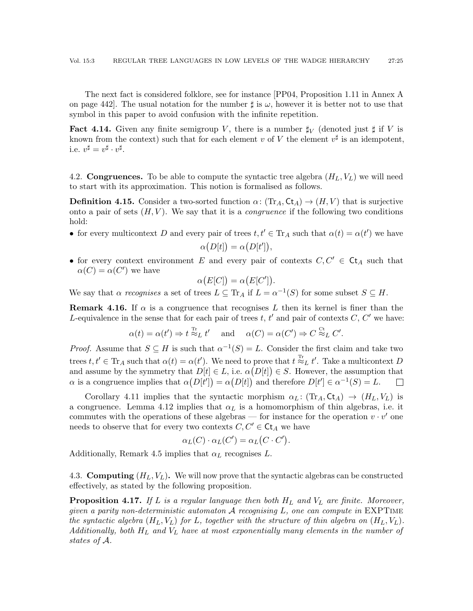The next fact is considered folklore, see for instance [\[PP04,](#page-59-8) Proposition 1.11 in Annex A on page 442. The usual notation for the number  $\sharp$  is  $\omega$ , however it is better not to use that symbol in this paper to avoid confusion with the infinite repetition.

<span id="page-24-1"></span>**Fact 4.14.** Given any finite semigroup V, there is a number  $\sharp_V$  (denoted just  $\sharp$  if V is known from the context) such that for each element v of V the element  $v^{\sharp}$  is an idempotent, i.e.  $v^{\sharp} = v^{\sharp} \cdot v^{\sharp}$ .

4.2. **Congruences.** To be able to compute the syntactic tree algebra  $(H_L, V_L)$  we will need to start with its approximation. This notion is formalised as follows.

**Definition 4.15.** Consider a two-sorted function  $\alpha: (\text{Tr}_A, \text{C}_{A}) \rightarrow (H, V)$  that is surjective onto a pair of sets  $(H, V)$ . We say that it is a *congruence* if the following two conditions hold:

• for every multicontext D and every pair of trees  $t, t' \in \text{Tr}_A$  such that  $\alpha(t) = \alpha(t')$  we have

$$
\alpha(D[t]) = \alpha(D[t']).
$$

• for every context environment E and every pair of contexts  $C, C' \in \mathsf{C}$ t<sub>A</sub> such that  $\alpha(C) = \alpha(C')$  we have

$$
\alpha(E[C]) = \alpha(E[C']).
$$

We say that  $\alpha$  recognises a set of trees  $L \subseteq Tr_A$  if  $L = \alpha^{-1}(S)$  for some subset  $S \subseteq H$ .

<span id="page-24-2"></span>**Remark 4.16.** If  $\alpha$  is a congruence that recognises L then its kernel is finer than the L-equivalence in the sense that for each pair of trees  $t, t'$  and pair of contexts  $C, C'$  we have:

$$
\alpha(t) = \alpha(t') \Rightarrow t \stackrel{\text{Tr}}{\approx_L} t'
$$
 and  $\alpha(C) = \alpha(C') \Rightarrow C \stackrel{\text{Ct}}{\approx_L} C'.$ 

*Proof.* Assume that  $S \subseteq H$  is such that  $\alpha^{-1}(S) = L$ . Consider the first claim and take two trees  $t, t' \in \text{Tr}_A$  such that  $\alpha(t) = \alpha(t')$ . We need to prove that  $t \stackrel{\text{Tr}}{\approx}_L t'$ . Take a multicontext D and assume by the symmetry that  $D[t] \in L$ , i.e.  $\alpha(D[t]) \in S$ . However, the assumption that  $\alpha$  is a congruence implies that  $\alpha(D[t']) = \alpha(D[t])$  and therefore  $D[t'] \in \alpha^{-1}(S) = L$ .  $\Box$ 

Corollary [4.11](#page-21-1) implies that the syntactic morphism  $\alpha_L: (\text{Tr}_A, \text{Ct}_A) \rightarrow (H_L, V_L)$  is a congruence. Lemma [4.12](#page-21-2) implies that  $\alpha_L$  is a homomorphism of thin algebras, i.e. it commutes with the operations of these algebras — for instance for the operation  $v \cdot v'$  one needs to observe that for every two contexts  $C, C' \in \mathsf{C}t_A$  we have

$$
\alpha_L(C) \cdot \alpha_L(C') = \alpha_L(C \cdot C').
$$

Additionally, Remark [4.5](#page-20-1) implies that  $\alpha_L$  recognises L.

4.3. **Computing**  $(H_L, V_L)$ . We will now prove that the syntactic algebras can be constructed effectively, as stated by the following proposition.

<span id="page-24-0"></span>**Proposition 4.17.** If L is a regular language then both  $H_L$  and  $V_L$  are finite. Moreover, given a parity non-deterministic automaton  $A$  recognising  $L$ , one can compute in EXPTIME the syntactic algebra  $(H_L, V_L)$  for L, together with the structure of thin algebra on  $(H_L, V_L)$ . Additionally, both  $H_L$  and  $V_L$  have at most exponentially many elements in the number of states of A.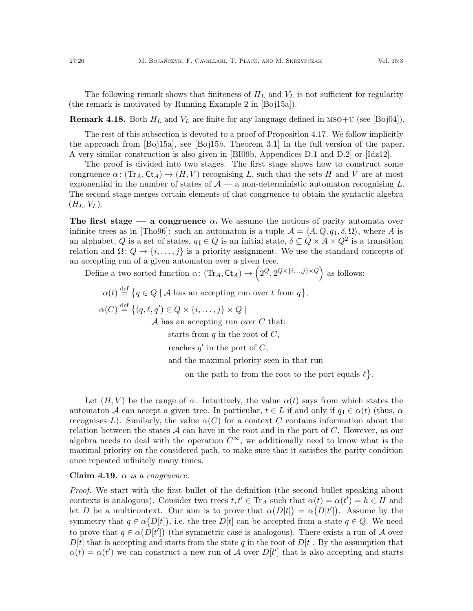The following remark shows that finiteness of  $H_L$  and  $V_L$  is not sufficient for regularity (the remark is motivated by Running Example 2 in [\[Boj15a\]](#page-58-8)).

**Remark 4.18.** Both  $H_L$  and  $V_L$  are finite for any language defined in MSO+U (see [\[Boj04\]](#page-58-9)).

The rest of this subsection is devoted to a proof of Proposition [4.17.](#page-24-0) We follow implicitly the approach from [\[Boj15a\]](#page-58-8), see [\[Boj15b,](#page-58-10) Theorem 3.1] in the full version of the paper. A very similar construction is also given in [\[BI09b,](#page-58-11) Appendices D.1 and D.2] or [\[Idz12\]](#page-59-23).

The proof is divided into two stages. The first stage shows how to construct some congruence  $\alpha: (\text{Tr}_A, \text{Ct}_A) \to (H, V)$  recognising L, such that the sets H and V are at most exponential in the number of states of  $\mathcal{A}$  — a non-deterministic automaton recognising L. The second stage merges certain elements of that congruence to obtain the syntactic algebra  $(H_L, V_L)$ .

The first stage — a congruence  $\alpha$ . We assume the notions of parity automata over infinite trees as in [\[Tho96\]](#page-60-5): such an automaton is a tuple  $\mathcal{A} = (A, Q, q_1, \delta, \Omega)$ , where A is an alphabet, Q is a set of states,  $q_1 \in Q$  is an initial state,  $\delta \subseteq Q \times A \times Q^2$  is a transition relation and  $\Omega: Q \to \{i, \ldots, j\}$  is a priority assignment. We use the standard concepts of an accepting run of a given automaton over a given tree.

Define a two-sorted function  $\alpha \colon (\text{Tr}_A, \text{Ct}_A) \to (2^Q, 2^{Q \times \{i, ..., j\} \times Q})$  as follows:

 $\alpha(t) \stackrel{\text{def}}{=} \{q \in Q \mid A \text{ has an accepting run over } t \text{ from } q\},\$  $\alpha(C) \stackrel{\text{def}}{=} \{(q, \ell, q') \in Q \times \{i, \ldots, j\} \times Q \mid$  $A$  has an accepting run over  $C$  that: starts from  $q$  in the root of  $C$ , reaches  $q'$  in the port of  $C$ , and the maximal priority seen in that run on the path to from the root to the port equals  $\ell$ .

Let  $(H, V)$  be the range of  $\alpha$ . Intuitively, the value  $\alpha(t)$  says from which states the automaton A can accept a given tree. In particular,  $t \in L$  if and only if  $q_1 \in \alpha(t)$  (thus,  $\alpha$ recognises L). Similarly, the value  $\alpha(C)$  for a context C contains information about the relation between the states  $\mathcal A$  can have in the root and in the port of C. However, as our algebra needs to deal with the operation  $C^{\infty}$ , we additionally need to know what is the maximal priority on the considered path, to make sure that it satisfies the parity condition once repeated infinitely many times.

Claim 4.19.  $\alpha$  is a congruence.

Proof. We start with the first bullet of the definition (the second bullet speaking about contexts is analogous). Consider two trees  $t, t' \in \text{Tr}_A$  such that  $\alpha(t) = \alpha(t') = h \in H$  and let D be a multicontext. Our aim is to prove that  $\alpha(D[t]) = \alpha(D[t'])$ . Assume by the symmetry that  $q \in \alpha(D[t])$ , i.e. the tree  $D[t]$  can be accepted from a state  $q \in Q$ . We need to prove that  $q \in \alpha(D[t'])$  (the symmetric case is analogous). There exists a run of A over  $D[t]$  that is accepting and starts from the state q in the root of  $D[t]$ . By the assumption that  $\alpha(t) = \alpha(t')$  we can construct a new run of A over  $D[t']$  that is also accepting and starts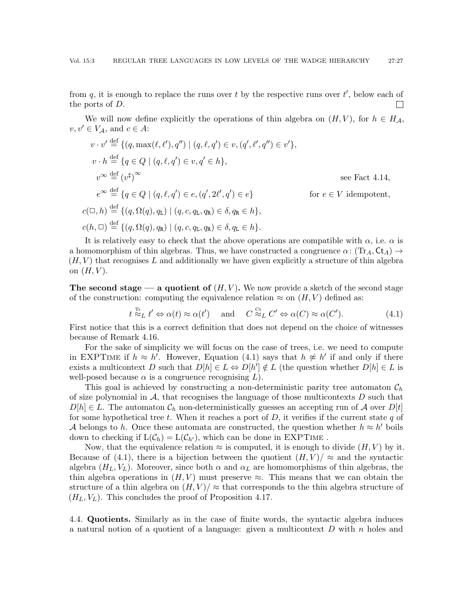from  $q$ , it is enough to replace the runs over t by the respective runs over  $t'$ , below each of the ports of D.  $\Box$ 

We will now define explicitly the operations of thin algebra on  $(H, V)$ , for  $h \in H_A$ ,  $v, v' \in V_{\mathcal{A}}$ , and  $c \in A$ :

$$
v \cdot v' \stackrel{\text{def}}{=} \{ (q, \max(\ell, \ell'), q'') \mid (q, \ell, q') \in v, (q', \ell', q'') \in v' \},
$$
  
\n
$$
v \cdot h \stackrel{\text{def}}{=} \{ q \in Q \mid (q, \ell, q') \in v, q' \in h \},
$$
  
\n
$$
v^{\infty} \stackrel{\text{def}}{=} (v^{\sharp})^{\infty}
$$
  
\n
$$
e^{\infty} \stackrel{\text{def}}{=} \{ q \in Q \mid (q, \ell, q') \in e, (q', 2\ell', q') \in e \}
$$
  
\n
$$
c(\Box, h) \stackrel{\text{def}}{=} \{ (q, \Omega(q), q_{\text{L}}) \mid (q, c, q_{\text{L}}, q_{\text{R}}) \in \delta, q_{\text{R}} \in h \},
$$
  
\n
$$
c(h, \Box) \stackrel{\text{def}}{=} \{ (q, \Omega(q), q_{\text{R}}) \mid (q, c, q_{\text{L}}, q_{\text{R}}) \in \delta, q_{\text{L}} \in h \}.
$$

It is relatively easy to check that the above operations are compatible with  $\alpha$ , i.e.  $\alpha$  is a homomorphism of thin algebras. Thus, we have constructed a congruence  $\alpha: (\text{Tr}_A, \text{C}_{A}) \rightarrow$  $(H, V)$  that recognises L and additionally we have given explicitly a structure of thin algebra on  $(H, V)$ .

The second stage — a quotient of  $(H, V)$ . We now provide a sketch of the second stage of the construction: computing the equivalence relation  $\approx$  on  $(H, V)$  defined as:

> <span id="page-26-0"></span> $t \stackrel{\text{Tr}}{\approx_L} t' \Leftrightarrow \alpha(t) \approx \alpha(t') \quad \text{ and } \quad C \stackrel{\text{Ct}}{\approx_L} C' \Leftrightarrow \alpha(C) \approx \alpha(C')$  $(4.1)$

First notice that this is a correct definition that does not depend on the choice of witnesses because of Remark [4.16.](#page-24-2)

For the sake of simplicity we will focus on the case of trees, i.e. we need to compute in EXPTIME if  $h \approx h'$ . However, Equation [\(4.1\)](#page-26-0) says that  $h \not\approx h'$  if and only if there exists a multicontext D such that  $D[h] \in L \Leftrightarrow D[h'] \notin L$  (the question whether  $D[h] \in L$  is well-posed because  $\alpha$  is a congruence recognising  $L$ ).

This goal is achieved by constructing a non-deterministic parity tree automaton  $\mathcal{C}_h$ of size polynomial in  $A$ , that recognises the language of those multicontexts  $D$  such that  $D[h] \in L$ . The automaton  $\mathcal{C}_h$  non-deterministically guesses an accepting run of A over  $D[t]$ for some hypothetical tree t. When it reaches a port of  $D$ , it verifies if the current state q of A belongs to h. Once these automata are constructed, the question whether  $h \approx h'$  boils down to checking if  $L(\mathcal{C}_h) = L(\mathcal{C}_{h'})$ , which can be done in EXPTIME.

Now, that the equivalence relation  $\approx$  is computed, it is enough to divide  $(H, V)$  by it. Because of [\(4.1\)](#page-26-0), there is a bijection between the quotient  $(H, V)/\approx$  and the syntactic algebra  $(H_L, V_L)$ . Moreover, since both  $\alpha$  and  $\alpha_L$  are homomorphisms of thin algebras, the thin algebra operations in  $(H, V)$  must preserve  $\approx$ . This means that we can obtain the structure of a thin algebra on  $(H, V)/\approx$  that corresponds to the thin algebra structure of  $(H_L, V_L)$ . This concludes the proof of Proposition [4.17.](#page-24-0)

<span id="page-26-1"></span>4.4. Quotients. Similarly as in the case of finite words, the syntactic algebra induces a natural notion of a quotient of a language: given a multicontext D with n holes and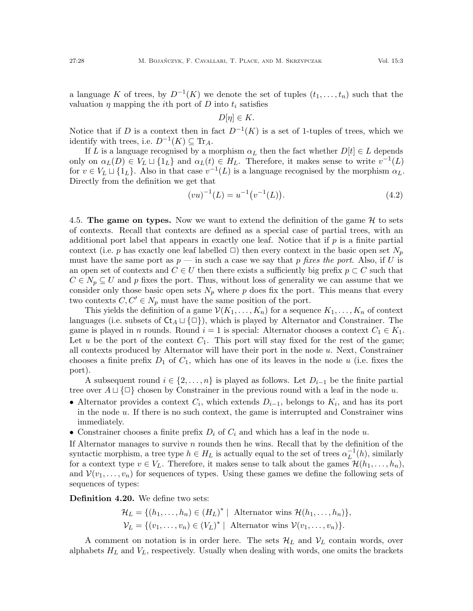a language K of trees, by  $D^{-1}(K)$  we denote the set of tuples  $(t_1, \ldots, t_n)$  such that the valuation  $\eta$  mapping the *i*th port of D into  $t_i$  satisfies

$$
D[\eta] \in K.
$$

Notice that if D is a context then in fact  $D^{-1}(K)$  is a set of 1-tuples of trees, which we identify with trees, i.e.  $D^{-1}(K) \subseteq \text{Tr}_A$ .

If L is a language recognised by a morphism  $\alpha_L$  then the fact whether  $D[t] \in L$  depends only on  $\alpha_L(D) \in V_L \sqcup \{1_L\}$  and  $\alpha_L(t) \in H_L$ . Therefore, it makes sense to write  $v^{-1}(L)$ for  $v \in V_L \sqcup \{1_L\}$ . Also in that case  $v^{-1}(L)$  is a language recognised by the morphism  $\alpha_L$ . Directly from the definition we get that

<span id="page-27-1"></span>
$$
(vu)^{-1}(L) = u^{-1}(v^{-1}(L)).
$$
\n(4.2)

<span id="page-27-0"></span>4.5. The game on types. Now we want to extend the definition of the game  $H$  to sets of contexts. Recall that contexts are defined as a special case of partial trees, with an additional port label that appears in exactly one leaf. Notice that if  $p$  is a finite partial context (i.e. p has exactly one leaf labelled  $\Box$ ) then every context in the basic open set  $N_p$ must have the same port as  $p$  — in such a case we say that p fixes the port. Also, if U is an open set of contexts and  $C \in U$  then there exists a sufficiently big prefix  $p \subset C$  such that  $C \in N_p \subseteq U$  and p fixes the port. Thus, without loss of generality we can assume that we consider only those basic open sets  $N_p$  where p does fix the port. This means that every two contexts  $C, C' \in N_p$  must have the same position of the port.

This yields the definition of a game  $\mathcal{V}(K_1, \ldots, K_n)$  for a sequence  $K_1, \ldots, K_n$  of context languages (i.e. subsets of  $\mathsf{C} t_A \sqcup \{\Box\}$ ), which is played by Alternator and Constrainer. The game is played in *n* rounds. Round  $i = 1$  is special: Alternator chooses a context  $C_1 \in K_1$ . Let u be the port of the context  $C_1$ . This port will stay fixed for the rest of the game; all contexts produced by Alternator will have their port in the node  $u$ . Next, Constrainer chooses a finite prefix  $D_1$  of  $C_1$ , which has one of its leaves in the node u (i.e. fixes the port).

A subsequent round  $i \in \{2, \ldots, n\}$  is played as follows. Let  $D_{i-1}$  be the finite partial tree over  $A \sqcup {\Box}$  chosen by Constrainer in the previous round with a leaf in the node u.

- Alternator provides a context  $C_i$ , which extends  $D_{i-1}$ , belongs to  $K_i$ , and has its port in the node u. If there is no such context, the game is interrupted and Constrainer wins immediately.
- Constrainer chooses a finite prefix  $D_i$  of  $C_i$  and which has a leaf in the node u.

If Alternator manages to survive n rounds then he wins. Recall that by the definition of the syntactic morphism, a tree type  $h \in H_L$  is actually equal to the set of trees  $\alpha_L^{-1}$  $L^{-1}(h)$ , similarly for a context type  $v \in V_L$ . Therefore, it makes sense to talk about the games  $\mathcal{H}(h_1, \ldots, h_n)$ , and  $\mathcal{V}(v_1,\ldots,v_n)$  for sequences of types. Using these games we define the following sets of sequences of types:

Definition 4.20. We define two sets:

$$
\mathcal{H}_L = \{(h_1, \ldots, h_n) \in (H_L)^* \mid \text{Alternative wins } \mathcal{H}(h_1, \ldots, h_n)\},\
$$
  

$$
\mathcal{V}_L = \{(v_1, \ldots, v_n) \in (V_L)^* \mid \text{Alternative wins } \mathcal{V}(v_1, \ldots, v_n)\}.
$$

A comment on notation is in order here. The sets  $\mathcal{H}_L$  and  $\mathcal{V}_L$  contain words, over alphabets  $H_L$  and  $V_L$ , respectively. Usually when dealing with words, one omits the brackets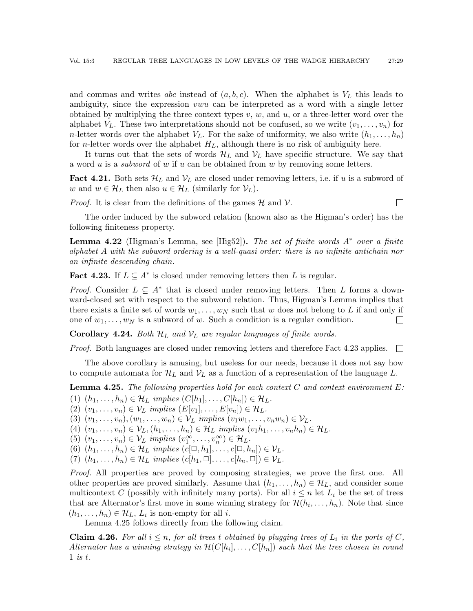and commas and writes abc instead of  $(a, b, c)$ . When the alphabet is  $V<sub>L</sub>$  this leads to ambiguity, since the expression vwu can be interpreted as a word with a single letter obtained by multiplying the three context types  $v, w$ , and  $u$ , or a three-letter word over the alphabet  $V_L$ . These two interpretations should not be confused, so we write  $(v_1, \ldots, v_n)$  for *n*-letter words over the alphabet  $V_L$ . For the sake of uniformity, we also write  $(h_1, \ldots, h_n)$ for *n*-letter words over the alphabet  $H_L$ , although there is no risk of ambiguity here.

It turns out that the sets of words  $\mathcal{H}_L$  and  $\mathcal{V}_L$  have specific structure. We say that a word u is a *subword* of w if u can be obtained from w by removing some letters.

<span id="page-28-2"></span>**Fact 4.21.** Both sets  $\mathcal{H}_L$  and  $\mathcal{V}_L$  are closed under removing letters, i.e. if u is a subword of w and  $w \in \mathcal{H}_L$  then also  $u \in \mathcal{H}_L$  (similarly for  $\mathcal{V}_L$ ).

*Proof.* It is clear from the definitions of the games  $H$  and  $V$ .

The order induced by the subword relation (known also as the Higman's order) has the following finiteness property.

 $\Box$ 

**Lemma 4.22** (Higman's Lemma, see [\[Hig52\]](#page-59-24)). The set of finite words  $A^*$  over a finite alphabet A with the subword ordering is a well-quasi order: there is no infinite antichain nor an infinite descending chain.

<span id="page-28-0"></span>Fact 4.23. If  $L \subseteq A^*$  is closed under removing letters then L is regular.

*Proof.* Consider  $L \subseteq A^*$  that is closed under removing letters. Then L forms a downward-closed set with respect to the subword relation. Thus, Higman's Lemma implies that there exists a finite set of words  $w_1, \ldots, w_N$  such that w does not belong to L if and only if one of  $w_1, \ldots, w_N$  is a subword of w. Such a condition is a regular condition.  $\Box$ 

**Corollary 4.24.** Both  $\mathcal{H}_L$  and  $\mathcal{V}_L$  are regular languages of finite words.

Proof. Both languages are closed under removing letters and therefore Fact [4.23](#page-28-0) applies.  $\Box$ 

The above corollary is amusing, but useless for our needs, because it does not say how to compute automata for  $\mathcal{H}_L$  and  $\mathcal{V}_L$  as a function of a representation of the language L.

<span id="page-28-1"></span>**Lemma 4.25.** The following properties hold for each context  $C$  and context environment  $E$ :

(1)  $(h_1, \ldots, h_n) \in \mathcal{H}_L$  implies  $(C[h_1], \ldots, C[h_n]) \in \mathcal{H}_L$ .

<span id="page-28-3"></span>(2)  $(v_1, \ldots, v_n) \in \mathcal{V}_L$  implies  $(E[v_1], \ldots, E[v_n]) \in \mathcal{H}_L$ .

(3)  $(v_1, ..., v_n), (w_1, ..., w_n) \in \mathcal{V}_L$  implies  $(v_1w_1, ..., v_nw_n) \in \mathcal{V}_L$ .

(4)  $(v_1, \ldots, v_n) \in \mathcal{V}_L$ ,  $(h_1, \ldots, h_n) \in \mathcal{H}_L$  implies  $(v_1h_1, \ldots, v_nh_n) \in \mathcal{H}_L$ .

(5)  $(v_1, \ldots, v_n) \in \mathcal{V}_L$  implies  $(v_1^{\infty}, \ldots, v_n^{\infty}) \in \mathcal{H}_L$ .

(6)  $(h_1, \ldots, h_n) \in \mathcal{H}_L$  implies  $(c[\Box, h_1], \ldots, c[\Box, h_n]) \in \mathcal{V}_L$ .

(7)  $(h_1, \ldots, h_n) \in \mathcal{H}_L$  implies  $(c[h_1, \Box], \ldots, c[h_n, \Box]) \in \mathcal{V}_L$ .

Proof. All properties are proved by composing strategies, we prove the first one. All other properties are proved similarly. Assume that  $(h_1, \ldots, h_n) \in \mathcal{H}_L$ , and consider some multicontext C (possibly with infinitely many ports). For all  $i \leq n$  let  $L_i$  be the set of trees that are Alternator's first move in some winning strategy for  $\mathcal{H}(h_i, \ldots, h_n)$ . Note that since  $(h_1, \ldots, h_n) \in \mathcal{H}_L$ ,  $L_i$  is non-empty for all *i*.

Lemma [4.25](#page-28-1) follows directly from the following claim.

**Claim 4.26.** For all  $i \leq n$ , for all trees t obtained by plugging trees of  $L_i$  in the ports of C, Alternator has a winning strategy in  $\mathcal{H}(C[h_i], \ldots, C[h_n])$  such that the tree chosen in round 1 is t.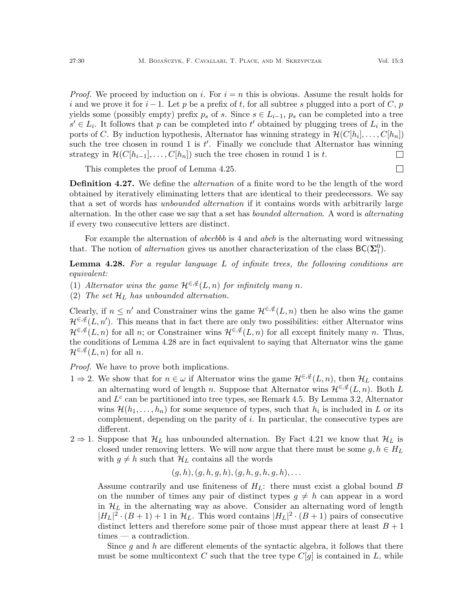$\Box$ 

*Proof.* We proceed by induction on i. For  $i = n$  this is obvious. Assume the result holds for i and we prove it for  $i-1$ . Let p be a prefix of t, for all subtree s plugged into a port of C, p yields some (possibly empty) prefix  $p_s$  of s. Since  $s \in L_{i-1}$ ,  $p_s$  can be completed into a tree  $s' \in L_i$ . It follows that p can be completed into t' obtained by plugging trees of  $L_i$  in the ports of C. By induction hypothesis, Alternator has winning strategy in  $\mathcal{H}(C[h_i], \ldots, C[h_n])$ such the tree chosen in round 1 is  $t'$ . Finally we conclude that Alternator has winning strategy in  $\mathcal{H}(C[h_{i-1}], \ldots, C[h_n])$  such the tree chosen in round 1 is t.  $\Box$ 

This completes the proof of Lemma [4.25.](#page-28-1)

<span id="page-29-1"></span>**Definition 4.27.** We define the *alternation* of a finite word to be the length of the word obtained by iteratively eliminating letters that are identical to their predecessors. We say that a set of words has *unbounded alternation* if it contains words with arbitrarily large alternation. In the other case we say that a set has bounded alternation. A word is alternating if every two consecutive letters are distinct.

For example the alternation of *abccbbb* is 4 and *abcb* is the alternating word witnessing that. The notion of *alternation* gives us another characterization of the class  $BC(\Sigma_1^0)$ .

<span id="page-29-0"></span>**Lemma 4.28.** For a regular language  $L$  of infinite trees, the following conditions are equivalent:

- (1) Alternator wins the game  $\mathcal{H}^{\in,\notin}(L,n)$  for infinitely many n.
- (2) The set  $\mathcal{H}_L$  has unbounded alternation.

Clearly, if  $n \leq n'$  and Constrainer wins the game  $\mathcal{H}^{\in,\notin}(L,n)$  then he also wins the game  $\mathcal{H}^{\in,\notin}(L,n')$ . This means that in fact there are only two possibilities: either Alternator wins  $\mathcal{H}^{\in,\notin}(L,n)$  for all n; or Constrainer wins  $\mathcal{H}^{\in,\notin}(L,n)$  for all except finitely many n. Thus, the conditions of Lemma [4.28](#page-29-0) are in fact equivalent to saying that Alternator wins the game  $\mathcal{H}^{\in,\notin}(L,n)$  for all n.

Proof. We have to prove both implications.

- 1 ⇒ 2. We show that for  $n \in \omega$  if Alternator wins the game  $\mathcal{H}^{\in,\notin}(L,n)$ , then  $\mathcal{H}_L$  contains an alternating word of length n. Suppose that Alternator wins  $\mathcal{H}^{\in,\notin}(L,n)$ . Both L and  $L^c$  can be partitioned into tree types, see Remark [4.5.](#page-20-1) By Lemma [3.2,](#page-11-0) Alternator wins  $\mathcal{H}(h_1,\ldots,h_n)$  for some sequence of types, such that  $h_i$  is included in L or its complement, depending on the parity of  $i$ . In particular, the consecutive types are different.
- $2 \Rightarrow 1$ . Suppose that  $\mathcal{H}_L$  has unbounded alternation. By Fact [4.21](#page-28-2) we know that  $\mathcal{H}_L$  is closed under removing letters. We will now argue that there must be some  $g, h \in H_L$ with  $g \neq h$  such that  $\mathcal{H}_L$  contains all the words

$$
(g,h),(g,h,g,h),(g,h,g,h,g,h),\ldots
$$

Assume contrarily and use finiteness of  $H_L$ : there must exist a global bound B on the number of times any pair of distinct types  $g \neq h$  can appear in a word in  $\mathcal{H}_L$  in the alternating way as above. Consider an alternating word of length  $|H_L|^2 \cdot (B+1) + 1$  in  $\mathcal{H}_L$ . This word contains  $|H_L|^2 \cdot (B+1)$  pairs of consecutive distinct letters and therefore some pair of those must appear there at least  $B + 1$ times — a contradiction.

Since g and h are different elements of the syntactic algebra, it follows that there must be some multicontext C such that the tree type  $C[g]$  is contained in L, while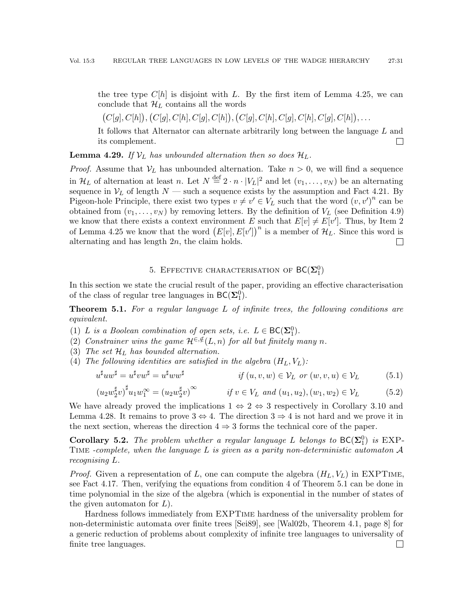the tree type  $C[h]$  is disjoint with L. By the first item of Lemma [4.25,](#page-28-1) we can conclude that  $\mathcal{H}_L$  contains all the words

 $(C[g], C[h]), (C[g], C[h], C[g], C[h]), (C[g], C[h], C[g], C[h], C[g], C[h]), \ldots$ 

It follows that Alternator can alternate arbitrarily long between the language L and its complement.  $\Box$ 

<span id="page-30-4"></span>**Lemma 4.29.** If  $V_L$  has unbounded alternation then so does  $\mathcal{H}_L$ .

*Proof.* Assume that  $V_L$  has unbounded alternation. Take  $n > 0$ , we will find a sequence in  $\mathcal{H}_L$  of alternation at least n. Let  $N \stackrel{\text{def}}{=} 2 \cdot n \cdot |V_L|^2$  and let  $(v_1, \ldots, v_N)$  be an alternating sequence in  $V_L$  of length  $N$  — such a sequence exists by the assumption and Fact [4.21.](#page-28-2) By Pigeon-hole Principle, there exist two types  $v \neq v' \in V_L$  such that the word  $(v, v')^n$  can be obtained from  $(v_1, \ldots, v_N)$  by removing letters. By the definition of  $V_L$  (see Definition [4.9\)](#page-21-3) we know that there exists a context environment E such that  $E[v] \neq E[v']$ . Thus, by Item [2](#page-28-3) of Lemma [4.25](#page-28-1) we know that the word  $(E[v], E[v'])^n$  is a member of  $\mathcal{H}_L$ . Since this word is alternating and has length 2n, the claim holds.  $\Box$ 

# <span id="page-30-3"></span><span id="page-30-2"></span>5. EFFECTIVE CHARACTERISATION OF  $\mathsf{BC}(\mathbf{\Sigma}_1^0)$

<span id="page-30-1"></span>In this section we state the crucial result of the paper, providing an effective characterisation of the class of regular tree languages in  $\mathsf{BC}(\Sigma_1^0)$ .

<span id="page-30-0"></span>**Theorem 5.1.** For a regular language  $L$  of infinite trees, the following conditions are equivalent.

- (1) L is a Boolean combination of open sets, i.e.  $L \in BC(\Sigma_1^0)$ .
- (2) Constrainer wins the game  $\mathcal{H}^{\in,\notin}(L,n)$  for all but finitely many n.
- (3) The set  $\mathcal{H}_L$  has bounded alternation.
- (4) The following identities are satisfied in the algebra  $(H_L, V_L)$ :

$$
u^{\sharp}uw^{\sharp} = u^{\sharp}vw^{\sharp} = u^{\sharp}ww^{\sharp} \qquad \qquad if (u, v, w) \in \mathcal{V}_L \text{ or } (w, v, u) \in \mathcal{V}_L \qquad (5.1)
$$

$$
\left(u_2 w_2^{\sharp} v\right)^{\sharp} u_1 w_1^{\infty} = \left(u_2 w_2^{\sharp} v\right)^{\infty} \qquad \text{if } v \in V_L \text{ and } (u_1, u_2), (w_1, w_2) \in \mathcal{V}_L \tag{5.2}
$$

We have already proved the implications  $1 \Leftrightarrow 2 \Leftrightarrow 3$  respectively in Corollary [3.10](#page-14-1) and Lemma [4.28.](#page-29-0) It remains to prove  $3 \Leftrightarrow 4$ . The direction  $3 \Rightarrow 4$  is not hard and we prove it in the next section, whereas the direction  $4 \Rightarrow 3$  forms the technical core of the paper.

**Corollary 5.2.** The problem whether a regular language L belongs to  $BC(\Sigma_1^0)$  is EXP-TIME -complete, when the language L is given as a parity non-deterministic automaton  $\mathcal A$ recognising L.

*Proof.* Given a representation of L, one can compute the algebra  $(H_L, V_L)$  in EXPTIME, see Fact [4.17.](#page-24-0) Then, verifying the equations from condition 4 of Theorem [5.1](#page-30-0) can be done in time polynomial in the size of the algebra (which is exponential in the number of states of the given automaton for  $L$ ).

Hardness follows immediately from EXPTime hardness of the universality problem for non-deterministic automata over finite trees [\[Sei89\]](#page-59-25), see [\[Wal02b,](#page-60-6) Theorem 4.1, page 8] for a generic reduction of problems about complexity of infinite tree languages to universality of finite tree languages. $\Box$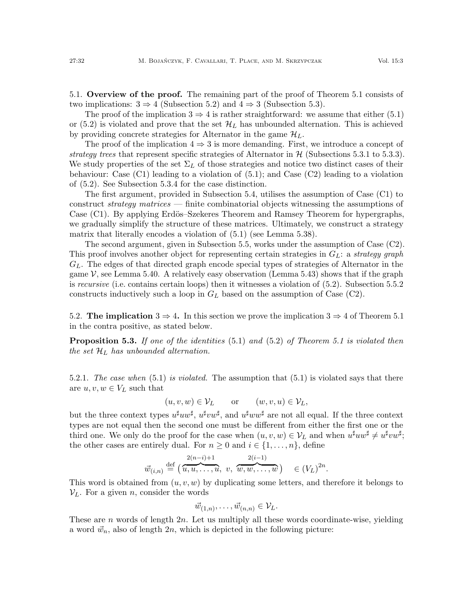5.1. Overview of the proof. The remaining part of the proof of Theorem [5.1](#page-30-0) consists of two implications:  $3 \Rightarrow 4$  (Subsection [5.2\)](#page-31-0) and  $4 \Rightarrow 3$  (Subsection [5.3\)](#page-33-0).

The proof of the implication  $3 \Rightarrow 4$  is rather straightforward: we assume that either [\(5.1\)](#page-30-2) or [\(5.2\)](#page-30-3) is violated and prove that the set  $\mathcal{H}_L$  has unbounded alternation. This is achieved by providing concrete strategies for Alternator in the game  $\mathcal{H}_L$ .

The proof of the implication  $4 \Rightarrow 3$  is more demanding. First, we introduce a concept of strategy trees that represent specific strategies of Alternator in  $\mathcal{H}$  (Subsections [5.3.1](#page-33-1) to [5.3.3\)](#page-37-1). We study properties of the set  $\Sigma_L$  of those strategies and notice two distinct cases of their behaviour: Case (C1) leading to a violation of [\(5.1\)](#page-30-2); and Case (C2) leading to a violation of [\(5.2\)](#page-30-3). See Subsection [5.3.4](#page-38-0) for the case distinction.

The first argument, provided in Subsection [5.4,](#page-39-0) utilises the assumption of Case (C1) to construct *strategy matrices* — finite combinatorial objects witnessing the assumptions of Case (C1). By applying Erdös–Szekeres Theorem and Ramsey Theorem for hypergraphs, we gradually simplify the structure of these matrices. Ultimately, we construct a strategy matrix that literally encodes a violation of  $(5.1)$  (see Lemma [5.38\)](#page-47-0).

The second argument, given in Subsection [5.5,](#page-48-0) works under the assumption of Case (C2). This proof involves another object for representing certain strategies in  $G_L$ : a strategy graph  $G_L$ . The edges of that directed graph encode special types of strategies of Alternator in the game  $\mathcal V$ , see Lemma [5.40.](#page-48-1) A relatively easy observation (Lemma [5.43\)](#page-49-0) shows that if the graph is recursive (i.e. contains certain loops) then it witnesses a violation of [\(5.2\)](#page-30-3). Subsection [5.5.2](#page-50-0) constructs inductively such a loop in  $G_L$  based on the assumption of Case (C2).

<span id="page-31-0"></span>5.2. The implication  $3 \Rightarrow 4$ . In this section we prove the implication  $3 \Rightarrow 4$  of Theorem [5.1](#page-30-0) in the contra positive, as stated below.

**Proposition 5.3.** If one of the identities  $(5.1)$  and  $(5.2)$  of Theorem [5.1](#page-30-0) is violated then the set  $\mathcal{H}_L$  has unbounded alternation.

5.2.1. The case when  $(5.1)$  is violated. The assumption that  $(5.1)$  is violated says that there are  $u, v, w \in V_L$  such that

$$
(u, v, w) \in \mathcal{V}_L
$$
 or  $(w, v, u) \in \mathcal{V}_L$ ,

but the three context types  $u^{\sharp}uw^{\sharp}$ ,  $u^{\sharp}vw^{\sharp}$ , and  $u^{\sharp}ww^{\sharp}$  are not all equal. If the three context types are not equal then the second one must be different from either the first one or the third one. We only do the proof for the case when  $(u, v, w) \in \mathcal{V}_L$  and when  $u^{\sharp}uw^{\sharp} \neq u^{\sharp}vw^{\sharp};$ the other cases are entirely dual. For  $n \geq 0$  and  $i \in \{1, ..., n\}$ , define

$$
\vec{w}_{(i,n)} \stackrel{\text{def}}{=} \left( \overbrace{u, u, \dots, u}^{2(n-i)+1}, v, \overbrace{w, w, \dots, w}^{2(i-1)} \right) \in (V_L)^{2n}.
$$

This word is obtained from  $(u, v, w)$  by duplicating some letters, and therefore it belongs to  $V_L$ . For a given *n*, consider the words

$$
\vec{w}_{(1,n)},\ldots,\vec{w}_{(n,n)}\in\mathcal{V}_L.
$$

These are n words of length  $2n$ . Let us multiply all these words coordinate-wise, yielding a word  $\vec{w}_n$ , also of length 2n, which is depicted in the following picture: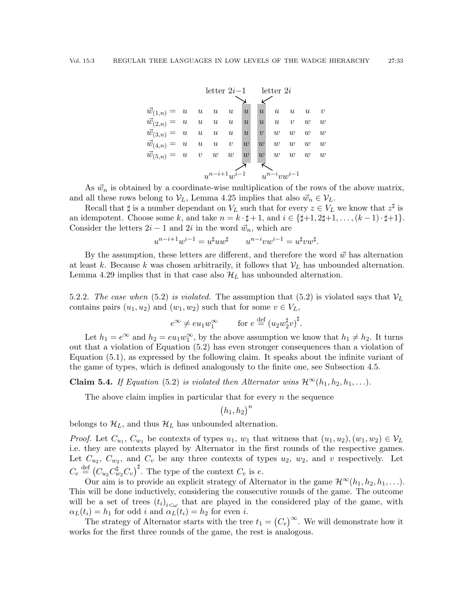|                                               |  |                    |   |                  | letter $2i-1$ letter $2i$           |             |                             |                  |
|-----------------------------------------------|--|--------------------|---|------------------|-------------------------------------|-------------|-----------------------------|------------------|
| $\vec{w}_{(1,n)} = u \quad u \quad u \quad u$ |  |                    | u | $\boldsymbol{u}$ |                                     |             | $u \quad u \quad u$         | $\boldsymbol{v}$ |
| $\vec{w}_{(2,n)} = u \quad u \quad u \quad u$ |  |                    | u |                  | $u \quad u \quad v \quad w \quad w$ |             |                             |                  |
| $\vec{w}_{(3,n)} = u \quad u \quad u \quad u$ |  |                    | u | $\upsilon$       |                                     |             | $w \quad w \quad w \quad w$ |                  |
| $\vec{w}_{(4,n)} = u \quad u \quad u \quad v$ |  |                    | w | w                |                                     | $w \quad w$ | $w - w$                     |                  |
| $\vec{w}_{(5,n)} = u \quad v \quad w \quad w$ |  |                    | w | w                |                                     | $w \quad w$ | $w - w$                     |                  |
|                                               |  | $u^{n-i+1}u^{i-1}$ |   |                  | $\sum_{n=1}^{\infty}$               |             |                             |                  |

As  $\vec{w}_n$  is obtained by a coordinate-wise multiplication of the rows of the above matrix, and all these rows belong to  $V_L$ , Lemma [4.25](#page-28-1) implies that also  $\vec{w}_n \in V_L$ .

Recall that  $\sharp$  is a number dependant on  $V_L$  such that for every  $z \in V_L$  we know that  $z^{\sharp}$  is an idempotent. Choose some k, and take  $n = k \cdot \sharp + 1$ , and  $i \in {\sharp +1, 2\sharp +1, \ldots, (k-1) \cdot \sharp + 1}.$ Consider the letters  $2i - 1$  and  $2i$  in the word  $\vec{w}_n$ , which are

$$
u^{n-i+1}w^{i-1} = u^{\sharp}uw^{\sharp} \qquad u^{n-i}vw^{i-1} = u^{\sharp}vw^{\sharp}.
$$

By the assumption, these letters are different, and therefore the word  $\vec{w}$  has alternation at least k. Because k was chosen arbitrarily, it follows that  $V_L$  has unbounded alternation. Lemma [4.29](#page-30-4) implies that in that case also  $\mathcal{H}_L$  has unbounded alternation.

5.2.2. The case when [\(5.2\)](#page-30-3) is violated. The assumption that (5.2) is violated says that  $V_L$ contains pairs  $(u_1, u_2)$  and  $(w_1, w_2)$  such that for some  $v \in V_L$ ,

$$
e^{\infty} \neq e u_1 w_1^{\infty} \qquad \text{for } e \stackrel{\text{def}}{=} (u_2 w_2^{\sharp} v)^{\sharp}.
$$

Let  $h_1 = e^{\infty}$  and  $h_2 = eu_1w_1^{\infty}$ , by the above assumption we know that  $h_1 \neq h_2$ . It turns out that a violation of Equation [\(5.2\)](#page-30-3) has even stronger consequences than a violation of Equation [\(5.1\)](#page-30-2), as expressed by the following claim. It speaks about the infinite variant of the game of types, which is defined analogously to the finite one, see Subsection [4.5.](#page-27-0)

**Claim 5.4.** If Equation [\(5.2\)](#page-30-3) is violated then Alternator wins  $\mathcal{H}^{\infty}(h_1, h_2, h_1, \ldots)$ .

The above claim implies in particular that for every  $n$  the sequence

$$
(h_1, h_2)^n
$$

belongs to  $\mathcal{H}_L$ , and thus  $\mathcal{H}_L$  has unbounded alternation.

*Proof.* Let  $C_{u_1}, C_{w_1}$  be contexts of types  $u_1, w_1$  that witness that  $(u_1, u_2), (w_1, w_2) \in V_L$ i.e. they are contexts played by Alternator in the first rounds of the respective games. Let  $C_{u_2}, C_{w_2}$ , and  $C_v$  be any three contexts of types  $u_2, w_2$ , and v respectively. Let  $C_e \stackrel{\text{def}}{=} (C_{u_2} C_{w_2}^{\sharp} C_v)^{\sharp}$ . The type of the context  $C_e$  is e.

Our aim is to provide an explicit strategy of Alternator in the game  $\mathcal{H}^{\infty}(h_1, h_2, h_1, \ldots)$ . This will be done inductively, considering the consecutive rounds of the game. The outcome will be a set of trees  $(t_i)_{i<\omega}$  that are played in the considered play of the game, with  $\alpha_L(t_i) = h_1$  for odd i and  $\alpha_L(t_i) = h_2$  for even i.

The strategy of Alternator starts with the tree  $t_1 = (C_e)^\infty$ . We will demonstrate how it works for the first three rounds of the game, the rest is analogous.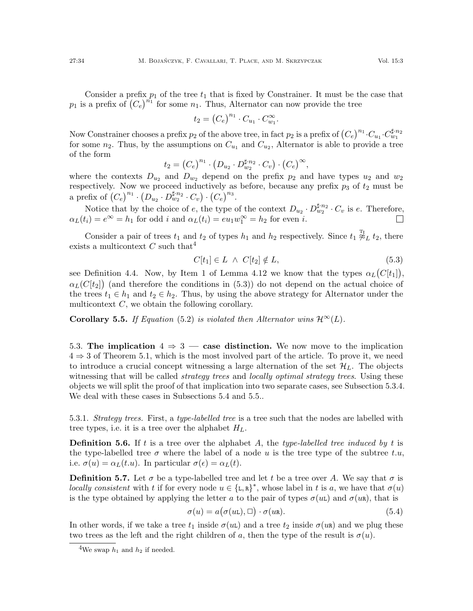Consider a prefix  $p_1$  of the tree  $t_1$  that is fixed by Constrainer. It must be the case that  $p_1$  is a prefix of  $(C_e)^{n_1}$  for some  $n_1$ . Thus, Alternator can now provide the tree

$$
t_2 = \left(C_e\right)^{n_1} \cdot C_{u_1} \cdot C_{w_1}^{\infty}.
$$

Now Constrainer chooses a prefix  $p_2$  of the above tree, in fact  $p_2$  is a prefix of  $(C_e)^{n_1} \cdot C_{u_1} \cdot C_{w_1}^{\sharp,n_2}$ for some  $n_2$ . Thus, by the assumptions on  $C_{u_1}$  and  $C_{u_2}$ , Alternator is able to provide a tree of the form

$$
t_2 = (C_e)^{n_1} \cdot (D_{u_2} \cdot D_{w_2}^{\sharp n_2} \cdot C_v) \cdot (C_e)^{\infty},
$$

where the contexts  $D_{u_2}$  and  $D_{w_2}$  depend on the prefix  $p_2$  and have types  $u_2$  and  $w_2$ respectively. Now we proceed inductively as before, because any prefix  $p_3$  of  $t_2$  must be a prefix of  $(C_e)^{n_1} \cdot (D_{u_2} \cdot D_{w_2}^{\sharp,n_2} \cdot C_v) \cdot (C_e)^{n_3}$ .

Notice that by the choice of e, the type of the context  $D_{u_2} \cdot D_{w_2}^{\sharp n_2} \cdot C_v$  is e. Therefore,  $\alpha_L(t_i) = e^{\infty} = h_1$  for odd *i* and  $\alpha_L(t_i) = eu_1w_1^{\infty} = h_2$  for even *i*.

Consider a pair of trees  $t_1$  and  $t_2$  of types  $h_1$  and  $h_2$  respectively. Since  $t_1 \overset{\text{T}_2}{\not\approx}_L t_2$ , there exists a multicontext  $C$  such that<sup>[4](#page-33-2)</sup>

<span id="page-33-3"></span>
$$
C[t_1] \in L \ \land \ C[t_2] \notin L,\tag{5.3}
$$

see Definition [4.4.](#page-20-2) Now, by Item 1 of Lemma [4.12](#page-21-2) we know that the types  $\alpha_L(C[t_1]),$  $\alpha_L(C[t_2])$  (and therefore the conditions in [\(5.3\)](#page-33-3)) do not depend on the actual choice of the trees  $t_1 \in h_1$  and  $t_2 \in h_2$ . Thus, by using the above strategy for Alternator under the multicontext  $C$ , we obtain the following corollary.

<span id="page-33-5"></span>**Corollary 5.5.** If Equation [\(5.2\)](#page-30-3) is violated then Alternator wins  $\mathcal{H}^{\infty}(L)$ .

<span id="page-33-0"></span>5.3. The implication  $4 \Rightarrow 3$  — case distinction. We now move to the implication  $4 \Rightarrow 3$  of Theorem [5.1,](#page-30-0) which is the most involved part of the article. To prove it, we need to introduce a crucial concept witnessing a large alternation of the set  $\mathcal{H}_L$ . The objects witnessing that will be called *strategy trees* and *locally optimal strategy trees*. Using these objects we will split the proof of that implication into two separate cases, see Subsection [5.3.4.](#page-38-0) We deal with these cases in Subsections [5.4](#page-39-0) and [5.5.](#page-48-0).

<span id="page-33-1"></span>5.3.1. Strategy trees. First, a type-labelled tree is a tree such that the nodes are labelled with tree types, i.e. it is a tree over the alphabet  $H_L$ .

**Definition 5.6.** If t is a tree over the alphabet A, the type-labelled tree induced by t is the type-labelled tree  $\sigma$  where the label of a node u is the tree type of the subtree t.u, i.e.  $\sigma(u) = \alpha_L(t.u)$ . In particular  $\sigma(\epsilon) = \alpha_L(t)$ .

**Definition 5.7.** Let  $\sigma$  be a type-labelled tree and let t be a tree over A. We say that  $\sigma$  is locally consistent with t if for every node  $u \in {\{\texttt{L},\texttt{R}\}}^*$ , whose label in t is a, we have that  $\sigma(u)$ is the type obtained by applying the letter a to the pair of types  $\sigma(u_k)$  and  $\sigma(u_k)$ , that is

<span id="page-33-4"></span>
$$
\sigma(u) = a(\sigma(uL), \Box) \cdot \sigma(uR). \tag{5.4}
$$

In other words, if we take a tree  $t_1$  inside  $\sigma(u)$  and a tree  $t_2$  inside  $\sigma(u)$  and we plug these two trees as the left and the right children of a, then the type of the result is  $\sigma(u)$ .

<span id="page-33-2"></span><sup>&</sup>lt;sup>4</sup>We swap  $h_1$  and  $h_2$  if needed.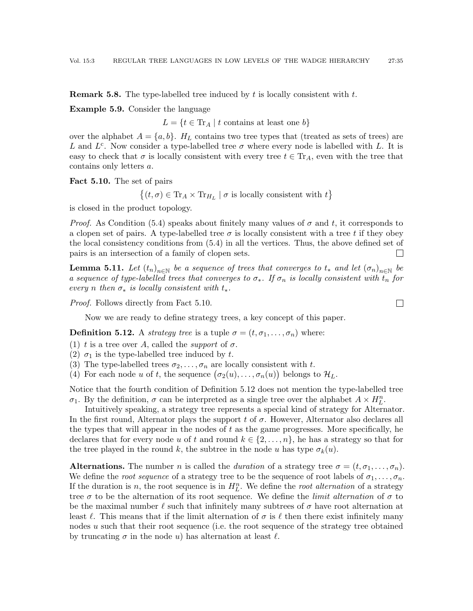**Remark 5.8.** The type-labelled tree induced by t is locally consistent with t.

Example 5.9. Consider the language

 $L = \{t \in \text{Tr}_A \mid t \text{ contains at least one } b\}$ 

over the alphabet  $A = \{a, b\}$ .  $H_L$  contains two tree types that (treated as sets of trees) are L and  $L^c$ . Now consider a type-labelled tree  $\sigma$  where every node is labelled with L. It is easy to check that  $\sigma$  is locally consistent with every tree  $t \in Tr_A$ , even with the tree that contains only letters a.

<span id="page-34-0"></span>Fact 5.10. The set of pairs

 $\{(t, \sigma) \in \text{Tr}_A \times \text{Tr}_{H_L} \mid \sigma \text{ is locally consistent with } t\}$ 

is closed in the product topology.

*Proof.* As Condition [\(5.4\)](#page-33-4) speaks about finitely many values of  $\sigma$  and t, it corresponds to a clopen set of pairs. A type-labelled tree  $\sigma$  is locally consistent with a tree t if they obey the local consistency conditions from [\(5.4\)](#page-33-4) in all the vertices. Thus, the above defined set of pairs is an intersection of a family of clopen sets.  $\Box$ 

<span id="page-34-2"></span>**Lemma 5.11.** Let  $(t_n)_{n\in\mathbb{N}}$  be a sequence of trees that converges to  $t_*$  and let  $(\sigma_n)_{n\in\mathbb{N}}$  be a sequence of type-labelled trees that converges to  $\sigma_*$ . If  $\sigma_n$  is locally consistent with  $t_n$  for every n then  $\sigma_*$  is locally consistent with  $t_*$ .

Proof. Follows directly from Fact [5.10.](#page-34-0)

Now we are ready to define strategy trees, a key concept of this paper.

<span id="page-34-1"></span>**Definition 5.12.** A *strategy tree* is a tuple  $\sigma = (t, \sigma_1, \ldots, \sigma_n)$  where:

- (1) t is a tree over A, called the *support* of  $\sigma$ .
- (2)  $\sigma_1$  is the type-labelled tree induced by t.

(3) The type-labelled trees  $\sigma_2, \ldots, \sigma_n$  are locally consistent with t.

(4) For each node u of t, the sequence  $(\sigma_2(u), \ldots, \sigma_n(u))$  belongs to  $\mathcal{H}_L$ .

Notice that the fourth condition of Definition [5.12](#page-34-1) does not mention the type-labelled tree  $\sigma_1$ . By the definition,  $\sigma$  can be interpreted as a single tree over the alphabet  $A \times H_L^n$ .

Intuitively speaking, a strategy tree represents a special kind of strategy for Alternator. In the first round, Alternator plays the support  $t$  of  $\sigma$ . However, Alternator also declares all the types that will appear in the nodes of  $t$  as the game progresses. More specifically, he declares that for every node u of t and round  $k \in \{2, \ldots, n\}$ , he has a strategy so that for the tree played in the round k, the subtree in the node u has type  $\sigma_k(u)$ .

**Alternations.** The number n is called the duration of a strategy tree  $\sigma = (t, \sigma_1, \ldots, \sigma_n)$ . We define the *root sequence* of a strategy tree to be the sequence of root labels of  $\sigma_1, \ldots, \sigma_n$ . If the duration is n, the root sequence is in  $H_L^n$ . We define the root alternation of a strategy tree  $\sigma$  to be the alternation of its root sequence. We define the *limit alternation* of  $\sigma$  to be the maximal number  $\ell$  such that infinitely many subtrees of  $\sigma$  have root alternation at least  $\ell$ . This means that if the limit alternation of  $\sigma$  is  $\ell$  then there exist infinitely many nodes  $u$  such that their root sequence (i.e. the root sequence of the strategy tree obtained by truncating  $\sigma$  in the node u) has alternation at least  $\ell$ .

 $\Box$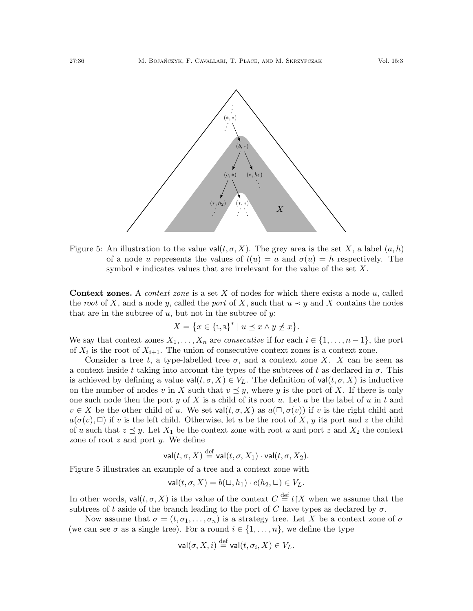

<span id="page-35-0"></span>Figure 5: An illustration to the value val $(t, \sigma, X)$ . The grey area is the set X, a label  $(a, h)$ of a node u represents the values of  $t(u) = a$  and  $\sigma(u) = h$  respectively. The symbol  $*$  indicates values that are irrelevant for the value of the set X.

**Context zones.** A *context zone* is a set  $X$  of nodes for which there exists a node  $u$ , called the root of X, and a node y, called the port of X, such that  $u \prec y$  and X contains the nodes that are in the subtree of  $u$ , but not in the subtree of  $y$ :

$$
X = \{x \in \{\mathbf{L}, \mathbf{R}\}^* \mid u \preceq x \land y \npreceq x\}.
$$

We say that context zones  $X_1, \ldots, X_n$  are *consecutive* if for each  $i \in \{1, \ldots, n-1\}$ , the port of  $X_i$  is the root of  $X_{i+1}$ . The union of consecutive context zones is a context zone.

Consider a tree t, a type-labelled tree  $\sigma$ , and a context zone X. X can be seen as a context inside t taking into account the types of the subtrees of t as declared in  $\sigma$ . This is achieved by defining a value val $(t, \sigma, X) \in V_L$ . The definition of val $(t, \sigma, X)$  is inductive on the number of nodes v in X such that  $v \preceq y$ , where y is the port of X. If there is only one such node then the port y of X is a child of its root u. Let a be the label of u in t and  $v \in X$  be the other child of u. We set val $(t, \sigma, X)$  as  $a(\Box, \sigma(v))$  if v is the right child and  $a(\sigma(v), \Box)$  if v is the left child. Otherwise, let u be the root of X, y its port and z the child of u such that  $z \preceq y$ . Let  $X_1$  be the context zone with root u and port z and  $X_2$  the context zone of root  $z$  and port  $y$ . We define

$$
\mathsf{val}(t, \sigma, X) \stackrel{\text{def}}{=} \mathsf{val}(t, \sigma, X_1) \cdot \mathsf{val}(t, \sigma, X_2).
$$

Figure [5](#page-35-0) illustrates an example of a tree and a context zone with

$$
\mathsf{val}(t,\sigma,X) = b(\square, h_1) \cdot c(h_2, \square) \in V_L.
$$

In other words,  $\mathsf{val}(t, \sigma, X)$  is the value of the context  $C \stackrel{\text{def}}{=} t | X$  when we assume that the subtrees of t aside of the branch leading to the port of C have types as declared by  $\sigma$ .

Now assume that  $\sigma = (t, \sigma_1, \ldots, \sigma_n)$  is a strategy tree. Let X be a context zone of  $\sigma$ (we can see  $\sigma$  as a single tree). For a round  $i \in \{1, \ldots, n\}$ , we define the type

$$
\mathsf{val}(\sigma, X, i) \stackrel{\text{def}}{=} \mathsf{val}(t, \sigma_i, X) \in V_L.
$$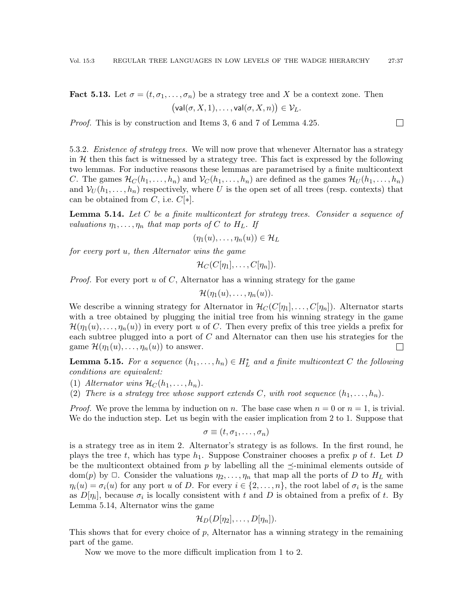<span id="page-36-1"></span>**Fact 5.13.** Let  $\sigma = (t, \sigma_1, \ldots, \sigma_n)$  be a strategy tree and X be a context zone. Then  $(\mathsf{val}(\sigma, X, 1), \ldots, \mathsf{val}(\sigma, X, n)) \in \mathcal{V}_L.$ 

Proof. This is by construction and Items 3, 6 and 7 of Lemma [4.25.](#page-28-1)

5.3.2. Existence of strategy trees. We will now prove that whenever Alternator has a strategy in  $H$  then this fact is witnessed by a strategy tree. This fact is expressed by the following two lemmas. For inductive reasons these lemmas are parametrised by a finite multicontext C. The games  $\mathcal{H}_C(h_1,\ldots,h_n)$  and  $\mathcal{V}_C(h_1,\ldots,h_n)$  are defined as the games  $\mathcal{H}_U(h_1,\ldots,h_n)$ and  $V_U(h_1,\ldots,h_n)$  respectively, where U is the open set of all trees (resp. contexts) that can be obtained from C, i.e.  $C[*]$ .

 $\Box$ 

<span id="page-36-0"></span>**Lemma 5.14.** Let  $C$  be a finite multicontext for strategy trees. Consider a sequence of valuations  $\eta_1, \ldots, \eta_n$  that map ports of C to H<sub>L</sub>. If

$$
(\eta_1(u),\ldots,\eta_n(u))\in\mathcal{H}_L
$$

for every port u, then Alternator wins the game

 $\mathcal{H}_C(C[\eta_1], \ldots, C[\eta_n]).$ 

*Proof.* For every port  $u$  of  $C$ , Alternator has a winning strategy for the game

$$
\mathcal{H}(\eta_1(u),\ldots,\eta_n(u)).
$$

We describe a winning strategy for Alternator in  $\mathcal{H}_C(C[\eta_1], \ldots, C[\eta_n])$ . Alternator starts with a tree obtained by plugging the initial tree from his winning strategy in the game  $\mathcal{H}(\eta_1(u), \ldots, \eta_n(u))$  in every port u of C. Then every prefix of this tree yields a prefix for each subtree plugged into a port of C and Alternator can then use his strategies for the game  $\mathcal{H}(\eta_1(u), \ldots, \eta_n(u))$  to answer.  $\Box$ 

**Lemma 5.15.** For a sequence  $(h_1, \ldots, h_n) \in H_L^*$  and a finite multicontext C the following conditions are equivalent:

- (1) Alternator wins  $\mathcal{H}_C(h_1, \ldots, h_n)$ .
- (2) There is a strategy tree whose support extends C, with root sequence  $(h_1, \ldots, h_n)$ .

*Proof.* We prove the lemma by induction on n. The base case when  $n = 0$  or  $n = 1$ , is trivial. We do the induction step. Let us begin with the easier implication from 2 to 1. Suppose that

$$
\sigma \equiv (t, \sigma_1, \ldots, \sigma_n)
$$

is a strategy tree as in item 2. Alternator's strategy is as follows. In the first round, he plays the tree t, which has type  $h_1$ . Suppose Constrainer chooses a prefix p of t. Let D be the multicontext obtained from p by labelling all the  $\preceq$ -minimal elements outside of dom(p) by  $\Box$ . Consider the valuations  $\eta_2, \ldots, \eta_n$  that map all the ports of D to  $H_L$  with  $\eta_i(u) = \sigma_i(u)$  for any port u of D. For every  $i \in \{2, \ldots, n\}$ , the root label of  $\sigma_i$  is the same as  $D[\eta_i]$ , because  $\sigma_i$  is locally consistent with t and D is obtained from a prefix of t. By Lemma [5.14,](#page-36-0) Alternator wins the game

$$
\mathcal{H}_D(D[\eta_2],\ldots,D[\eta_n]).
$$

This shows that for every choice of p, Alternator has a winning strategy in the remaining part of the game.

Now we move to the more difficult implication from 1 to 2.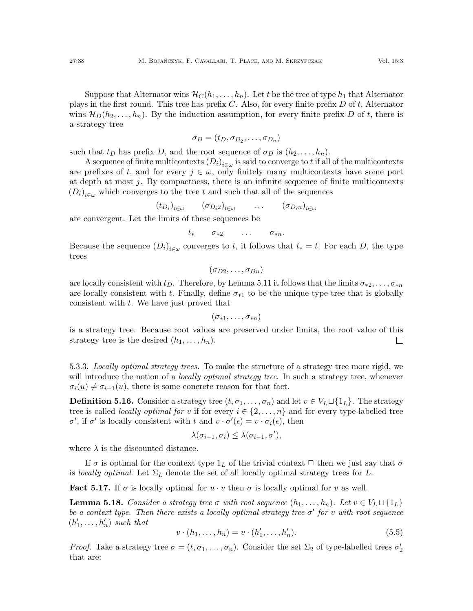Suppose that Alternator wins  $\mathcal{H}_C(h_1, \ldots, h_n)$ . Let t be the tree of type  $h_1$  that Alternator plays in the first round. This tree has prefix  $C$ . Also, for every finite prefix  $D$  of  $t$ , Alternator wins  $\mathcal{H}_D(h_2, \ldots, h_n)$ . By the induction assumption, for every finite prefix D of t, there is a strategy tree

$$
\sigma_D = (t_D, \sigma_{D_2}, \ldots, \sigma_{D_n})
$$

such that  $t_D$  has prefix D, and the root sequence of  $\sigma_D$  is  $(h_2, \ldots, h_n)$ .

A sequence of finite multicontexts  $(D_i)_{i \in \omega}$  is said to converge to  $t$  if all of the multicontexts are prefixes of t, and for every  $j \in \omega$ , only finitely many multicontexts have some port at depth at most  $j$ . By compactness, there is an infinite sequence of finite multicontexts  $(D_i)_{i \in \omega}$  which converges to the tree t and such that all of the sequences

> $(t_{D_i})_{i\in\omega}$  $\left(\sigma_{D_i2}\right)_{i\in\omega}$  $\dots \qquad \left(\sigma_{D_i n}\right)_{i \in \omega}$

are convergent. Let the limits of these sequences be

$$
t_* \qquad \sigma_{*2} \qquad \ldots \qquad \sigma_{*n}.
$$

Because the sequence  $(D_i)_{i \in \omega}$  converges to t, it follows that  $t_* = t$ . For each D, the type trees

 $(\sigma_{D2}, \ldots, \sigma_{Dn})$ 

are locally consistent with  $t_D$ . Therefore, by Lemma [5.11](#page-34-2) it follows that the limits  $\sigma_{*2}, \ldots, \sigma_{*n}$ are locally consistent with t. Finally, define  $\sigma_{*1}$  to be the unique type tree that is globally consistent with t. We have just proved that

 $(\sigma_{*1}, \ldots, \sigma_{*n})$ 

is a strategy tree. Because root values are preserved under limits, the root value of this strategy tree is the desired  $(h_1, \ldots, h_n)$ .  $\Box$ 

<span id="page-37-1"></span>5.3.3. Locally optimal strategy trees. To make the structure of a strategy tree more rigid, we will introduce the notion of a *locally optimal strategy tree*. In such a strategy tree, whenever  $\sigma_i(u) \neq \sigma_{i+1}(u)$ , there is some concrete reason for that fact.

<span id="page-37-0"></span>**Definition 5.16.** Consider a strategy tree  $(t, \sigma_1, \ldots, \sigma_n)$  and let  $v \in V_L \sqcup \{1_L\}$ . The strategy tree is called *locally optimal for* v if for every  $i \in \{2, ..., n\}$  and for every type-labelled tree σ', if σ' is locally consistent with t and  $v \cdot \sigma'(\epsilon) = v \cdot \sigma_i(\epsilon)$ , then

$$
\lambda(\sigma_{i-1}, \sigma_i) \leq \lambda(\sigma_{i-1}, \sigma'),
$$

where  $\lambda$  is the discounted distance.

If  $\sigma$  is optimal for the context type  $1_L$  of the trivial context  $\Box$  then we just say that  $\sigma$ is locally optimal. Let  $\Sigma_L$  denote the set of all locally optimal strategy trees for L.

<span id="page-37-3"></span>**Fact 5.17.** If  $\sigma$  is locally optimal for  $u \cdot v$  then  $\sigma$  is locally optimal for v as well.

<span id="page-37-4"></span>**Lemma 5.18.** Consider a strategy tree  $\sigma$  with root sequence  $(h_1, \ldots, h_n)$ . Let  $v \in V_L \sqcup \{1_L\}$ be a context type. Then there exists a locally optimal strategy tree  $\sigma'$  for v with root sequence  $(h'_1, \ldots, h'_n)$  such that

<span id="page-37-2"></span>
$$
v \cdot (h_1, \dots, h_n) = v \cdot (h'_1, \dots, h'_n). \tag{5.5}
$$

*Proof.* Take a strategy tree  $\sigma = (t, \sigma_1, \ldots, \sigma_n)$ . Consider the set  $\Sigma_2$  of type-labelled trees  $\sigma'_2$ that are: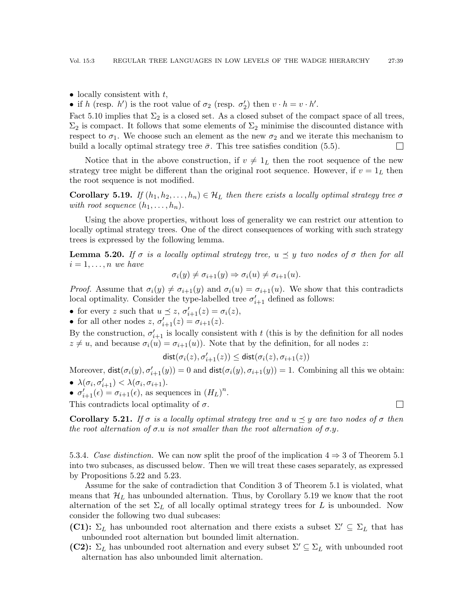• locally consistent with  $t$ ,

• if h (resp. h') is the root value of  $\sigma_2$  (resp.  $\sigma_2'$ ) then  $v \cdot h = v \cdot h'$ .

Fact [5.10](#page-34-0) implies that  $\Sigma_2$  is a closed set. As a closed subset of the compact space of all trees,  $\Sigma_2$  is compact. It follows that some elements of  $\Sigma_2$  minimise the discounted distance with respect to  $\sigma_1$ . We choose such an element as the new  $\sigma_2$  and we iterate this mechanism to build a locally optimal strategy tree  $\bar{\sigma}$ . This tree satisfies condition [\(5.5\)](#page-37-2).  $\Box$ 

Notice that in the above construction, if  $v \neq 1_L$  then the root sequence of the new strategy tree might be different than the original root sequence. However, if  $v = 1<sub>L</sub>$  then the root sequence is not modified.

<span id="page-38-1"></span>**Corollary 5.19.** If  $(h_1, h_2, \ldots, h_n) \in \mathcal{H}_L$  then there exists a locally optimal strategy tree  $\sigma$ with root sequence  $(h_1, \ldots, h_n)$ .

Using the above properties, without loss of generality we can restrict our attention to locally optimal strategy trees. One of the direct consequences of working with such strategy trees is expressed by the following lemma.

**Lemma 5.20.** If  $\sigma$  is a locally optimal strategy tree,  $u \preceq y$  two nodes of  $\sigma$  then for all  $i = 1, \ldots, n$  we have

$$
\sigma_i(y) \neq \sigma_{i+1}(y) \Rightarrow \sigma_i(u) \neq \sigma_{i+1}(u).
$$

*Proof.* Assume that  $\sigma_i(y) \neq \sigma_{i+1}(y)$  and  $\sigma_i(u) = \sigma_{i+1}(u)$ . We show that this contradicts local optimality. Consider the type-labelled tree  $\sigma'_{i+1}$  defined as follows:

- for every z such that  $u \preceq z$ ,  $\sigma'_{i+1}(z) = \sigma_i(z)$ ,
- for all other nodes  $z, \sigma'_{i+1}(z) = \sigma_{i+1}(z)$ .

By the construction,  $\sigma'_{i+1}$  is locally consistent with t (this is by the definition for all nodes  $z \neq u$ , and because  $\sigma_i(u) = \sigma_{i+1}(u)$ . Note that by the definition, for all nodes z:

$$
\mathsf{dist}(\sigma_i(z), \sigma'_{i+1}(z)) \leq \mathsf{dist}(\sigma_i(z), \sigma_{i+1}(z))
$$

Moreover,  $\text{dist}(\sigma_i(y), \sigma'_{i+1}(y)) = 0$  and  $\text{dist}(\sigma_i(y), \sigma_{i+1}(y)) = 1$ . Combining all this we obtain: •  $\lambda(\sigma_i, \sigma_{i+1}') < \lambda(\sigma_i, \sigma_{i+1}).$ 

•  $\sigma'_{i+1}(\epsilon) = \sigma_{i+1}(\epsilon)$ , as sequences in  $(H_L)^n$ .

This contradicts local optimality of  $\sigma$ .

<span id="page-38-2"></span>**Corollary 5.21.** If  $\sigma$  is a locally optimal strategy tree and  $u \preceq y$  are two nodes of  $\sigma$  then the root alternation of  $\sigma.u$  is not smaller than the root alternation of  $\sigma.y$ .

 $\Box$ 

<span id="page-38-0"></span>5.3.4. Case distinction. We can now split the proof of the implication  $4 \Rightarrow 3$  of Theorem [5.1](#page-30-0) into two subcases, as discussed below. Then we will treat these cases separately, as expressed by Propositions [5.22](#page-39-1) and [5.23.](#page-39-2)

Assume for the sake of contradiction that Condition 3 of Theorem [5.1](#page-30-0) is violated, what means that  $\mathcal{H}_L$  has unbounded alternation. Thus, by Corollary [5.19](#page-38-1) we know that the root alternation of the set  $\Sigma_L$  of all locally optimal strategy trees for L is unbounded. Now consider the following two dual subcases:

- **(C1):**  $\Sigma_L$  has unbounded root alternation and there exists a subset  $\Sigma' \subseteq \Sigma_L$  that has unbounded root alternation but bounded limit alternation.
- (C2):  $\Sigma_L$  has unbounded root alternation and every subset  $\Sigma' \subseteq \Sigma_L$  with unbounded root alternation has also unbounded limit alternation.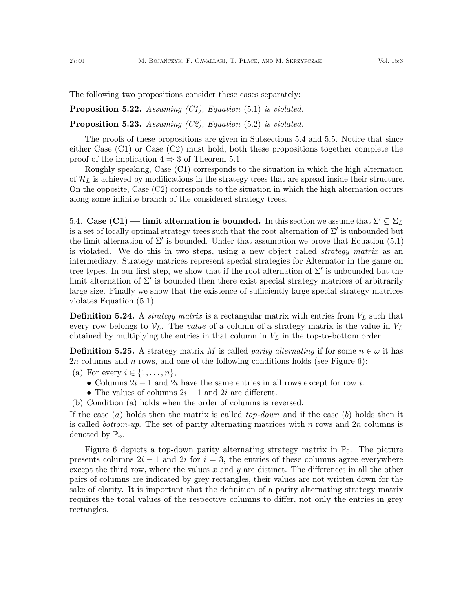The following two propositions consider these cases separately:

<span id="page-39-1"></span>**Proposition 5.22.** Assuming  $(Cl)$ , Equation  $(5.1)$  is violated.

<span id="page-39-2"></span>**Proposition 5.23.** Assuming  $(C2)$ , Equation  $(5.2)$  is violated.

The proofs of these propositions are given in Subsections [5.4](#page-39-0) and [5.5.](#page-48-0) Notice that since either Case (C1) or Case (C2) must hold, both these propositions together complete the proof of the implication  $4 \Rightarrow 3$  of Theorem [5.1.](#page-30-0)

Roughly speaking, Case (C1) corresponds to the situation in which the high alternation of  $\mathcal{H}_L$  is achieved by modifications in the strategy trees that are spread inside their structure. On the opposite, Case (C2) corresponds to the situation in which the high alternation occurs along some infinite branch of the considered strategy trees.

<span id="page-39-0"></span>5.4. Case (C1) — limit alternation is bounded. In this section we assume that  $\Sigma' \subseteq \Sigma_L$ is a set of locally optimal strategy trees such that the root alternation of  $\Sigma'$  is unbounded but the limit alternation of  $\Sigma'$  is bounded. Under that assumption we prove that Equation [\(5.1\)](#page-30-2) is violated. We do this in two steps, using a new object called *strategy matrix* as an intermediary. Strategy matrices represent special strategies for Alternator in the game on tree types. In our first step, we show that if the root alternation of  $\Sigma'$  is unbounded but the limit alternation of  $\Sigma'$  is bounded then there exist special strategy matrices of arbitrarily large size. Finally we show that the existence of sufficiently large special strategy matrices violates Equation [\(5.1\)](#page-30-2).

**Definition 5.24.** A *strategy matrix* is a rectangular matrix with entries from  $V<sub>L</sub>$  such that every row belongs to  $V_L$ . The *value* of a column of a strategy matrix is the value in  $V_L$ obtained by multiplying the entries in that column in  $V<sub>L</sub>$  in the top-to-bottom order.

**Definition 5.25.** A strategy matrix M is called *parity alternating* if for some  $n \in \omega$  it has 2n columns and n rows, and one of the following conditions holds (see Figure [6\)](#page-40-0):

- (a) For every  $i \in \{1, \ldots, n\},\$ 
	- Columns  $2i 1$  and  $2i$  have the same entries in all rows except for row i.
	- The values of columns  $2i 1$  and  $2i$  are different.
- (b) Condition (a) holds when the order of columns is reversed.

If the case  $(a)$  holds then the matrix is called *top-down* and if the case  $(b)$  holds then it is called *bottom-up*. The set of parity alternating matrices with n rows and  $2n$  columns is denoted by  $\mathbb{P}_n$ .

Figure [6](#page-40-0) depicts a top-down parity alternating strategy matrix in  $\mathbb{P}_6$ . The picture presents columns  $2i - 1$  and  $2i$  for  $i = 3$ , the entries of these columns agree everywhere except the third row, where the values x and y are distinct. The differences in all the other pairs of columns are indicated by grey rectangles, their values are not written down for the sake of clarity. It is important that the definition of a parity alternating strategy matrix requires the total values of the respective columns to differ, not only the entries in grey rectangles.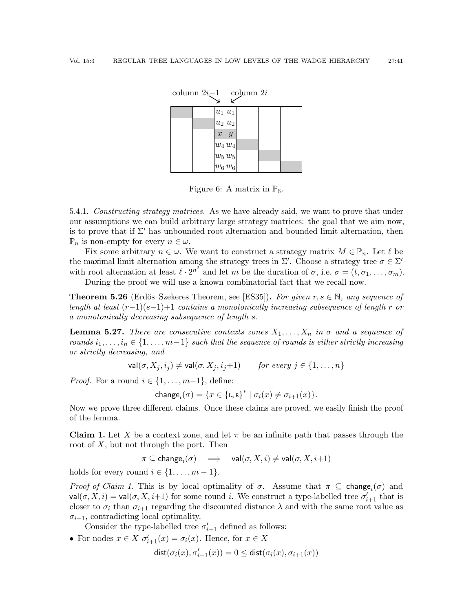|  | column $2i-1$ column $2i$ |                                                                   |  |  |
|--|---------------------------|-------------------------------------------------------------------|--|--|
|  |                           | $u_1 u_1$                                                         |  |  |
|  |                           | $u_2$ $u_2$                                                       |  |  |
|  |                           | $x \ y$                                                           |  |  |
|  |                           |                                                                   |  |  |
|  |                           | $\begin{vmatrix} w_4 & w_4 \ w_5 & w_5 \ w_6 & w_6 \end{vmatrix}$ |  |  |
|  |                           |                                                                   |  |  |

<span id="page-40-0"></span>Figure 6: A matrix in  $\mathbb{P}_6$ .

<span id="page-40-2"></span>5.4.1. Constructing strategy matrices. As we have already said, we want to prove that under our assumptions we can build arbitrary large strategy matrices: the goal that we aim now, is to prove that if  $\Sigma'$  has unbounded root alternation and bounded limit alternation, then  $\mathbb{P}_n$  is non-empty for every  $n \in \omega$ .

Fix some arbitrary  $n \in \omega$ . We want to construct a strategy matrix  $M \in \mathbb{P}_n$ . Let  $\ell$  be the maximal limit alternation among the strategy trees in  $\Sigma'$ . Choose a strategy tree  $\sigma \in \Sigma'$ with root alternation at least  $\ell \cdot 2^{n^2}$  and let m be the duration of  $\sigma$ , i.e.  $\sigma = (t, \sigma_1, \ldots, \sigma_m)$ .

During the proof we will use a known combinatorial fact that we recall now.

**Theorem 5.26** (Erdös–Szekeres Theorem, see [\[ES35\]](#page-59-26)). For given  $r, s \in \mathbb{N}$ , any sequence of length at least  $(r-1)(s-1)+1$  contains a monotonically increasing subsequence of length r or a monotonically decreasing subsequence of length s.

<span id="page-40-1"></span>**Lemma 5.27.** There are consecutive contexts zones  $X_1, \ldots, X_n$  in  $\sigma$  and a sequence of rounds  $i_1, \ldots, i_n \in \{1, \ldots, m-1\}$  such that the sequence of rounds is either strictly increasing or strictly decreasing, and

$$
\mathsf{val}(\sigma, X_j, i_j) \neq \mathsf{val}(\sigma, X_j, i_j+1) \qquad \text{for every } j \in \{1, \dots, n\}
$$

*Proof.* For a round  $i \in \{1, \ldots, m-1\}$ , define:

$$
\mathsf{change}_i(\sigma) = \{x \in {\mathsf{L},\mathsf{R}}\}^* \mid \sigma_i(x) \neq \sigma_{i+1}(x)\}.
$$

Now we prove three different claims. Once these claims are proved, we easily finish the proof of the lemma.

**Claim 1.** Let X be a context zone, and let  $\pi$  be an infinite path that passes through the root of  $X$ , but not through the port. Then

 $\pi \subseteq \mathsf{change}_i(\sigma) \quad \Longrightarrow \quad \mathsf{val}(\sigma,X,i) \neq \mathsf{val}(\sigma,X,i{+}1)$ 

holds for every round  $i \in \{1, \ldots, m-1\}$ .

Proof of Claim 1. This is by local optimality of  $\sigma$ . Assume that  $\pi \subseteq \text{change}_i(\sigma)$  and  $\mathsf{val}(\sigma, X, i) = \mathsf{val}(\sigma, X, i+1)$  for some round i. We construct a type-labelled tree  $\sigma'_{i+1}$  that is closer to  $\sigma_i$  than  $\sigma_{i+1}$  regarding the discounted distance  $\lambda$  and with the same root value as  $\sigma_{i+1}$ , contradicting local optimality.

Consider the type-labelled tree  $\sigma'_{i+1}$  defined as follows:

• For nodes  $x \in X$   $\sigma'_{i+1}(x) = \sigma_i(x)$ . Hence, for  $x \in X$ 

$$
\text{dist}(\sigma_i(x),\sigma_{i+1}'(x))=0\leq \text{dist}(\sigma_i(x),\sigma_{i+1}(x))
$$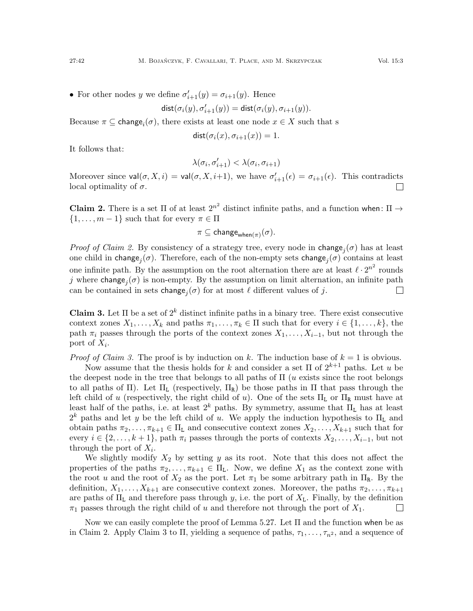• For other nodes y we define  $\sigma'_{i+1}(y) = \sigma_{i+1}(y)$ . Hence

$$
\mathsf{dist}(\sigma_i(y), \sigma'_{i+1}(y)) = \mathsf{dist}(\sigma_i(y), \sigma_{i+1}(y)).
$$

Because  $\pi \subseteq \text{change}_i(\sigma)$ , there exists at least one node  $x \in X$  such that s

 $dist(\sigma_i(x), \sigma_{i+1}(x)) = 1.$ 

It follows that:

$$
\lambda(\sigma_i,\sigma_{i+1}')<\lambda(\sigma_i,\sigma_{i+1})
$$

Moreover since  $val(\sigma, X, i) = val(\sigma, X, i+1)$ , we have  $\sigma'_{i+1}(\epsilon) = \sigma_{i+1}(\epsilon)$ . This contradicts local optimality of  $\sigma$ .

Claim 2. There is a set  $\Pi$  of at least  $2^{n^2}$  distinct infinite paths, and a function when:  $\Pi \rightarrow$  $\{1, \ldots, m-1\}$  such that for every  $\pi \in \Pi$ 

$$
\pi \subseteq \mathsf{change}_{\mathsf{when}(\pi)}(\sigma).
$$

*Proof of Claim 2.* By consistency of a strategy tree, every node in change<sub>j</sub> $(\sigma)$  has at least one child in change<sub>j</sub> $(\sigma)$ . Therefore, each of the non-empty sets change<sub>j</sub> $(\sigma)$  contains at least one infinite path. By the assumption on the root alternation there are at least  $\ell \cdot 2^{n^2}$  rounds j where change<sub>j</sub> $(\sigma)$  is non-empty. By the assumption on limit alternation, an infinite path can be contained in sets  $\mathsf{change}_j(\sigma)$  for at most  $\ell$  different values of  $j$ .  $\Box$ 

Claim 3. Let  $\Pi$  be a set of  $2^k$  distinct infinite paths in a binary tree. There exist consecutive context zones  $X_1, \ldots, X_k$  and paths  $\pi_1, \ldots, \pi_k \in \Pi$  such that for every  $i \in \{1, \ldots, k\}$ , the path  $\pi_i$  passes through the ports of the context zones  $X_1, \ldots, X_{i-1}$ , but not through the port of  $X_i$ .

*Proof of Claim 3.* The proof is by induction on k. The induction base of  $k = 1$  is obvious.

Now assume that the thesis holds for k and consider a set  $\Pi$  of  $2^{k+1}$  paths. Let u be the deepest node in the tree that belongs to all paths of  $\Pi$  (*u* exists since the root belongs to all paths of  $\Pi$ ). Let  $\Pi_L$  (respectively,  $\Pi_R$ ) be those paths in  $\Pi$  that pass through the left child of u (respectively, the right child of u). One of the sets  $\Pi_L$  or  $\Pi_R$  must have at least half of the paths, i.e. at least  $2^k$  paths. By symmetry, assume that  $\Pi_L$  has at least  $2^k$  paths and let y be the left child of u. We apply the induction hypothesis to  $\Pi_L$  and obtain paths  $\pi_2, \ldots, \pi_{k+1} \in \Pi_L$  and consecutive context zones  $X_2, \ldots, X_{k+1}$  such that for every  $i \in \{2, \ldots, k+1\}$ , path  $\pi_i$  passes through the ports of contexts  $X_2, \ldots, X_{i-1}$ , but not through the port of  $X_i$ .

We slightly modify  $X_2$  by setting y as its root. Note that this does not affect the properties of the paths  $\pi_2, \ldots, \pi_{k+1} \in \Pi_L$ . Now, we define  $X_1$  as the context zone with the root u and the root of  $X_2$  as the port. Let  $\pi_1$  be some arbitrary path in  $\Pi_R$ . By the definition,  $X_1, \ldots, X_{k+1}$  are consecutive context zones. Moreover, the paths  $\pi_2, \ldots, \pi_{k+1}$ are paths of  $\Pi_L$  and therefore pass through y, i.e. the port of  $X_L$ . Finally, by the definition  $\pi_1$  passes through the right child of u and therefore not through the port of  $X_1$ .  $\Box$ 

Now we can easily complete the proof of Lemma [5.27.](#page-40-1) Let  $\Pi$  and the function when be as in Claim 2. Apply Claim 3 to Π, yielding a sequence of paths,  $\tau_1, \ldots, \tau_n$ , and a sequence of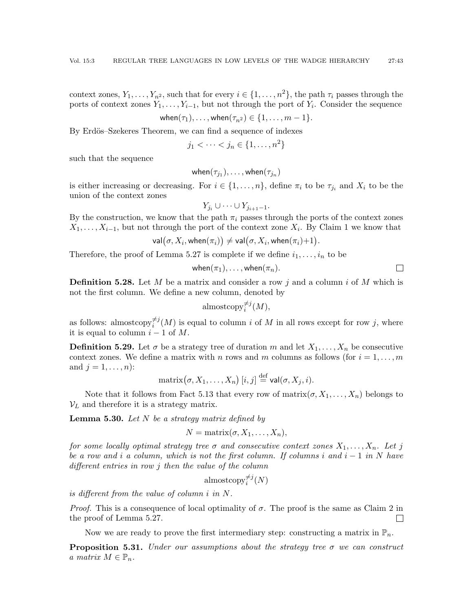context zones,  $Y_1, \ldots, Y_{n^2}$ , such that for every  $i \in \{1, \ldots, n^2\}$ , the path  $\tau_i$  passes through the ports of context zones  $Y_1, \ldots, Y_{i-1}$ , but not through the port of  $Y_i$ . Consider the sequence

$$
\mathsf{when}(\tau_1),\ldots,\mathsf{when}(\tau_{n^2})\in\{1,\ldots,m-1\}.
$$

By Erdös–Szekeres Theorem, we can find a sequence of indexes

$$
j_1 < \cdots < j_n \in \{1, \ldots, n^2\}
$$

such that the sequence

$$
\mathsf{when}(\tau_{j_1}),\ldots,\mathsf{when}(\tau_{j_n})
$$

is either increasing or decreasing. For  $i \in \{1, \ldots, n\}$ , define  $\pi_i$  to be  $\tau_{j_i}$  and  $X_i$  to be the union of the context zones

 $Y_{j_i} \cup \cdots \cup Y_{j_{i+1}-1}.$ 

By the construction, we know that the path  $\pi_i$  passes through the ports of the context zones  $X_1, \ldots, X_{i-1}$ , but not through the port of the context zone  $X_i$ . By Claim 1 we know that

$$
\mathsf{val}\big(\sigma,X_i,\mathsf{when}(\pi_i)\big)\neq \mathsf{val}\big(\sigma,X_i,\mathsf{when}(\pi_i){+}1\big).
$$

Therefore, the proof of Lemma [5.27](#page-40-1) is complete if we define  $i_1, \ldots, i_n$  to be

$$
\mathsf{when}(\pi_1),\ldots,\mathsf{when}(\pi_n).
$$

**Definition 5.28.** Let M be a matrix and consider a row j and a column i of M which is not the first column. We define a new column, denoted by

$$
\text{almostcopy}_i^{\neq j}(M),
$$

as follows: almostcopy $\overline{\phi}^{j}(M)$  is equal to column i of M in all rows except for row j, where it is equal to column  $i - 1$  of M.

**Definition 5.29.** Let  $\sigma$  be a strategy tree of duration m and let  $X_1, \ldots, X_n$  be consecutive context zones. We define a matrix with n rows and m columns as follows (for  $i = 1, \ldots, m$ ) and  $j = 1, ..., n$ :

$$
\text{matrix}(\sigma, X_1, \dots, X_n) [i, j] \stackrel{\text{def}}{=} \text{val}(\sigma, X_j, i).
$$

Note that it follows from Fact [5.13](#page-36-1) that every row of  $\text{matrix}(\sigma, X_1, \ldots, X_n)$  belongs to  $V_L$  and therefore it is a strategy matrix.

<span id="page-42-0"></span>**Lemma 5.30.** Let  $N$  be a strategy matrix defined by

$$
N = \text{matrix}(\sigma, X_1, \dots, X_n),
$$

for some locally optimal strategy tree  $\sigma$  and consecutive context zones  $X_1, \ldots, X_n$ . Let j be a row and i a column, which is not the first column. If columns i and  $i - 1$  in N have different entries in row j then the value of the column

$$
\mathrm{almostcopy}_i^{\neq j}(N)
$$

is different from the value of column i in N.

*Proof.* This is a consequence of local optimality of  $\sigma$ . The proof is the same as Claim 2 in the proof of Lemma [5.27.](#page-40-1)  $\Box$ 

Now we are ready to prove the first intermediary step: constructing a matrix in  $\mathbb{P}_n$ .

**Proposition 5.31.** Under our assumptions about the strategy tree  $\sigma$  we can construct a matrix  $M \in \mathbb{P}_n$ .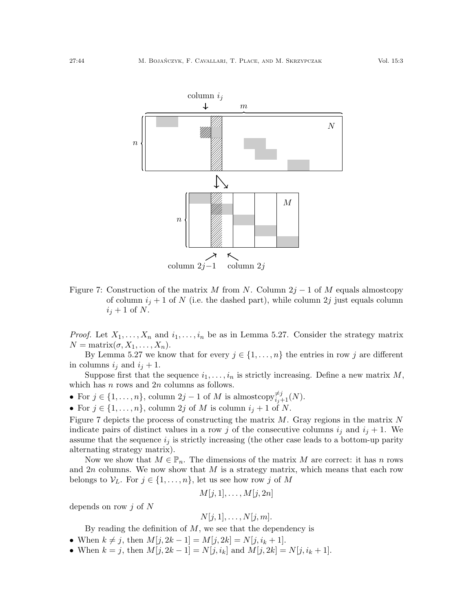

<span id="page-43-0"></span>Figure 7: Construction of the matrix M from N. Column  $2j-1$  of M equals almostcopy of column  $i_j + 1$  of N (i.e. the dashed part), while column 2j just equals column  $i_j + 1$  of N.

*Proof.* Let  $X_1, \ldots, X_n$  and  $i_1, \ldots, i_n$  be as in Lemma [5.27.](#page-40-1) Consider the strategy matrix  $N = \text{matrix}(\sigma, X_1, \ldots, X_n).$ 

By Lemma [5.27](#page-40-1) we know that for every  $j \in \{1, \ldots, n\}$  the entries in row j are different in columns  $i_j$  and  $i_j + 1$ .

Suppose first that the sequence  $i_1, \ldots, i_n$  is strictly increasing. Define a new matrix M, which has  $n$  rows and  $2n$  columns as follows.

- For  $j \in \{1, \ldots, n\}$ , column  $2j 1$  of M is almostcopy $\neq_{i,j+1}^{j} (N)$ .
- For  $j \in \{1, \ldots, n\}$ , column  $2j$  of M is column  $i_j + 1$  of N.

Figure [7](#page-43-0) depicts the process of constructing the matrix  $M$ . Gray regions in the matrix  $N$ indicate pairs of distinct values in a row j of the consecutive columns  $i_j$  and  $i_j + 1$ . We assume that the sequence  $i_j$  is strictly increasing (the other case leads to a bottom-up parity alternating strategy matrix).

Now we show that  $M \in \mathbb{P}_n$ . The dimensions of the matrix M are correct: it has n rows and  $2n$  columns. We now show that  $M$  is a strategy matrix, which means that each row belongs to  $\mathcal{V}_L$ . For  $j \in \{1, \ldots, n\}$ , let us see how row j of M

$$
M[j,1],\ldots,M[j,2n]
$$

depends on row  $i$  of  $N$ 

$$
N[j,1],\ldots,N[j,m].
$$

By reading the definition of  $M$ , we see that the dependency is

- When  $k \neq j$ , then  $M[j, 2k 1] = M[j, 2k] = N[j, i_k + 1]$ .
- When  $k = j$ , then  $M[j, 2k 1] = N[j, i_k]$  and  $M[j, 2k] = N[j, i_k + 1]$ .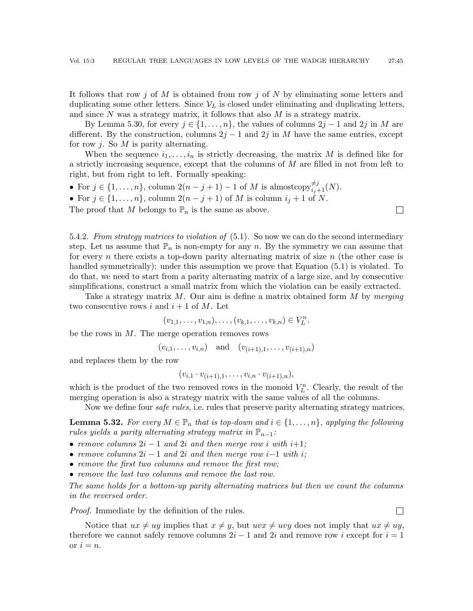It follows that row j of M is obtained from row j of N by eliminating some letters and duplicating some other letters. Since  $V_L$  is closed under eliminating and duplicating letters, and since  $N$  was a strategy matrix, it follows that also  $M$  is a strategy matrix.

By Lemma [5.30,](#page-42-0) for every  $j \in \{1, \ldots, n\}$ , the values of columns  $2j - 1$  and  $2j$  in M are different. By the construction, columns  $2j - 1$  and  $2j$  in M have the same entries, except for row j. So  $M$  is parity alternating.

When the sequence  $i_1, \ldots, i_n$  is strictly decreasing, the matrix M is defined like for a strictly increasing sequence, except that the columns of M are filled in not from left to right, but from right to left. Formally speaking:

 $\Box$ 

 $\Box$ 

- For  $j \in \{1, \ldots, n\}$ , column  $2(n-j+1)-1$  of M is almostcopy $\neq_{i,j+1}^{j}(N)$ .
- For  $j \in \{1, \ldots, n\}$ , column  $2(n-j+1)$  of M is column  $i_j + 1$  of N.
- The proof that M belongs to  $\mathbb{P}_n$  is the same as above.

5.4.2. From strategy matrices to violation of [\(5.1\)](#page-30-2). So now we can do the second intermediary step. Let us assume that  $\mathbb{P}_n$  is non-empty for any n. By the symmetry we can assume that for every n there exists a top-down parity alternating matrix of size  $n$  (the other case is handled symmetrically): under this assumption we prove that Equation [\(5.1\)](#page-30-2) is violated. To do that, we need to start from a parity alternating matrix of a large size, and by consecutive simplifications, construct a small matrix from which the violation can be easily extracted.

Take a strategy matrix  $M$ . Our aim is define a matrix obtained form  $M$  by merging two consecutive rows i and  $i+1$  of M. Let

$$
(v_{1,1},\ldots,v_{1,n}),\ldots,(v_{k,1},\ldots,v_{k,n})\in V_L^n.
$$

be the rows in  $M$ . The merge operation removes rows

 $(v_{i,1},\ldots,v_{i,n})$  and  $(v_{(i+1),1},\ldots,v_{(i+1),n})$ 

and replaces them by the row

$$
(v_{i,1} \cdot v_{(i+1),1}, \ldots, v_{i,n} \cdot v_{(i+1),n}),
$$

which is the product of the two removed rows in the monoid  $V_L^n$ . Clearly, the result of the merging operation is also a strategy matrix with the same values of all the columns.

Now we define four *safe rules*, i.e. rules that preserve parity alternating strategy matrices.

**Lemma 5.32.** For every  $M \in \mathbb{P}_n$  that is top-down and  $i \in \{1, \ldots, n\}$ , applying the following rules yields a parity alternating strategy matrix in  $\mathbb{P}_{n-1}$ :

- remove columns  $2i 1$  and  $2i$  and then merge row i with  $i+1$ ;
- remove columns  $2i 1$  and  $2i$  and then merge row i–1 with i;
- remove the first two columns and remove the first row;
- remove the last two columns and remove the last row.

The same holds for a bottom-up parity alternating matrices but then we count the columns in the reversed order.

Proof. Immediate by the definition of the rules.

Notice that  $ux \neq uy$  implies that  $x \neq y$ , but  $uvx \neq uvy$  does not imply that  $ux \neq uy$ , therefore we cannot safely remove columns  $2i - 1$  and  $2i$  and remove row i except for  $i = 1$ or  $i = n$ .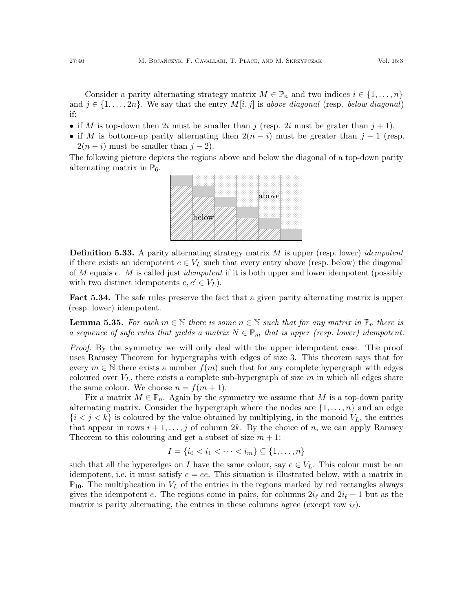Consider a parity alternating strategy matrix  $M \in \mathbb{P}_n$  and two indices  $i \in \{1, \ldots, n\}$ and  $j \in \{1, \ldots, 2n\}$ . We say that the entry  $M[i, j]$  is above diagonal (resp. below diagonal) if:

- if M is top-down then 2i must be smaller than j (resp. 2i must be grater than  $j + 1$ ),
- if M is bottom-up parity alternating then  $2(n-i)$  must be greater than  $j-1$  (resp.  $2(n-i)$  must be smaller than  $j-2$ ).

The following picture depicts the regions above and below the diagonal of a top-down parity alternating matrix in  $\mathbb{P}_6$ .



**Definition 5.33.** A parity alternating strategy matrix  $M$  is upper (resp. lower) *idempotent* if there exists an idempotent  $e \in V_L$  such that every entry above (resp. below) the diagonal of M equals e. M is called just *idempotent* if it is both upper and lower idempotent (possibly with two distinct idempotents  $e, e' \in V_L$ .

Fact 5.34. The safe rules preserve the fact that a given parity alternating matrix is upper (resp. lower) idempotent.

<span id="page-45-0"></span>**Lemma 5.35.** For each  $m \in \mathbb{N}$  there is some  $n \in \mathbb{N}$  such that for any matrix in  $\mathbb{P}_n$  there is a sequence of safe rules that yields a matrix  $N \in \mathbb{P}_m$  that is upper (resp. lower) idempotent.

Proof. By the symmetry we will only deal with the upper idempotent case. The proof uses Ramsey Theorem for hypergraphs with edges of size 3. This theorem says that for every  $m \in \mathbb{N}$  there exists a number  $f(m)$  such that for any complete hypergraph with edges coloured over  $V_L$ , there exists a complete sub-hypergraph of size m in which all edges share the same colour. We choose  $n = f(m + 1)$ .

Fix a matrix  $M \in \mathbb{P}_n$ . Again by the symmetry we assume that M is a top-down parity alternating matrix. Consider the hypergraph where the nodes are  $\{1,\ldots,n\}$  and an edge  $\{i < j < k\}$  is coloured by the value obtained by multiplying, in the monoid  $V_L$ , the entries that appear in rows  $i + 1, \ldots, j$  of column 2k. By the choice of n, we can apply Ramsey Theorem to this colouring and get a subset of size  $m + 1$ :

$$
I = \{i_0 < i_1 < \dots < i_m\} \subseteq \{1, \dots, n\}
$$

such that all the hyperedges on I have the same colour, say  $e \in V_L$ . This colour must be an idempotent, i.e. it must satisfy  $e = ee$ . This situation is illustrated below, with a matrix in  $\mathbb{P}_{10}$ . The multiplication in  $V<sub>L</sub>$  of the entries in the regions marked by red rectangles always gives the idempotent e. The regions come in pairs, for columns  $2i_\ell$  and  $2i_\ell - 1$  but as the matrix is parity alternating, the entries in these columns agree (except row  $i_\ell$ ).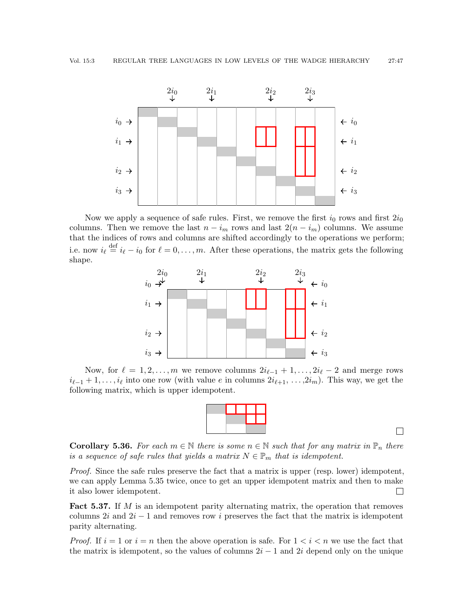

Now we apply a sequence of safe rules. First, we remove the first  $i_0$  rows and first  $2i_0$ columns. Then we remove the last  $n - i_m$  rows and last  $2(n - i_m)$  columns. We assume that the indices of rows and columns are shifted accordingly to the operations we perform; i.e. now  $i_{\ell} \stackrel{\text{def}}{=} i_{\ell} - i_0$  for  $\ell = 0, \ldots, m$ . After these operations, the matrix gets the following shape.



Now, for  $\ell = 1, 2, \ldots, m$  we remove columns  $2i_{\ell-1} + 1, \ldots, 2i_{\ell} - 2$  and merge rows  $i_{\ell-1} + 1, \ldots, i_{\ell}$  into one row (with value e in columns  $2i_{\ell+1}, \ldots, 2i_m$ ). This way, we get the following matrix, which is upper idempotent.

|  | and the state of the state of the state of the state of the state of the state of the state of the state of th | <b>Service Service</b>                                                                                                                                                      |  |  |
|--|----------------------------------------------------------------------------------------------------------------|-----------------------------------------------------------------------------------------------------------------------------------------------------------------------------|--|--|
|  |                                                                                                                | $\mathcal{L}^{\text{max}}_{\text{max}}$ and $\mathcal{L}^{\text{max}}_{\text{max}}$ and $\mathcal{L}^{\text{max}}_{\text{max}}$ and $\mathcal{L}^{\text{max}}_{\text{max}}$ |  |  |
|  |                                                                                                                |                                                                                                                                                                             |  |  |

 $\Box$ 

<span id="page-46-0"></span>**Corollary 5.36.** For each  $m \in \mathbb{N}$  there is some  $n \in \mathbb{N}$  such that for any matrix in  $\mathbb{P}_n$  there is a sequence of safe rules that yields a matrix  $N \in \mathbb{P}_m$  that is idempotent.

Proof. Since the safe rules preserve the fact that a matrix is upper (resp. lower) idempotent, we can apply Lemma [5.35](#page-45-0) twice, once to get an upper idempotent matrix and then to make it also lower idempotent.  $\Box$ 

<span id="page-46-1"></span>**Fact 5.37.** If  $M$  is an idempotent parity alternating matrix, the operation that removes columns 2i and  $2i - 1$  and removes row i preserves the fact that the matrix is idempotent parity alternating.

*Proof.* If  $i = 1$  or  $i = n$  then the above operation is safe. For  $1 < i < n$  we use the fact that the matrix is idempotent, so the values of columns  $2i - 1$  and  $2i$  depend only on the unique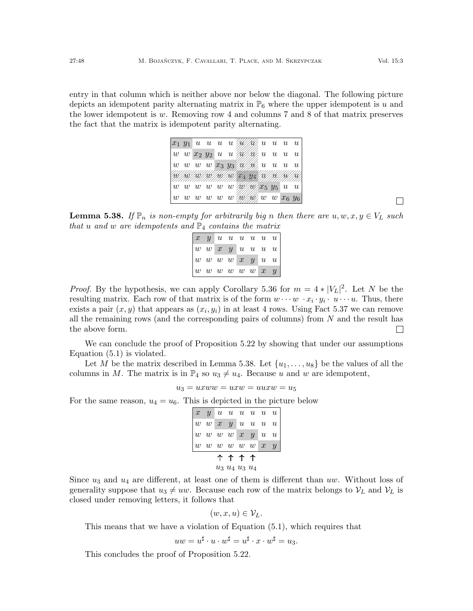entry in that column which is neither above nor below the diagonal. The following picture depicts an idempotent parity alternating matrix in  $\mathbb{P}_6$  where the upper idempotent is u and the lower idempotent is  $w$ . Removing row 4 and columns 7 and 8 of that matrix preserves the fact that the matrix is idempotent parity alternating.

|  | $ x_1 y_1 u u u u$ / $\mathscr{W}\llbracket x_1\rrbracket u u u u u$                                                                                                                                                                                                                                                                                                                                                                      |  |  |  |  |  |
|--|-------------------------------------------------------------------------------------------------------------------------------------------------------------------------------------------------------------------------------------------------------------------------------------------------------------------------------------------------------------------------------------------------------------------------------------------|--|--|--|--|--|
|  | $\mid w\>\> w\>\> x_2\>\> y_2\>\> u\>\> u\>\> \wedge\!\!\!\!\!/\!\!\!\!\!\wedge\!\!\!\!\!/\!\!\!\!\wedge\!\!\!\!\wedge\!\!\!\!\wedge\!\!\!\!\wedge\!\!\!\!\wedge\!\!\!\wedge\!\!\!\wedge\!\!\!\wedge\!\!\!\wedge\!\!\!\wedge\!\!\!\wedge\!\!\!\wedge\!\!\!\wedge\!\!\!\wedge\!\!\!\wedge\!\!\!\wedge\!\!\!\wedge\!\!\!\wedge\!\!\!\wedge\!\!\!\wedge\!\!\!\wedge\!\!\!\wedge\!\!\!\wedge\!\!\!\wedge\!\!\!\wedge\!\!\!\wedge\!\!\!\wedge$ |  |  |  |  |  |
|  | $ w\>\>\> w\>\>\> w\>\>\> w\>\>\> x_3\>\> y_3 \,\mathscr{W\!/\!\!/} \mathscr{W}\!/\! \mu\>\>\> u\>\>\> u\>\>\> u\>\>\> u\>\>\>$                                                                                                                                                                                                                                                                                                           |  |  |  |  |  |
|  | (168/168/166/166/166/166/                                                                                                                                                                                                                                                                                                                                                                                                                 |  |  |  |  |  |
|  | $\  w\>\> w\>\> w\>\> w\>\> w\nonumber \gg \langle w\rangle / \langle w\rangle x_5\>\> y_5\>\> u\>\> u\>\ $                                                                                                                                                                                                                                                                                                                               |  |  |  |  |  |
|  | $\vert\, w\, \vert\, w\, \vert\, w\, \vert\, w\, \vert\, w\, \vert\, w\, w\, \vert\, w\, \vert\, w\, \vert\, w\, \vert\, w\, \vert\, w\, \vert\, w\, \vert\, w\, \vert\, w\, \vert\, w\, \vert\, w\, \vert\, w\, \vert\, w\, \vert\, w\, \vert\, w\, \vert\, w\, \vert\, w\, \vert\, w\, \vert\, w\, \vert\, w\, \vert\, w\, \vert\, w\, \vert\, w\, \vert\, w\, \vert\, w\, \vert\, w\,$                                                 |  |  |  |  |  |

<span id="page-47-0"></span>**Lemma 5.38.** If  $\mathbb{P}_n$  is non-empty for arbitrarily big n then there are  $u, w, x, y \in V_L$  such that u and w are idempotents and  $\mathbb{P}_4$  contains the matrix

| $\begin{array}{ cccccccc } \hline x & y & u & u & u & u & u \hline \end{array}$                     |  |  |  |  |
|-----------------------------------------------------------------------------------------------------|--|--|--|--|
| $\boxed{w\ \ w\ \ x\ \ y\ \ \color{red}{u\ \ u\ \ u\ \ u}}$                                         |  |  |  |  |
| $\begin{array}{ ccc ccc ccc ccc ccc ccc ccc ccc ccc } \hline w & w & w & w & w & w & w \end{array}$ |  |  |  |  |
| w w w w w w x y                                                                                     |  |  |  |  |

*Proof.* By the hypothesis, we can apply Corollary [5.36](#page-46-0) for  $m = 4 * |V_L|^2$ . Let N be the resulting matrix. Each row of that matrix is of the form  $w \cdots w \cdot x_i \cdot y_i \cdot u \cdots u$ . Thus, there exists a pair  $(x, y)$  that appears as  $(x_i, y_i)$  in at least 4 rows. Using Fact [5.37](#page-46-1) we can remove all the remaining rows (and the corresponding pairs of columns) from  $N$  and the result has the above form.  $\Box$ 

We can conclude the proof of Proposition [5.22](#page-39-1) by showing that under our assumptions Equation [\(5.1\)](#page-30-2) is violated.

Let M be the matrix described in Lemma [5.38.](#page-47-0) Let  $\{u_1, \ldots, u_8\}$  be the values of all the columns in M. The matrix is in  $\mathbb{P}_4$  so  $u_3 \neq u_4$ . Because u and w are idempotent,

$$
u_3 = uxww = uxw = uuxw = u_5
$$

For the same reason,  $u_4 = u_6$ . This is depicted in the picture below

|  |                   | $\begin{array}{ c cccc } \hline x&y&u&u&u&u&u\\ w&w&x&y&u&u&u\\ w&w&w&x&y&u&u\\ w&w&w&w&w&x&y\\ \hline \end{array}$ |  |
|--|-------------------|---------------------------------------------------------------------------------------------------------------------|--|
|  |                   |                                                                                                                     |  |
|  |                   |                                                                                                                     |  |
|  |                   |                                                                                                                     |  |
|  | <b>ተ ተ ተ ተ</b>    |                                                                                                                     |  |
|  | $u_3 u_4 u_3 u_4$ |                                                                                                                     |  |

Since  $u_3$  and  $u_4$  are different, at least one of them is different than uw. Without loss of generality suppose that  $u_3 \neq uw$ . Because each row of the matrix belongs to  $V_L$  and  $V_L$  is closed under removing letters, it follows that

$$
(w, x, u) \in \mathcal{V}_L.
$$

This means that we have a violation of Equation [\(5.1\)](#page-30-2), which requires that

$$
uw = u^{\sharp} \cdot u \cdot w^{\sharp} = u^{\sharp} \cdot x \cdot w^{\sharp} = u_3.
$$

This concludes the proof of Proposition [5.22.](#page-39-1)

 $\Box$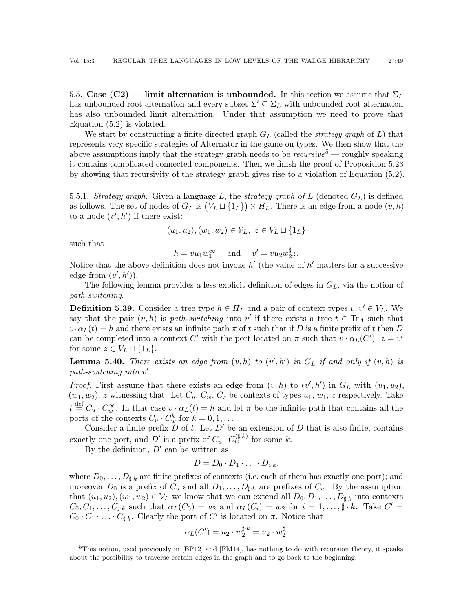<span id="page-48-0"></span>5.5. Case (C2) — limit alternation is unbounded. In this section we assume that  $\Sigma_L$ has unbounded root alternation and every subset  $\Sigma' \subseteq \Sigma_L$  with unbounded root alternation has also unbounded limit alternation. Under that assumption we need to prove that Equation [\(5.2\)](#page-30-3) is violated.

We start by constructing a finite directed graph  $G_L$  (called the *strategy graph* of L) that represents very specific strategies of Alternator in the game on types. We then show that the above assumptions imply that the strategy graph needs to be  $recursive<sup>5</sup>$  $recursive<sup>5</sup>$  $recursive<sup>5</sup>$  — roughly speaking it contains complicated connected components. Then we finish the proof of Proposition [5.23](#page-39-2) by showing that recursivity of the strategy graph gives rise to a violation of Equation [\(5.2\)](#page-30-3).

5.5.1. Strategy graph. Given a language L, the strategy graph of L (denoted  $G_L$ ) is defined as follows. The set of nodes of  $G_L$  is  $(V_L \sqcup \{1_L\}) \times H_L$ . There is an edge from a node  $(v, h)$ to a node  $(v', h')$  if there exist:

$$
(u_1, u_2), (w_1, w_2) \in \mathcal{V}_L, \ z \in V_L \sqcup \{1_L\}
$$

such that

 $h = vu_1w_1^{\infty}$  and  $v' = vu_2w_2^{\sharp}$  $rac{1}{2}z$ .

Notice that the above definition does not invoke  $h'$  (the value of  $h'$  matters for a successive edge from  $(v', h')$ .

The following lemma provides a less explicit definition of edges in  $G<sub>L</sub>$ , via the notion of path-switching.

<span id="page-48-3"></span>**Definition 5.39.** Consider a tree type  $h \in H_L$  and a pair of context types  $v, v' \in V_L$ . We say that the pair  $(v, h)$  is path-switching into v' if there exists a tree  $t \in \mathrm{Tr}_A$  such that  $v \cdot \alpha_L(t) = h$  and there exists an infinite path  $\pi$  of t such that if D is a finite prefix of t then D can be completed into a context C' with the port located on  $\pi$  such that  $v \cdot \alpha_L(C') \cdot z = v'$ for some  $z \in V_L \sqcup \{1_L\}.$ 

<span id="page-48-1"></span>**Lemma 5.40.** There exists an edge from  $(v, h)$  to  $(v', h')$  in  $G_L$  if and only if  $(v, h)$  is  $path-switching$  into  $v'$ .

*Proof.* First assume that there exists an edge from  $(v, h)$  to  $(v', h')$  in  $G_L$  with  $(u_1, u_2)$ ,  $(w_1, w_2)$ , z witnessing that. Let  $C_u$ ,  $C_w$ ,  $C_z$  be contexts of types  $u_1, w_1$ , z respectively. Take  $t \stackrel{\text{def}}{=} C_u \cdot C_w^{\infty}$ . In that case  $v \cdot \alpha_L(t) = h$  and let  $\pi$  be the infinite path that contains all the ports of the contexts  $C_u \cdot C_w^k$  for  $k = 0, 1, \ldots$ 

Consider a finite prefix  $D$  of  $t$ . Let  $D'$  be an extension of  $D$  that is also finite, contains exactly one port, and D' is a prefix of  $C_u \cdot C_w^{(\sharp \cdot k)}$  for some k.

By the definition,  $D'$  can be written as

$$
D=D_0\cdot D_1\cdot\ldots\cdot D_{\sharp\cdot k},
$$

where  $D_0, \ldots, D_{\sharp,k}$  are finite prefixes of contexts (i.e. each of them has exactly one port); and moreover  $D_0$  is a prefix of  $C_u$  and all  $D_1, \ldots, D_{\sharp k}$  are prefixes of  $C_w$ . By the assumption that  $(u_1, u_2), (w_1, w_2) \in \mathcal{V}_L$  we know that we can extend all  $D_0, D_1, \ldots, D_{\sharp k}$  into contexts  $C_0, C_1, \ldots, C_{\sharp k}$  such that  $\alpha_L(C_0) = u_2$  and  $\alpha_L(C_i) = w_2$  for  $i = 1, \ldots, \sharp k$ . Take  $C' =$  $C_0 \cdot C_1 \cdot \ldots \cdot C_{\sharp \cdot k}$ . Clearly the port of C' is located on  $\pi$ . Notice that

$$
\alpha_L(C') = u_2 \cdot w_2^{\sharp \cdot k} = u_2 \cdot w_2^{\sharp}.
$$

<span id="page-48-2"></span><sup>&</sup>lt;sup>5</sup>This notion, used previously in [\[BP12\]](#page-58-0) and [\[FM14\]](#page-59-6), has nothing to do with recursion theory, it speaks about the possibility to traverse certain edges in the graph and to go back to the beginning.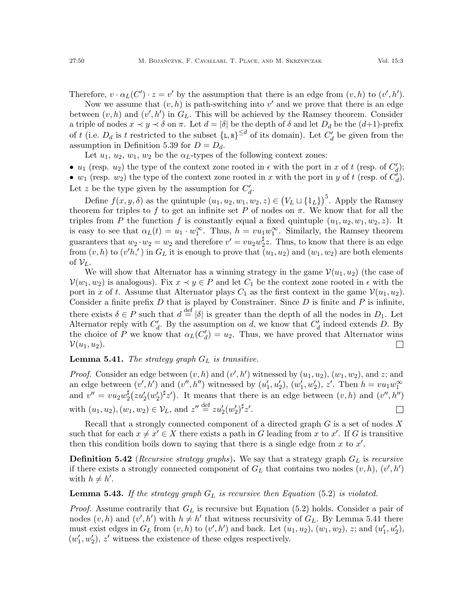Therefore,  $v \cdot \alpha_L(C') \cdot z = v'$  by the assumption that there is an edge from  $(v, h)$  to  $(v', h')$ .

Now we assume that  $(v, h)$  is path-switching into  $v'$  and we prove that there is an edge between  $(v, h)$  and  $(v', h')$  in  $G_L$ . This will be achieved by the Ramsey theorem. Consider a triple of nodes  $x \prec y \prec \delta$  on  $\pi$ . Let  $d = |\delta|$  be the depth of  $\delta$  and let  $D_d$  be the  $(d+1)$ -prefix of t (i.e.  $D_d$  is t restricted to the subset  $\{L, R\}^{\leq d}$  of its domain). Let  $C'_d$  be given from the assumption in Definition [5.39](#page-48-3) for  $D = D_d$ .

Let  $u_1, u_2, w_1, w_2$  be the  $\alpha_L$ -types of the following context zones:

•  $u_1$  (resp.  $u_2$ ) the type of the context zone rooted in  $\epsilon$  with the port in x of t (resp. of  $C'_d$ ); •  $w_1$  (resp.  $w_2$ ) the type of the context zone rooted in x with the port in y of t (resp. of  $\overrightarrow{C_d}$ ). Let z be the type given by the assumption for  $C_d'$ .

Define  $f(x, y, \delta)$  as the quintuple  $(u_1, u_2, w_1, w_2, z) \in (V_L \sqcup {\{1_L\}})^5$ . Apply the Ramsey theorem for triples to f to get an infinite set P of nodes on  $\pi$ . We know that for all the triples from P the function f is constantly equal a fixed quintuple  $(u_1, u_2, w_1, w_2, z)$ . It is easy to see that  $\alpha_L(t) = u_1 \cdot w_1^{\infty}$ . Thus,  $h = vu_1w_1^{\infty}$ . Similarly, the Ramsey theorem guarantees that  $w_2 \cdot w_2 = w_2$  and therefore  $v' = v u_2 w_2^{\sharp}$  $2^{\frac{\pi}{2}}z$ . Thus, to know that there is an edge from  $(v, h)$  to  $(v'h')$  in  $G_L$  it is enough to prove that  $(u_1, u_2)$  and  $(w_1, w_2)$  are both elements of  $\mathcal{V}_L$ .

We will show that Alternator has a winning strategy in the game  $\mathcal{V}(u_1, u_2)$  (the case of  $\mathcal{V}(w_1, w_2)$  is analogous). Fix  $x \prec y \in P$  and let  $C_1$  be the context zone rooted in  $\epsilon$  with the port in x of t. Assume that Alternator plays  $C_1$  as the first context in the game  $\mathcal{V}(u_1, u_2)$ . Consider a finite prefix  $D$  that is played by Constrainer. Since  $D$  is finite and  $P$  is infinite, there exists  $\delta \in P$  such that  $d \stackrel{\text{def}}{=} |\delta|$  is greater than the depth of all the nodes in  $D_1$ . Let Alternator reply with  $C_d'$ . By the assumption on d, we know that  $C_d'$  indeed extends D. By the choice of P we know that  $\alpha_L(C'_d) = u_2$ . Thus, we have proved that Alternator wins  $\Box$  $\mathcal{V}(u_1, u_2)$ .

<span id="page-49-1"></span>**Lemma 5.41.** The strategy graph  $G_L$  is transitive.

*Proof.* Consider an edge between  $(v, h)$  and  $(v', h')$  witnessed by  $(u_1, u_2)$ ,  $(w_1, w_2)$ , and z; and an edge between  $(v', h')$  and  $(v'', h'')$  witnessed by  $(u'_1, u'_2), (w'_1, w'_2), z'$ . Then  $h = vu_1w_1^{\infty}$ and  $v'' = vu_2w_2^{\sharp}$  $\frac{\sharp}{2}(zu_2'(w_2')^{\sharp}z')$ . It means that there is an edge between  $(v, h)$  and  $(v'', h'')$ with  $(u_1, u_2), (w_1, w_2) \in \mathcal{V}_L$ , and  $z'' \stackrel{\text{def}}{=} z u_2'(w_2')^{\sharp} z'.$  $\Box$ 

Recall that a strongly connected component of a directed graph  $G$  is a set of nodes  $X$ such that for each  $x \neq x' \in X$  there exists a path in G leading from x to x'. If G is transitive then this condition boils down to saying that there is a single edge from  $x$  to  $x'$ .

**Definition 5.42** (*Recursive strategy graphs*). We say that a strategy graph  $G_L$  is recursive if there exists a strongly connected component of  $G_L$  that contains two nodes  $(v, h), (v', h')$ with  $h \neq h'$ .

## <span id="page-49-0"></span>**Lemma 5.43.** If the strategy graph  $G_L$  is recursive then Equation [\(5.2\)](#page-30-3) is violated.

*Proof.* Assume contrarily that  $G_L$  is recursive but Equation [\(5.2\)](#page-30-3) holds. Consider a pair of nodes  $(v, h)$  and  $(v', h')$  with  $h \neq h'$  that witness recursivity of  $G_L$ . By Lemma [5.41](#page-49-1) there must exist edges in  $G_L$  from  $(v, h)$  to  $(v', h')$  and back. Let  $(u_1, u_2), (w_1, w_2), z$ ; and  $(u'_1, u'_2),$  $(w_1^\prime, w_2^\prime),\, z^\prime$  witness the existence of these edges respectively.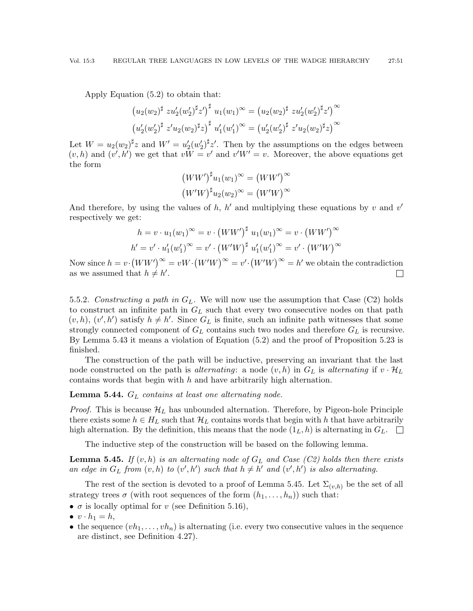Apply Equation [\(5.2\)](#page-30-3) to obtain that:

$$
(u_2(w_2)^{\sharp} z u_2'(w_2')^{\sharp} z')^{\sharp} u_1(w_1)^{\infty} = (u_2(w_2)^{\sharp} z u_2'(w_2')^{\sharp} z')^{\infty}
$$
  

$$
(u_2'(w_2')^{\sharp} z' u_2(w_2)^{\sharp} z)^{\sharp} u_1'(w_1')^{\infty} = (u_2'(w_2')^{\sharp} z' u_2(w_2)^{\sharp} z)^{\infty}
$$

Let  $W = u_2(w_2)^{\sharp} z$  and  $W' = u_2'(w_2')^{\sharp} z'$ . Then by the assumptions on the edges between  $(v, h)$  and  $(v', h')$  we get that  $vW = v'$  and  $v'W' = v$ . Moreover, the above equations get the form

$$
(WW')^{\sharp}u_1(w_1)^{\infty} = (WW')^{\infty}
$$

$$
(W'W)^{\sharp}u_2(w_2)^{\infty} = (W'W)^{\infty}
$$

And therefore, by using the values of  $h$ ,  $h'$  and multiplying these equations by v and v' respectively we get:

$$
h = v \cdot u_1(w_1)^{\infty} = v \cdot (WW')^{\sharp} u_1(w_1)^{\infty} = v \cdot (WW')^{\infty}
$$
  

$$
h' = v' \cdot u_1'(w_1')^{\infty} = v' \cdot (W'W)^{\sharp} u_1'(w_1')^{\infty} = v' \cdot (W'W)^{\infty}
$$

Now since  $h = v \cdot (WW')^{\infty} = vW \cdot (W'W)^{\infty} = v' \cdot (W'W)^{\infty} = h'$  we obtain the contradiction as we assumed that  $h \neq h'$ .  $\Box$ 

<span id="page-50-0"></span>5.5.2. Constructing a path in  $G_L$ . We will now use the assumption that Case (C2) holds to construct an infinite path in  $G_L$  such that every two consecutive nodes on that path  $(v, h), (v', h')$  satisfy  $h \neq h'$ . Since  $G_L$  is finite, such an infinite path witnesses that some strongly connected component of  $G_L$  contains such two nodes and therefore  $G_L$  is recursive. By Lemma [5.43](#page-49-0) it means a violation of Equation [\(5.2\)](#page-30-3) and the proof of Proposition [5.23](#page-39-2) is finished.

The construction of the path will be inductive, preserving an invariant that the last node constructed on the path is *alternating*: a node  $(v, h)$  in  $G_L$  is *alternating* if  $v \cdot \mathcal{H}_L$ contains words that begin with  $h$  and have arbitrarily high alternation.

**Lemma 5.44.**  $G_L$  contains at least one alternating node.

*Proof.* This is because  $\mathcal{H}_L$  has unbounded alternation. Therefore, by Pigeon-hole Principle there exists some  $h \in H_L$  such that  $H_L$  contains words that begin with h that have arbitrarily high alternation. By the definition, this means that the node  $(1_L, h)$  is alternating in  $G_L$ .

The inductive step of the construction will be based on the following lemma.

<span id="page-50-1"></span>**Lemma 5.45.** If  $(v, h)$  is an alternating node of  $G<sub>L</sub>$  and Case (C2) holds then there exists an edge in  $G_L$  from  $(v, h)$  to  $(v', h')$  such that  $h \neq h'$  and  $(v', h')$  is also alternating.

The rest of the section is devoted to a proof of Lemma [5.45.](#page-50-1) Let  $\Sigma_{(v,h)}$  be the set of all strategy trees  $\sigma$  (with root sequences of the form  $(h_1, \ldots, h_n)$ ) such that:

•  $\sigma$  is locally optimal for v (see Definition [5.16\)](#page-37-0),

 $\bullet v \cdot h_1 = h,$ 

• the sequence  $(vh_1, \ldots, vh_n)$  is alternating (i.e. every two consecutive values in the sequence are distinct, see Definition [4.27\)](#page-29-1).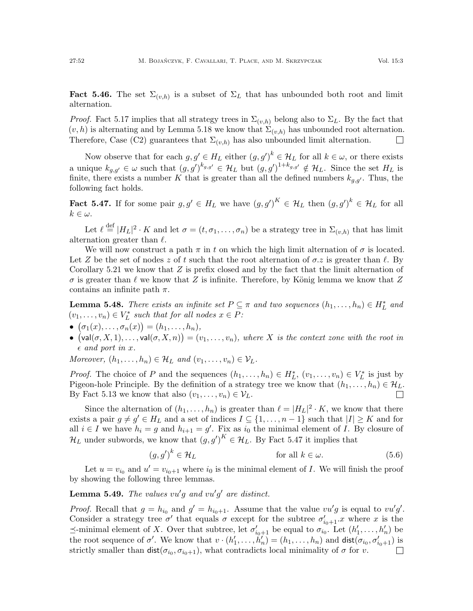**Fact 5.46.** The set  $\Sigma_{(v,h)}$  is a subset of  $\Sigma_L$  that has unbounded both root and limit alternation.

*Proof.* Fact [5.17](#page-37-3) implies that all strategy trees in  $\Sigma_{(v,h)}$  belong also to  $\Sigma_L$ . By the fact that  $(v, h)$  is alternating and by Lemma [5.18](#page-37-4) we know that  $\Sigma_{(v,h)}$  has unbounded root alternation. Therefore, Case (C2) guarantees that  $\Sigma_{(v,h)}$  has also unbounded limit alternation.

Now observe that for each  $g, g' \in H_L$  either  $(g, g')^k \in \mathcal{H}_L$  for all  $k \in \omega$ , or there exists a unique  $k_{g,g'} \in \omega$  such that  $(g, g')^{k_{g,g'}} \in \mathcal{H}_L$  but  $(g, g')^{1+k_{g,g'}} \notin \mathcal{H}_L$ . Since the set  $H_L$  is finite, there exists a number K that is greater than all the defined numbers  $k_{q,q'}$ . Thus, the following fact holds.

<span id="page-51-0"></span>**Fact 5.47.** If for some pair  $g, g' \in H_L$  we have  $(g, g')^K \in \mathcal{H}_L$  then  $(g, g')^k \in \mathcal{H}_L$  for all  $k \in \omega$ .

Let  $\ell \stackrel{\text{def}}{=} |H_L|^2 \cdot K$  and let  $\sigma = (t, \sigma_1, \ldots, \sigma_n)$  be a strategy tree in  $\Sigma_{(v,h)}$  that has limit alternation greater than  $\ell$ .

We will now construct a path  $\pi$  in t on which the high limit alternation of  $\sigma$  is located. Let Z be the set of nodes z of t such that the root alternation of  $\sigma$ , z is greater than  $\ell$ . By Corollary [5.21](#page-38-2) we know that  $Z$  is prefix closed and by the fact that the limit alternation of  $\sigma$  is greater than  $\ell$  we know that Z is infinite. Therefore, by König lemma we know that Z contains an infinite path  $\pi$ .

**Lemma 5.48.** There exists an infinite set  $P \subseteq \pi$  and two sequences  $(h_1, \ldots, h_n) \in H_L^*$  and  $(v_1, \ldots, v_n) \in V_L^*$  such that for all nodes  $x \in P$ :

- $\bullet$   $(\sigma_1(x), \ldots, \sigma_n(x)) = (h_1, \ldots, h_n),$
- $( val(\sigma, X, 1), \ldots, val(\sigma, X, n)) = (v_1, \ldots, v_n),$  where X is the context zone with the root in  $\epsilon$  and port in x.

Moreover,  $(h_1, \ldots, h_n) \in \mathcal{H}_L$  and  $(v_1, \ldots, v_n) \in \mathcal{V}_L$ .

*Proof.* The choice of P and the sequences  $(h_1, \ldots, h_n) \in H_L^*$ ,  $(v_1, \ldots, v_n) \in V_L^*$  is just by Pigeon-hole Principle. By the definition of a strategy tree we know that  $(h_1, \ldots, h_n) \in \mathcal{H}_L$ . By Fact [5.13](#page-36-1) we know that also  $(v_1, \ldots, v_n) \in \mathcal{V}_L$ .  $\Box$ 

Since the alternation of  $(h_1, \ldots, h_n)$  is greater than  $\ell = |H_L|^2 \cdot K$ , we know that there exists a pair  $g \neq g' \in H_L$  and a set of indices  $I \subseteq \{1, \ldots, n-1\}$  such that  $|I| \geq K$  and for all  $i \in I$  we have  $h_i = g$  and  $h_{i+1} = g'$ . Fix as  $i_0$  the minimal element of I. By closure of  $\mathcal{H}_L$  under subwords, we know that  $(g, g')^K \in \mathcal{H}_L$ . By Fact [5.47](#page-51-0) it implies that

<span id="page-51-1"></span>
$$
(g, g')^k \in \mathcal{H}_L \qquad \text{for all } k \in \omega. \tag{5.6}
$$

Let  $u = v_{i_0}$  and  $u' = v_{i_0+1}$  where  $i_0$  is the minimal element of I. We will finish the proof by showing the following three lemmas.

<span id="page-51-2"></span>**Lemma 5.49.** The values  $vu'g$  and  $vu'g'$  are distinct.

*Proof.* Recall that  $g = h_{i_0}$  and  $g' = h_{i_0+1}$ . Assume that the value  $vu'g$  is equal to  $vu'g'$ . Consider a strategy tree  $\sigma'$  that equals  $\sigma$  except for the subtree  $\sigma'_{i_0+1}$ . *x* where *x* is the  $\preceq$ -minimal element of X. Over that subtree, let  $\sigma'_{i_0+1}$  be equal to  $\sigma_{i_0}$ . Let  $(h'_1, \ldots, h'_n)$  be the root sequence of  $\sigma'$ . We know that  $v \cdot (h'_1, \ldots, h'_n) = (h_1, \ldots, h_n)$  and  $dist(\sigma_{i_0}, \sigma'_{i_0+1})$  is strictly smaller than  $dist(\sigma_{i_0}, \sigma_{i_0+1})$ , what contradicts local minimality of  $\sigma$  for v.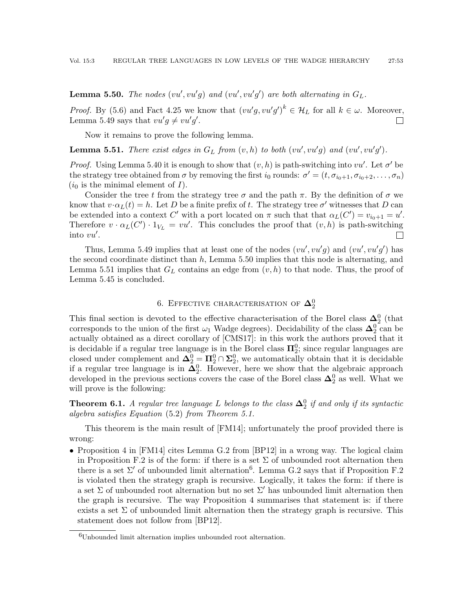<span id="page-52-2"></span>**Lemma 5.50.** The nodes  $(vu', vu'g)$  and  $(vu', vu'g')$  are both alternating in  $G_L$ .

*Proof.* By [\(5.6\)](#page-51-1) and Fact [4.25](#page-28-1) we know that  $(vu'g, vu'g')^k \in \mathcal{H}_L$  for all  $k \in \omega$ . Moreover, Lemma [5.49](#page-51-2) says that  $vu'g \neq vu'g'$ .  $\mathbf{L}$ 

Now it remains to prove the following lemma.

<span id="page-52-3"></span>**Lemma 5.51.** There exist edges in  $G_L$  from  $(v, h)$  to both  $(vu', vu'g)$  and  $(vu', vu'g')$ .

*Proof.* Using Lemma [5.40](#page-48-1) it is enough to show that  $(v, h)$  is path-switching into  $vu'$ . Let  $\sigma'$  be the strategy tree obtained from  $\sigma$  by removing the first  $i_0$  rounds:  $\sigma' = (t, \sigma_{i_0+1}, \sigma_{i_0+2}, \ldots, \sigma_n)$  $(i_0$  is the minimal element of  $I$ ).

Consider the tree t from the strategy tree  $\sigma$  and the path  $\pi$ . By the definition of  $\sigma$  we know that  $v \cdot \alpha_L(t) = h$ . Let D be a finite prefix of t. The strategy tree  $\sigma'$  witnesses that D can be extended into a context C' with a port located on  $\pi$  such that that  $\alpha_L(C') = v_{i_0+1} = u'$ . Therefore  $v \cdot \alpha_L(C') \cdot 1_{V_L} = v u'$ . This concludes the proof that  $(v, h)$  is path-switching into  $vu'$ .  $\Box$ 

Thus, Lemma [5.49](#page-51-2) implies that at least one of the nodes  $(vu', vu'g)$  and  $(vu', vu'g')$  has the second coordinate distinct than  $h$ , Lemma [5.50](#page-52-2) implies that this node is alternating, and Lemma [5.51](#page-52-3) implies that  $G_L$  contains an edge from  $(v, h)$  to that node. Thus, the proof of Lemma [5.45](#page-50-1) is concluded.

# 6. EFFECTIVE CHARACTERISATION OF  ${\bf \Delta}_2^0$

<span id="page-52-0"></span>This final section is devoted to the effective characterisation of the Borel class  $\Delta_2^0$  (that corresponds to the union of the first  $\omega_1$  Wadge degrees). Decidability of the class  $\Delta_2^0$  can be actually obtained as a direct corollary of [\[CMS17\]](#page-59-3): in this work the authors proved that it is decidable if a regular tree language is in the Borel class  $\Pi_2^0$ ; since regular languages are closed under complement and  $\Delta_2^0 = \Pi_2^0 \cap \Sigma_2^0$ , we automatically obtain that it is decidable if a regular tree language is in  $\overline{\mathbf{\Delta}}_2^0$ . However, here we show that the algebraic approach developed in the previous sections covers the case of the Borel class  $\mathbf{\Delta}^0_2$  as well. What we will prove is the following:

<span id="page-52-1"></span>**Theorem 6.1.** A regular tree language L belongs to the class  $\Delta_2^0$  if and only if its syntactic algebra satisfies Equation [\(5.2\)](#page-30-3) from Theorem [5.1.](#page-30-0)

This theorem is the main result of [\[FM14\]](#page-59-6); unfortunately the proof provided there is wrong:

• Proposition 4 in [\[FM14\]](#page-59-6) cites Lemma G.2 from [\[BP12\]](#page-58-0) in a wrong way. The logical claim in Proposition F.2 is of the form: if there is a set  $\Sigma$  of unbounded root alternation then there is a set  $\Sigma'$  of unbounded limit alternation<sup>[6](#page-52-4)</sup>. Lemma G.2 says that if Proposition F.2 is violated then the strategy graph is recursive. Logically, it takes the form: if there is a set  $\Sigma$  of unbounded root alternation but no set  $\Sigma'$  has unbounded limit alternation then the graph is recursive. The way Proposition 4 summarises that statement is: if there exists a set  $\Sigma$  of unbounded limit alternation then the strategy graph is recursive. This statement does not follow from [\[BP12\]](#page-58-0).

<span id="page-52-4"></span> ${}^{6}$ Unbounded limit alternation implies unbounded root alternation.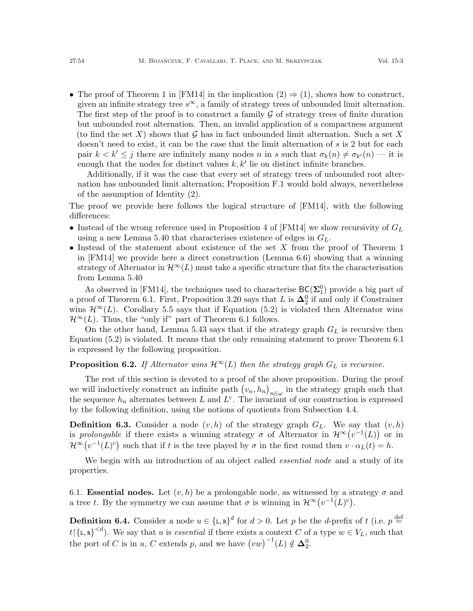• The proof of Theorem 1 in [\[FM14\]](#page-59-6) in the implication  $(2) \Rightarrow (1)$ , shows how to construct, given an infinite strategy tree  $s^{\infty}$ , a family of strategy trees of unbounded limit alternation. The first step of the proof is to construct a family  $\mathcal G$  of strategy trees of finite duration but unbounded root alternation. Then, an invalid application of a compactness argument (to find the set X) shows that  $\mathcal G$  has in fact unbounded limit alternation. Such a set X doesn't need to exist, it can be the case that the limit alternation of s is 2 but for each pair  $k < k' \leq j$  there are infinitely many nodes n in s such that  $\sigma_k(n) \neq \sigma_{k'}(n)$  — it is enough that the nodes for distinct values  $k, k'$  lie on distinct infinite branches.

Additionally, if it was the case that every set of strategy trees of unbounded root alternation has unbounded limit alternation; Proposition F.1 would hold always, nevertheless of the assumption of Identity (2).

The proof we provide here follows the logical structure of [\[FM14\]](#page-59-6), with the following differences:

- Instead of the wrong reference used in Proposition 4 of [\[FM14\]](#page-59-6) we show recursivity of  $G_L$ using a new Lemma [5.40](#page-48-1) that characterises existence of edges in  $G_L$ .
- $\bullet$  Instead of the statement about existence of the set X from the proof of Theorem 1 in [\[FM14\]](#page-59-6) we provide here a direct construction (Lemma [6.6\)](#page-54-0) showing that a winning strategy of Alternator in  $\mathcal{H}^{\infty}(L)$  must take a specific structure that fits the characterisation from Lemma [5.40](#page-48-1)

As observed in [\[FM14\]](#page-59-6), the techniques used to characterise  $BC(\Sigma_1^0)$  provide a big part of a proof of Theorem [6.1.](#page-52-1) First, Proposition [3.20](#page-17-0) says that L is  $\Delta_2^0$  if and only if Constrainer wins  $\mathcal{H}^{\infty}(L)$ . Corollary [5.5](#page-33-5) says that if Equation [\(5.2\)](#page-30-3) is violated then Alternator wins  $\mathcal{H}^{\infty}(L)$ . Thus, the "only if" part of Theorem [6.1](#page-52-1) follows.

On the other hand, Lemma [5.43](#page-49-0) says that if the strategy graph  $G_L$  is recursive then Equation [\(5.2\)](#page-30-3) is violated. It means that the only remaining statement to prove Theorem [6.1](#page-52-1) is expressed by the following proposition.

# <span id="page-53-0"></span>**Proposition 6.2.** If Alternator wins  $\mathcal{H}^{\infty}(L)$  then the strategy graph  $G_L$  is recursive.

The rest of this section is devoted to a proof of the above proposition. During the proof we will inductively construct an infinite path  $(v_n, h_n)_{n \in \omega}$  in the strategy graph such that the sequence  $h_n$  alternates between L and  $L^c$ . The invariant of our construction is expressed by the following definition, using the notions of quotients from Subsection [4.4.](#page-26-1)

**Definition 6.3.** Consider a node  $(v, h)$  of the strategy graph  $G_L$ . We say that  $(v, h)$ is prolongable if there exists a winning strategy  $\sigma$  of Alternator in  $\mathcal{H}^{\infty}(v^{-1}(L))$  or in  $\mathcal{H}^{\infty}(v^{-1}(L)^{c})$  such that if t is the tree played by  $\sigma$  in the first round then  $v \cdot \alpha_{L}(t) = h$ .

We begin with an introduction of an object called *essential node* and a study of its properties.

6.1. **Essential nodes.** Let  $(v, h)$  be a prolongable node, as witnessed by a strategy  $\sigma$  and a tree t. By the symmetry we can assume that  $\sigma$  is winning in  $\mathcal{H}^{\infty}(v^{-1}(L)^{c})$ .

<span id="page-53-1"></span>**Definition 6.4.** Consider a node  $u \in \{L, R\}^d$  for  $d > 0$ . Let p be the d-prefix of t (i.e.  $p \stackrel{\text{def}}{=}$  $t\left[\{L,R\}^{< d}\right]$ . We say that u is essential if there exists a context C of a type  $w \in V_L$ , such that the port of C is in u, C extends p, and we have  $(vw)^{-1}(L) \notin \Delta_2^0$ .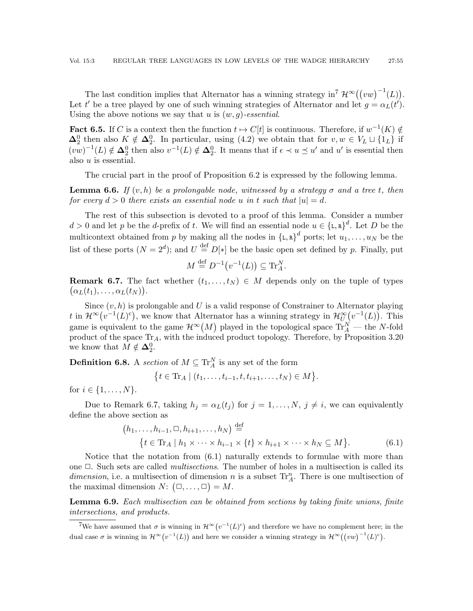The last condition implies that Alternator has a winning strategy in<sup>[7](#page-54-1)</sup>  $\mathcal{H}^{\infty}((vw)^{-1}(L))$ . Let t' be a tree played by one of such winning strategies of Alternator and let  $g = \alpha_L(t')$ . Using the above notions we say that u is  $(w, q)$ -essential.

<span id="page-54-5"></span>**Fact 6.5.** If C is a context then the function  $t \mapsto C[t]$  is continuous. Therefore, if  $w^{-1}(K) \notin$  $\Delta_2^0$  then also  $K \notin \Delta_2^0$ . In particular, using [\(4.2\)](#page-27-1) we obtain that for  $v, w \in V_L \sqcup \{1_L\}$  if  $(vw)^{-1}(L) \notin \Delta_2^0$  then also  $v^{-1}(L) \notin \Delta_2^0$ . It means that if  $\epsilon \prec u \preceq u'$  and  $u'$  is essential then also u is essential.

The crucial part in the proof of Proposition [6.2](#page-53-0) is expressed by the following lemma.

<span id="page-54-0"></span>**Lemma 6.6.** If  $(v, h)$  be a prolongable node, witnessed by a strategy  $\sigma$  and a tree t, then for every  $d > 0$  there exists an essential node u in t such that  $|u| = d$ .

The rest of this subsection is devoted to a proof of this lemma. Consider a number  $d > 0$  and let p be the d-prefix of t. We will find an essential node  $u \in {\{\texttt{L},\texttt{R}\}}^d$ . Let D be the multicontext obtained from p by making all the nodes in  $\{\mathbf{L}, \mathbf{R}\}^d$  ports; let  $u_1, \ldots, u_N$  be the list of these ports  $(N = 2^d)$ ; and  $U \stackrel{\text{def}}{=} D[*]$  be the basic open set defined by p. Finally, put

$$
M \stackrel{\text{def}}{=} D^{-1}(v^{-1}(L)) \subseteq \text{Tr}_A^N.
$$

<span id="page-54-2"></span>**Remark 6.7.** The fact whether  $(t_1, \ldots, t_N) \in M$  depends only on the tuple of types  $(\alpha_L(t_1), \ldots, \alpha_L(t_N)).$ 

Since  $(v, h)$  is prolongable and U is a valid response of Constrainer to Alternator playing t in  $\mathcal{H}^{\infty}(v^{-1}(L)^{c}),$  we know that Alternator has a winning strategy in  $\mathcal{H}_U^{\infty}(v^{-1}(L)).$  This game is equivalent to the game  $\mathcal{H}^{\infty}(M)$  played in the topological space  $\text{Tr}_{A}^{N}$  — the N-fold product of the space  $Tr_A$ , with the induced product topology. Therefore, by Proposition [3.20](#page-17-0) we know that  $M \notin \mathbf{\Delta}^0_2$ .

**Definition 6.8.** A section of  $M \subseteq \mathrm{Tr}_{A}^{N}$  is any set of the form

<span id="page-54-3"></span>
$$
\{t \in \text{Tr}_A \mid (t_1, \ldots, t_{i-1}, t, t_{i+1}, \ldots, t_N) \in M\}.
$$

for  $i \in \{1, ..., N\}$ .

Due to Remark [6.7,](#page-54-2) taking  $h_j = \alpha_L(t_j)$  for  $j = 1, ..., N, j \neq i$ , we can equivalently define the above section as

$$
(h_1, \ldots, h_{i-1}, \square, h_{i+1}, \ldots, h_N) \stackrel{\text{def}}{=} \{t \in \text{Tr}_A \mid h_1 \times \cdots \times h_{i-1} \times \{t\} \times h_{i+1} \times \cdots \times h_N \subseteq M\}.
$$
 (6.1)

Notice that the notation from [\(6.1\)](#page-54-3) naturally extends to formulae with more than one  $\Box$ . Such sets are called *multisections*. The number of holes in a multisection is called its dimension, i.e. a multisection of dimension n is a subset  $\text{Tr}_{A}^{n}$ . There is one multisection of the maximal dimension  $N: (\square, \dots, \square) = M$ .

<span id="page-54-4"></span>Lemma 6.9. Each multisection can be obtained from sections by taking finite unions, finite intersections, and products.

<span id="page-54-1"></span><sup>7</sup>We have assumed that  $\sigma$  is winning in  $\mathcal{H}^{\infty}(v^{-1}(L)^c)$  and therefore we have no complement here; in the dual case  $\sigma$  is winning in  $\mathcal{H}^{\infty}(v^{-1}(L))$  and here we consider a winning strategy in  $\mathcal{H}^{\infty}((vw)^{-1}(L)^{c})$ .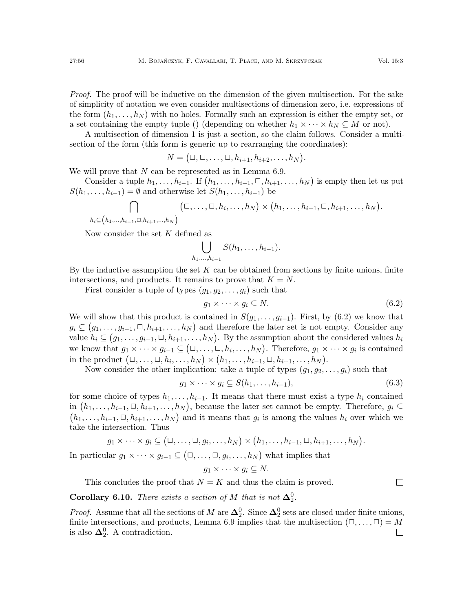Proof. The proof will be inductive on the dimension of the given multisection. For the sake of simplicity of notation we even consider multisections of dimension zero, i.e. expressions of the form  $(h_1, \ldots, h_N)$  with no holes. Formally such an expression is either the empty set, or

a set containing the empty tuple () (depending on whether  $h_1 \times \cdots \times h_N \subseteq M$  or not). A multisection of dimension 1 is just a section, so the claim follows. Consider a multi-

section of the form (this form is generic up to rearranging the coordinates):

 $N = (\square, \square, \ldots, \square, h_{i+1}, h_{i+2}, \ldots, h_N).$ 

We will prove that  $N$  can be represented as in Lemma [6.9.](#page-54-4)

Consider a tuple  $h_1, \ldots, h_{i-1}$ . If  $(h_1, \ldots, h_{i-1}, \Box, h_{i+1}, \ldots, h_N)$  is empty then let us put  $S(h_1, \ldots, h_{i-1}) = \emptyset$  and otherwise let  $S(h_1, \ldots, h_{i-1})$  be

$$
\bigcap_{h_i\subseteq (h_1,\ldots,h_{i-1},\square,h_{i+1},\ldots,h_N)} (\square,\ldots,\square,h_i,\ldots,h_N)\times (h_1,\ldots,h_{i-1},\square,h_{i+1},\ldots,h_N).
$$

Now consider the set  $K$  defined as

$$
\bigcup_{h_1,\ldots,h_{i-1}} S(h_1,\ldots,h_{i-1}).
$$

By the inductive assumption the set  $K$  can be obtained from sections by finite unions, finite intersections, and products. It remains to prove that  $K = N$ .

First consider a tuple of types  $(g_1, g_2, \ldots, g_i)$  such that

<span id="page-55-0"></span>
$$
g_1 \times \cdots \times g_i \subseteq N. \tag{6.2}
$$

We will show that this product is contained in  $S(g_1, \ldots, g_{i-1})$ . First, by [\(6.2\)](#page-55-0) we know that  $g_i \subseteq (g_1, \ldots, g_{i-1}, \Box, h_{i+1}, \ldots, h_N)$  and therefore the later set is not empty. Consider any value  $h_i \subseteq (g_1, \ldots, g_{i-1}, \Box, h_{i+1}, \ldots, h_N)$ . By the assumption about the considered values  $h_i$ we know that  $g_1 \times \cdots \times g_{i-1} \subseteq (\square, \ldots, \square, h_i, \ldots, h_N)$ . Therefore,  $g_1 \times \cdots \times g_i$  is contained in the product  $(\Box, \ldots, \Box, h_i, \ldots, h_N) \times (h_1, \ldots, h_{i-1}, \Box, h_{i+1}, \ldots, h_N)$ .

Now consider the other implication: take a tuple of types  $(g_1, g_2, \ldots, g_i)$  such that

$$
g_1 \times \cdots \times g_i \subseteq S(h_1, \ldots, h_{i-1}), \tag{6.3}
$$

for some choice of types  $h_1, \ldots, h_{i-1}$ . It means that there must exist a type  $h_i$  contained in  $(h_1, \ldots, h_{i-1}, \Box, h_{i+1}, \ldots, h_N)$ , because the later set cannot be empty. Therefore,  $g_i \subseteq$  $(h_1, \ldots, h_{i-1}, \Box, h_{i+1}, \ldots, h_N)$  and it means that  $g_i$  is among the values  $h_i$  over which we take the intersection. Thus

$$
g_1 \times \cdots \times g_i \subseteq (\square, \ldots, \square, g_i, \ldots, h_N) \times (h_1, \ldots, h_{i-1}, \square, h_{i+1}, \ldots, h_N).
$$

In particular  $g_1 \times \cdots \times g_{i-1} \subseteq (\square, \ldots, \square, g_i, \ldots, h_N)$  what implies that

$$
g_1 \times \cdots \times g_i \subseteq N.
$$

This concludes the proof that  $N = K$  and thus the claim is proved.

**Corollary 6.10.** There exists a section of M that is not  $\Delta_2^0$ .

*Proof.* Assume that all the sections of M are  $\Delta_2^0$ . Since  $\Delta_2^0$  sets are closed under finite unions, finite intersections, and products, Lemma [6.9](#page-54-4) implies that the multisection  $(\Box, \ldots, \Box) = M$ is also  $\Delta_2^0$ . A contradiction.  $\Box$ 

 $\Box$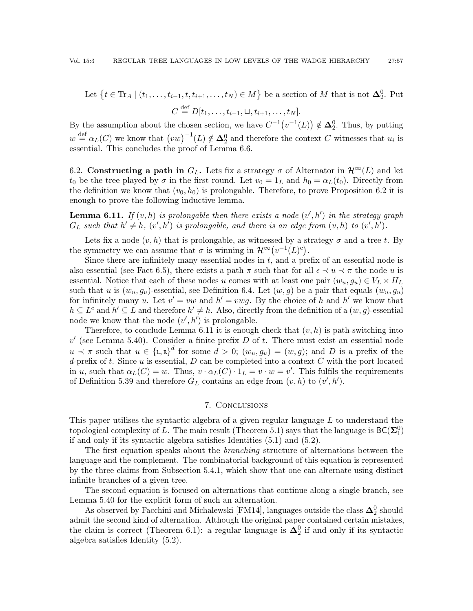Let 
$$
\{t \in \text{Tr}_A \mid (t_1, \ldots, t_{i-1}, t, t_{i+1}, \ldots, t_N) \in M\}
$$
 be a section of  $M$  that is not  $\Delta_2^0$ . Put  $C \stackrel{\text{def}}{=} D[t_1, \ldots, t_{i-1}, \Box, t_{i+1}, \ldots, t_N].$ 

By the assumption about the chosen section, we have  $C^{-1}(v^{-1}(L)) \notin \Delta_2^0$ . Thus, by putting  $w \stackrel{\text{def}}{=} \alpha_L(C)$  we know that  $(vw)^{-1}(L) \notin \Delta_2^0$  and therefore the context C witnesses that  $u_i$  is essential. This concludes the proof of Lemma [6.6.](#page-54-0)

6.2. Constructing a path in  $G_L$ . Lets fix a strategy  $\sigma$  of Alternator in  $\mathcal{H}^{\infty}(L)$  and let  $t_0$  be the tree played by  $\sigma$  in the first round. Let  $v_0 = 1_L$  and  $h_0 = \alpha_L(t_0)$ . Directly from the definition we know that  $(v_0, h_0)$  is prolongable. Therefore, to prove Proposition [6.2](#page-53-0) it is enough to prove the following inductive lemma.

<span id="page-56-0"></span>**Lemma 6.11.** If  $(v, h)$  is prolongable then there exists a node  $(v', h')$  in the strategy graph  $G_L$  such that  $h' \neq h$ ,  $(v', h')$  is prolongable, and there is an edge from  $(v, h)$  to  $(v', h')$ .

Lets fix a node  $(v, h)$  that is prolongable, as witnessed by a strategy  $\sigma$  and a tree t. By the symmetry we can assume that  $\sigma$  is winning in  $\mathcal{H}^{\infty}(v^{-1}(L)^{c})$ .

Since there are infinitely many essential nodes in  $t$ , and a prefix of an essential node is also essential (see Fact [6.5\)](#page-54-5), there exists a path  $\pi$  such that for all  $\epsilon \prec u \prec \pi$  the node u is essential. Notice that each of these nodes u comes with at least one pair  $(w_u, q_u) \in V_L \times H_L$ such that u is  $(w_u, g_u)$ -essential, see Definition [6.4.](#page-53-1) Let  $(w, g)$  be a pair that equals  $(w_u, g_u)$ for infinitely many u. Let  $v' = vw$  and  $h' = vwg$ . By the choice of h and h' we know that  $h \subseteq L^c$  and  $h' \subseteq L$  and therefore  $h' \neq h$ . Also, directly from the definition of a  $(w, g)$ -essential node we know that the node  $(v', h')$  is prolongable.

Therefore, to conclude Lemma [6.11](#page-56-0) it is enough check that  $(v, h)$  is path-switching into  $v'$  (see Lemma [5.40\)](#page-48-1). Consider a finite prefix D of t. There must exist an essential node  $u \lt \pi$  such that  $u \in {\{\texttt{L},\texttt{R}\}}^d$  for some  $d > 0$ ;  $(w_u, g_u) = (w, g)$ ; and D is a prefix of the d-prefix of t. Since  $u$  is essential,  $D$  can be completed into a context  $C$  with the port located in u, such that  $\alpha_L(C) = w$ . Thus,  $v \cdot \alpha_L(C) \cdot 1_L = v \cdot w = v'$ . This fulfils the requirements of Definition [5.39](#page-48-3) and therefore  $G_L$  contains an edge from  $(v, h)$  to  $(v', h')$ .

## 7. Conclusions

This paper utilises the syntactic algebra of a given regular language L to understand the topological complexity of L. The main result (Theorem [5.1\)](#page-30-0) says that the language is  $\mathsf{BC}(\mathbf{\Sigma}_1^0)$ if and only if its syntactic algebra satisfies Identities [\(5.1\)](#page-30-2) and [\(5.2\)](#page-30-3).

The first equation speaks about the *branching* structure of alternations between the language and the complement. The combinatorial background of this equation is represented by the three claims from Subsection [5.4.1,](#page-40-2) which show that one can alternate using distinct infinite branches of a given tree.

The second equation is focused on alternations that continue along a single branch, see Lemma [5.40](#page-48-1) for the explicit form of such an alternation.

As observed by Facchini and Michalewski [\[FM14\]](#page-59-6), languages outside the class  $\mathbf{\Delta}^0_2$  should admit the second kind of alternation. Although the original paper contained certain mistakes, the claim is correct (Theorem [6.1\)](#page-52-1): a regular language is  $\Delta_2^0$  if and only if its syntactic algebra satisfies Identity [\(5.2\)](#page-30-3).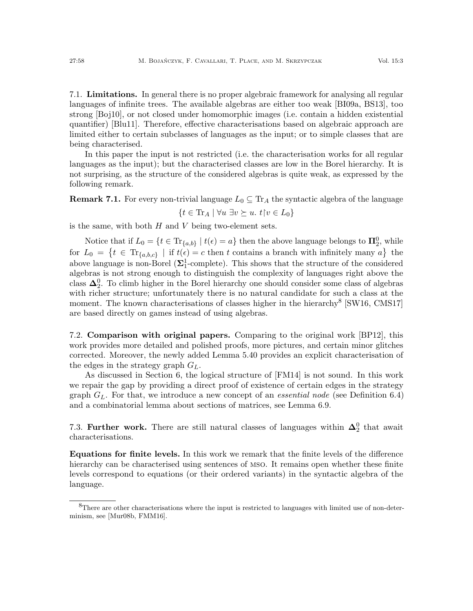<span id="page-57-0"></span>7.1. Limitations. In general there is no proper algebraic framework for analysing all regular languages of infinite trees. The available algebras are either too weak [\[BI09a,](#page-58-5) [BS13\]](#page-58-4), too strong [\[Boj10\]](#page-58-2), or not closed under homomorphic images (i.e. contain a hidden existential quantifier) [\[Blu11\]](#page-58-3). Therefore, effective characterisations based on algebraic approach are limited either to certain subclasses of languages as the input; or to simple classes that are being characterised.

In this paper the input is not restricted (i.e. the characterisation works for all regular languages as the input); but the characterised classes are low in the Borel hierarchy. It is not surprising, as the structure of the considered algebras is quite weak, as expressed by the following remark.

**Remark 7.1.** For every non-trivial language  $L_0 \subseteq Tr_A$  the syntactic algebra of the language  $\{t \in \text{Tr}_A \mid \forall u \exists v \succeq u. t \, | \, v \in L_0\}$ 

is the same, with both  $H$  and  $V$  being two-element sets.

Notice that if  $L_0 = \{t \in \text{Tr}_{\{a,b\}} \mid t(\epsilon) = a\}$  then the above language belongs to  $\mathbf{\Pi}_2^0$ , while for  $L_0 = \{ t \in \text{Tr}_{\{a,b,c\}} \mid \text{if } t(\epsilon) = c \text{ then } t \text{ contains a branch with infinitely many } a \}$  the above language is non-Borel ( $\Sigma_1^1$ -complete). This shows that the structure of the considered algebras is not strong enough to distinguish the complexity of languages right above the class  $\Delta_2^0$ . To climb higher in the Borel hierarchy one should consider some class of algebras with richer structure; unfortunately there is no natural candidate for such a class at the moment. The known characterisations of classes higher in the hierarchy<sup>[8](#page-57-1)</sup> [\[SW16,](#page-60-1) [CMS17\]](#page-59-3) are based directly on games instead of using algebras.

7.2. Comparison with original papers. Comparing to the original work [\[BP12\]](#page-58-0), this work provides more detailed and polished proofs, more pictures, and certain minor glitches corrected. Moreover, the newly added Lemma [5.40](#page-48-1) provides an explicit characterisation of the edges in the strategy graph  $G_L$ .

As discussed in Section [6,](#page-52-0) the logical structure of [\[FM14\]](#page-59-6) is not sound. In this work we repair the gap by providing a direct proof of existence of certain edges in the strategy graph  $G_L$ . For that, we introduce a new concept of an *essential node* (see Definition [6.4\)](#page-53-1) and a combinatorial lemma about sections of matrices, see Lemma [6.9.](#page-54-4)

7.3. Further work. There are still natural classes of languages within  $\Delta_2^0$  that await characterisations.

Equations for finite levels. In this work we remark that the finite levels of the difference hierarchy can be characterised using sentences of mso. It remains open whether these finite levels correspond to equations (or their ordered variants) in the syntactic algebra of the language.

<span id="page-57-1"></span> ${}^{8}$ There are other characterisations where the input is restricted to languages with limited use of non-determinism, see [\[Mur08b,](#page-59-1) [FMM16\]](#page-59-2).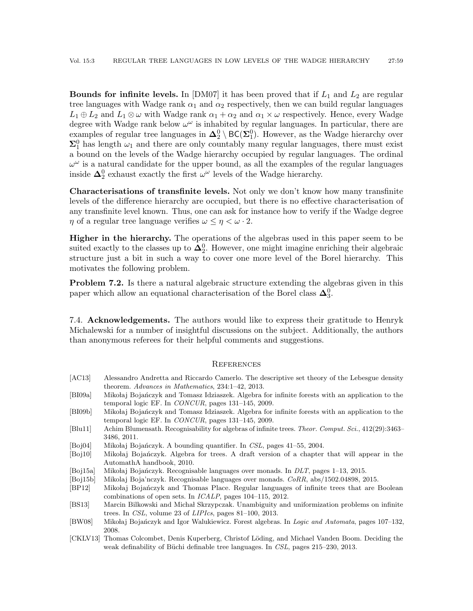**Bounds for infinite levels.** In [\[DM07\]](#page-59-4) it has been proved that if  $L_1$  and  $L_2$  are regular tree languages with Wadge rank  $\alpha_1$  and  $\alpha_2$  respectively, then we can build regular languages  $L_1 \oplus L_2$  and  $L_1 \otimes \omega$  with Wadge rank  $\alpha_1 + \alpha_2$  and  $\alpha_1 \times \omega$  respectively. Hence, every Wadge degree with Wadge rank below  $\omega^{\omega}$  is inhabited by regular languages. In particular, there are examples of regular tree languages in  $\Delta_2^0 \setminus BC(\Sigma_1^0)$ . However, as the Wadge hierarchy over  $\Sigma_1^0$  has length  $\omega_1$  and there are only countably many regular languages, there must exist a bound on the levels of the Wadge hierarchy occupied by regular languages. The ordinal  $\omega^{\omega}$  is a natural candidate for the upper bound, as all the examples of the regular languages inside  $\Delta_2^0$  exhaust exactly the first  $\omega^{\omega}$  levels of the Wadge hierarchy.

Characterisations of transfinite levels. Not only we don't know how many transfinite levels of the difference hierarchy are occupied, but there is no effective characterisation of any transfinite level known. Thus, one can ask for instance how to verify if the Wadge degree  $\eta$  of a regular tree language verifies  $\omega \leq \eta \leq \omega \cdot 2$ .

Higher in the hierarchy. The operations of the algebras used in this paper seem to be suited exactly to the classes up to  $\Delta_2^0$ . However, one might imagine enriching their algebraic structure just a bit in such a way to cover one more level of the Borel hierarchy. This motivates the following problem.

**Problem 7.2.** Is there a natural algebraic structure extending the algebras given in this paper which allow an equational characterisation of the Borel class  $\Delta_3^0$ .

7.4. Acknowledgements. The authors would like to express their gratitude to Henryk Michalewski for a number of insightful discussions on the subject. Additionally, the authors than anonymous referees for their helpful comments and suggestions.

#### **REFERENCES**

- <span id="page-58-7"></span>[AC13] Alessandro Andretta and Riccardo Camerlo. The descriptive set theory of the Lebesgue density theorem. Advances in Mathematics, 234:1–42, 2013.
- <span id="page-58-5"></span>[BI09a] Mikołaj Bojańczyk and Tomasz Idziaszek. Algebra for infinite forests with an application to the temporal logic EF. In CONCUR, pages 131–145, 2009.
- <span id="page-58-11"></span>[BI09b] Mikołaj Bojańczyk and Tomasz Idziaszek. Algebra for infinite forests with an application to the temporal logic EF. In CONCUR, pages 131–145, 2009.
- <span id="page-58-3"></span>[Blu11] Achim Blumensath. Recognisability for algebras of infinite trees. Theor. Comput. Sci., 412(29):3463– 3486, 2011.
- <span id="page-58-9"></span>[Boj04] Mikołaj Bojańczyk. A bounding quantifier. In CSL, pages 41–55, 2004.
- <span id="page-58-2"></span>[Boj10] Mikołaj Bojańczyk. Algebra for trees. A draft version of a chapter that will appear in the AutomathA handbook, 2010.
- <span id="page-58-8"></span>[Boj15a] Mikołaj Bojańczyk. Recognisable languages over monads. In DLT, pages 1–13, 2015.
- <span id="page-58-10"></span>[Boj15b] Mikolaj Boja'nczyk. Recognisable languages over monads. CoRR, abs/1502.04898, 2015.
- <span id="page-58-0"></span>[BP12] Mikołaj Bojańczyk and Thomas Place. Regular languages of infinite trees that are Boolean combinations of open sets. In ICALP, pages 104–115, 2012.
- <span id="page-58-4"></span>[BS13] Marcin Bilkowski and Michał Skrzypczak. Unambiguity and uniformization problems on infinite trees. In CSL, volume 23 of LIPIcs, pages 81–100, 2013.
- <span id="page-58-1"></span>[BW08] Mikołaj Bojańczyk and Igor Walukiewicz. Forest algebras. In Logic and Automata, pages 107-132, 2008.
- <span id="page-58-6"></span>[CKLV13] Thomas Colcombet, Denis Kuperberg, Christof Löding, and Michael Vanden Boom. Deciding the weak definability of Büchi definable tree languages. In CSL, pages 215–230, 2013.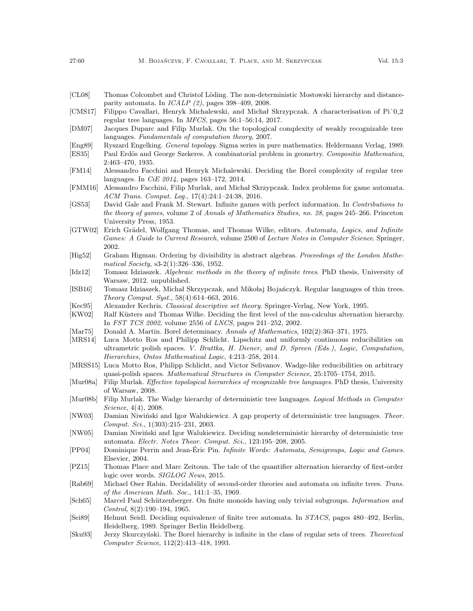- <span id="page-59-14"></span>[CL08] Thomas Colcombet and Christof Löding. The non-deterministic Mostowski hierarchy and distanceparity automata. In  $ICALP$  (2), pages 398-409, 2008.
- <span id="page-59-3"></span>[CMS17] Filippo Cavallari, Henryk Michalewski, and Michal Skrzypczak. A characterisation of Pi^0.2 regular tree languages. In MFCS, pages 56:1–56:14, 2017.
- <span id="page-59-4"></span>[DM07] Jacques Duparc and Filip Murlak. On the topological complexity of weakly recognizable tree languages. Fundamentals of computation theory, 2007.
- <span id="page-59-26"></span><span id="page-59-17"></span>[Eng89] Ryszard Engelking. General topology. Sigma series in pure mathematics. Heldermann Verlag, 1989. [ES35] Paul Erdös and George Szekeres. A combinatorial problem in geometry. Compositio Mathematica, 2:463–470, 1935.
- <span id="page-59-6"></span>[FM14] Alessandro Facchini and Henryk Michalewski. Deciding the Borel complexity of regular tree languages. In CiE 2014, pages 163–172, 2014.
- <span id="page-59-2"></span>[FMM16] Alessandro Facchini, Filip Murlak, and Michał Skrzypczak. Index problems for game automata. ACM Trans. Comput. Log., 17(4):24:1–24:38, 2016.
- <span id="page-59-20"></span>[GS53] David Gale and Frank M. Stewart. Infinite games with perfect information. In Contributions to the theory of games, volume 2 of Annals of Mathematics Studies, no. 28, pages 245–266. Princeton University Press, 1953.
- <span id="page-59-15"></span>[GTW02] Erich Grädel, Wolfgang Thomas, and Thomas Wilke, editors. Automata, Logics, and Infinite Games: A Guide to Current Research, volume 2500 of Lecture Notes in Computer Science. Springer, 2002.
- <span id="page-59-24"></span>[Hig52] Graham Higman. Ordering by divisibility in abstract algebras. Proceedings of the London Mathematical Society, s3-2(1):326–336, 1952.
- <span id="page-59-23"></span>[Idz12] Tomasz Idziaszek. Algebraic methods in the theory of infinite trees. PhD thesis, University of Warsaw, 2012. unpublished.
- <span id="page-59-22"></span>[ISB16] Tomasz Idziaszek, Michał Skrzypczak, and Mikołaj Bojańczyk. Regular languages of thin trees. Theory Comput. Syst., 58(4):614–663, 2016.
- <span id="page-59-16"></span>[Kec95] Alexander Kechris. Classical descriptive set theory. Springer-Verlag, New York, 1995.
- <span id="page-59-9"></span>[KW02] Ralf Küsters and Thomas Wilke. Deciding the first level of the mu-calculus alternation hierarchy. In FST TCS 2002, volume 2556 of LNCS, pages 241–252, 2002.
- <span id="page-59-21"></span>[Mar75] Donald A. Martin. Borel determinacy. Annals of Mathematics, 102(2):363–371, 1975.
- <span id="page-59-18"></span>[MRS14] Luca Motto Ros and Philipp Schlicht. Lipschitz and uniformly continuous reducibilities on ultrametric polish spaces. V. Brattka, H. Diener, and D. Spreen (Eds.), Logic, Computation, Hierarchies, Ontos Mathematical Logic, 4:213–258, 2014.
- <span id="page-59-19"></span>[MRSS15] Luca Motto Ros, Philipp Schlicht, and Victor Selivanov. Wadge-like reducibilities on arbitrary quasi-polish spaces. Mathematical Structures in Computer Science, 25:1705–1754, 2015.
- <span id="page-59-10"></span>[Mur08a] Filip Murlak. Effective topological hierarchies of recognizable tree languages. PhD thesis, University of Warsaw, 2008.
- <span id="page-59-1"></span>[Mur08b] Filip Murlak. The Wadge hierarchy of deterministic tree languages. Logical Methods in Computer Science, 4(4), 2008.
- <span id="page-59-13"></span>[NW03] Damian Niwiński and Igor Walukiewicz. A gap property of deterministic tree languages. Theor. Comput. Sci., 1(303):215–231, 2003.
- <span id="page-59-12"></span>[NW05] Damian Niwiński and Igor Walukiewicz. Deciding nondeterministic hierarchy of deterministic tree automata. Electr. Notes Theor. Comput. Sci., 123:195–208, 2005.
- <span id="page-59-8"></span>[PP04] Dominique Perrin and Jean-Éric Pin. *Infinite Words: Automata, Semigroups, Logic and Games.* Elsevier, 2004.
- <span id="page-59-7"></span>[PZ15] Thomas Place and Marc Zeitoun. The tale of the quantifier alternation hierarchy of first-order logic over words. SIGLOG News, 2015.
- <span id="page-59-11"></span>[Rab69] Michael Oser Rabin. Decidability of second-order theories and automata on infinite trees. Trans. of the American Math. Soc., 141:1–35, 1969.
- <span id="page-59-5"></span>[Sch65] Marcel Paul Schützenberger. On finite monoids having only trivial subgroups. Information and Control, 8(2):190–194, 1965.
- <span id="page-59-25"></span>[Sei89] Helmut Seidl. Deciding equivalence of finite tree automata. In STACS, pages 480–492, Berlin, Heidelberg, 1989. Springer Berlin Heidelberg.
- <span id="page-59-0"></span>[Sku93] Jerzy Skurczyński. The Borel hierarchy is infinite in the class of regular sets of trees. Theoretical Computer Science, 112(2):413–418, 1993.